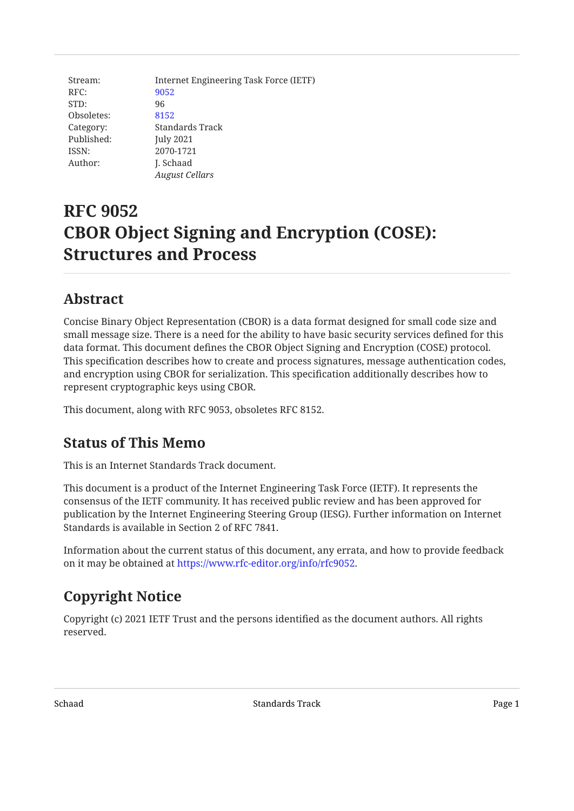Stream: Internet Engineering Task Force (IETF) RFC: [9052](https://www.rfc-editor.org/rfc/rfc9052) STD: 96 Obsoletes: [8152](https://www.rfc-editor.org/rfc/rfc8152) Category: Standards Track Published: July 2021 ISSN: 2070-1721 Author: **J. Schaad** *August Cellars*

# **RFC 9052 CBOR Object Signing and Encryption (COSE): Structures and Process**

# <span id="page-0-0"></span>**[Abstract](#page-0-0)**

Concise Binary Object Representation (CBOR) is a data format designed for small code size and small message size. There is a need for the ability to have basic security services defined for this data format. This document defines the CBOR Object Signing and Encryption (COSE) protocol. This specification describes how to create and process signatures, message authentication codes, and encryption using CBOR for serialization. This specification additionally describes how to represent cryptographic keys using CBOR.

<span id="page-0-1"></span>This document, along with RFC 9053, obsoletes RFC 8152.

# **[Status of This Memo](#page-0-1)**

This is an Internet Standards Track document.

This document is a product of the Internet Engineering Task Force (IETF). It represents the consensus of the IETF community. It has received public review and has been approved for publication by the Internet Engineering Steering Group (IESG). Further information on Internet Standards is available in Section 2 of RFC 7841.

Information about the current status of this document, any errata, and how to provide feedback on it may be obtained at <https://www.rfc-editor.org/info/rfc9052>.

# <span id="page-0-2"></span>**[Copyright Notice](#page-0-2)**

Copyright (c) 2021 IETF Trust and the persons identified as the document authors. All rights reserved.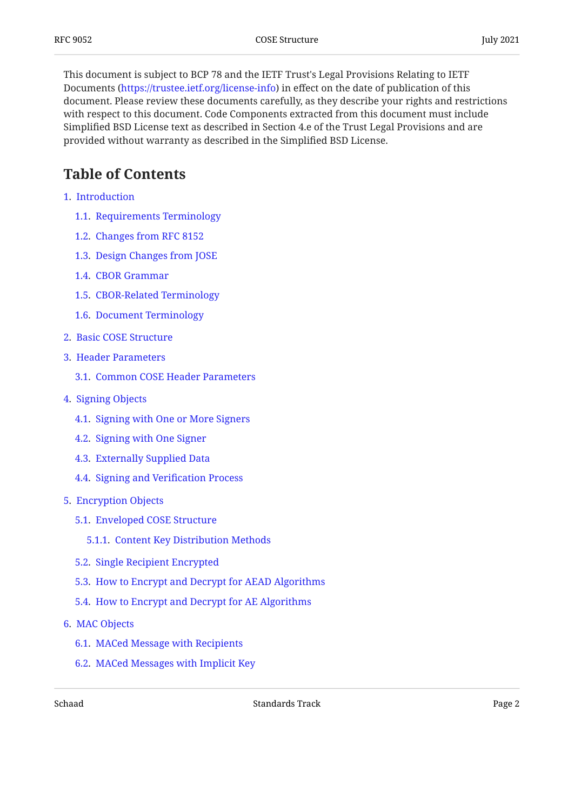This document is subject to BCP 78 and the IETF Trust's Legal Provisions Relating to IETF Documents (<https://trustee.ietf.org/license-info>) in effect on the date of publication of this document. Please review these documents carefully, as they describe your rights and restrictions with respect to this document. Code Components extracted from this document must include Simplified BSD License text as described in Section 4.e of the Trust Legal Provisions and are provided without warranty as described in the Simplified BSD License.

# <span id="page-1-0"></span>**[Table of Contents](#page-1-0)**

- [1.](#page-4-0) [Introduction](#page-4-0)
	- [1.1.](#page-5-0) [Requirements Terminology](#page-5-0)
	- [1.2.](#page-5-1) [Changes from RFC 8152](#page-5-1)
	- [1.3.](#page-5-2) [Design Changes from JOSE](#page-5-2)
	- [1.4.](#page-6-0) [CBOR Grammar](#page-6-0)
	- [1.5.](#page-7-0) [CBOR-Related Terminology](#page-7-0)
	- [1.6.](#page-7-1) [Document Terminology](#page-7-1)
- [2.](#page-8-0) [Basic COSE Structure](#page-8-0)
- [3.](#page-10-0) [Header Parameters](#page-10-0)
	- [3.1.](#page-12-0) [Common COSE Header Parameters](#page-12-0)
- [4.](#page-14-0) [Signing Objects](#page-14-0)
	- [4.1.](#page-14-1) [Signing with One or More Signers](#page-14-1)
	- [4.2.](#page-16-0) [Signing with One Signer](#page-16-0)
	- [4.3.](#page-17-0) [Externally Supplied Data](#page-17-0)
	- [4.4.](#page-18-0) [Signing and Veri](#page-18-0)fication Process
- [5.](#page-19-0) [Encryption Objects](#page-19-0)
	- [5.1.](#page-19-1) [Enveloped COSE Structure](#page-19-1)
		- [5.1.1.](#page-21-0) [Content Key Distribution Methods](#page-21-0)
	- [5.2.](#page-21-1) [Single Recipient Encrypted](#page-21-1)
	- [5.3.](#page-22-0) [How to Encrypt and Decrypt for AEAD Algorithms](#page-22-0)
	- [5.4.](#page-23-0) [How to Encrypt and Decrypt for AE Algorithms](#page-23-0)
- [6.](#page-24-0) [MAC Objects](#page-24-0)
	- [6.1.](#page-25-0) [MACed Message with Recipients](#page-25-0)
	- [6.2.](#page-26-0) [MACed Messages with Implicit Key](#page-26-0)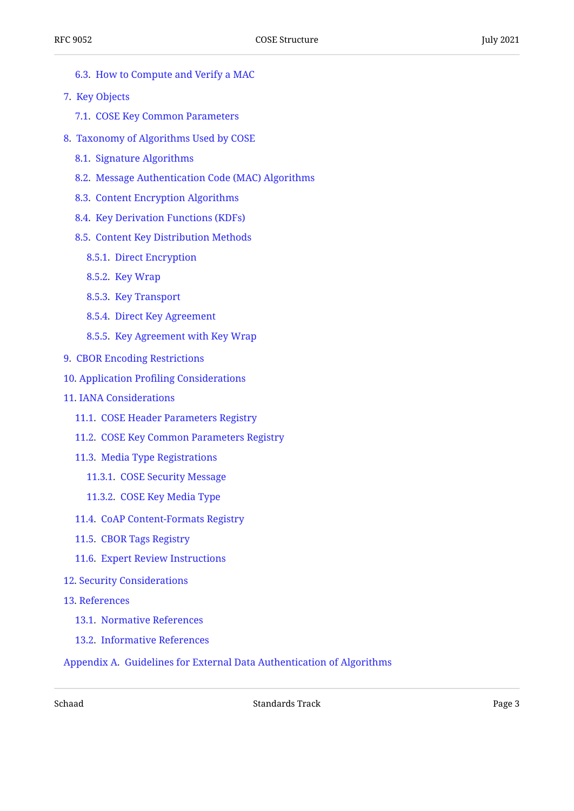- [6.3.](#page-26-1) [How to Compute and Verify a MAC](#page-26-1)
- [7.](#page-27-0) [Key Objects](#page-27-0)
	- [7.1.](#page-28-0) [COSE Key Common Parameters](#page-28-0)
- [8.](#page-30-0) [Taxonomy of Algorithms Used by COSE](#page-30-0)
	- [8.1.](#page-30-1) [Signature Algorithms](#page-30-1)
	- [8.2.](#page-32-0) [Message Authentication Code \(MAC\) Algorithms](#page-32-0)
	- [8.3.](#page-32-1) [Content Encryption Algorithms](#page-32-1)
	- [8.4.](#page-33-0) [Key Derivation Functions \(KDFs\)](#page-33-0)
	- [8.5.](#page-33-1) [Content Key Distribution Methods](#page-33-1)
		- [8.5.1.](#page-33-2) [Direct Encryption](#page-33-2)
		- [8.5.2.](#page-34-0) [Key Wrap](#page-34-0)
		- [8.5.3.](#page-34-1) [Key Transport](#page-34-1)
		- [8.5.4.](#page-34-2) [Direct Key Agreement](#page-34-2)
		- [8.5.5.](#page-35-0) [Key Agreement with Key Wrap](#page-35-0)
- [9.](#page-36-0) [CBOR Encoding Restrictions](#page-36-0)
- [10](#page-36-1). Application Profi[ling Considerations](#page-36-1)
- [11](#page-37-0). [IANA Considerations](#page-37-0)
	- [11.1](#page-37-1). [COSE Header Parameters Registry](#page-37-1)
	- [11.2](#page-37-2). [COSE Key Common Parameters Registry](#page-37-2)
	- [11.3](#page-37-3). [Media Type Registrations](#page-37-3)
		- [11.3.1](#page-37-4). [COSE Security Message](#page-37-4)
		- [11.3.2](#page-38-0). [COSE Key Media Type](#page-38-0)
	- [11.4](#page-40-0). [CoAP Content-Formats Registry](#page-40-0)
	- [11.5](#page-40-1). [CBOR Tags Registry](#page-40-1)
	- [11.6](#page-40-2). [Expert Review Instructions](#page-40-2)
- [12](#page-41-0). [Security Considerations](#page-41-0)
- [13](#page-42-0). [References](#page-42-0)
	- [13.1](#page-42-1). [Normative References](#page-42-1)
	- [13.2](#page-42-2). [Informative References](#page-42-2)

[Appendix A.](#page-45-0) [Guidelines for External Data Authentication of Algorithms](#page-45-0)

Schaad **Standards Track** Standards Track **Page 3**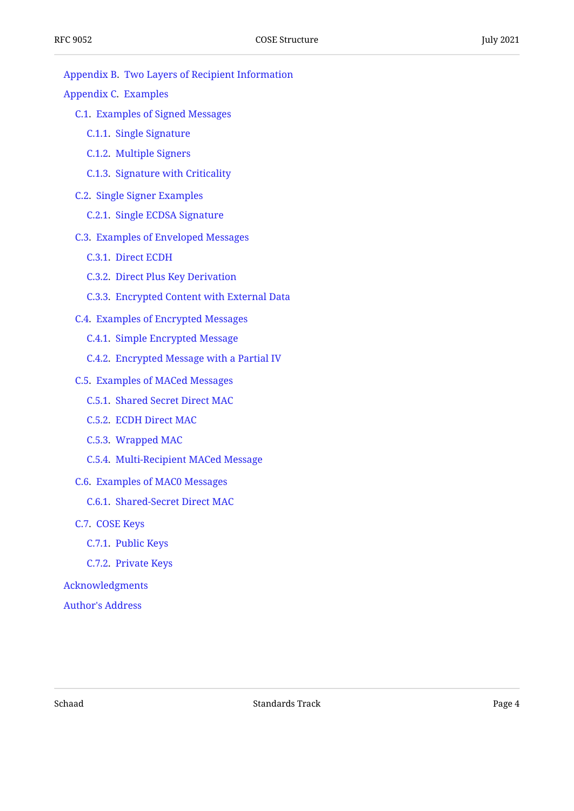#### [Appendix B](#page-48-0). [Two Layers of Recipient Information](#page-48-0)

[Appendix C.](#page-49-0) [Examples](#page-49-0)

- [C.1](#page-50-0). [Examples of Signed Messages](#page-50-0)
	- [C.1.1](#page-50-1). [Single Signature](#page-50-1)
	- [C.1.2](#page-51-0). [Multiple Signers](#page-51-0)
	- [C.1.3](#page-52-0). [Signature with Criticality](#page-52-0)
- [C.2](#page-53-0). [Single Signer Examples](#page-53-0)
	- [C.2.1](#page-53-1). [Single ECDSA Signature](#page-53-1)
- [C.3](#page-54-0). [Examples of Enveloped Messages](#page-54-0)
	- [C.3.1](#page-54-1). [Direct ECDH](#page-54-1)
	- [C.3.2](#page-54-2). [Direct Plus Key Derivation](#page-54-2)
	- [C.3.3](#page-55-0). [Encrypted Content with External Data](#page-55-0)
- [C.4](#page-56-0). [Examples of Encrypted Messages](#page-56-0)
	- [C.4.1](#page-56-1). [Simple Encrypted Message](#page-56-1)
	- [C.4.2](#page-57-0). [Encrypted Message with a Partial IV](#page-57-0)
- [C.5](#page-57-1). [Examples of MACed Messages](#page-57-1)
	- [C.5.1](#page-57-2). [Shared Secret Direct MAC](#page-57-2)
	- [C.5.2](#page-58-0). [ECDH Direct MAC](#page-58-0)
	- [C.5.3](#page-59-0). [Wrapped MAC](#page-59-0)
	- [C.5.4](#page-60-0). [Multi-Recipient MACed Message](#page-60-0)
- [C.6](#page-61-0). [Examples of MAC0 Messages](#page-61-0)
	- [C.6.1](#page-61-1). [Shared-Secret Direct MAC](#page-61-1)
- [C.7](#page-62-0). [COSE Keys](#page-62-0)
	- [C.7.1](#page-62-1). [Public Keys](#page-62-1)
	- [C.7.2](#page-63-0). [Private Keys](#page-63-0)

#### [Acknowledgments](#page-67-0)

[Author's Address](#page-67-1)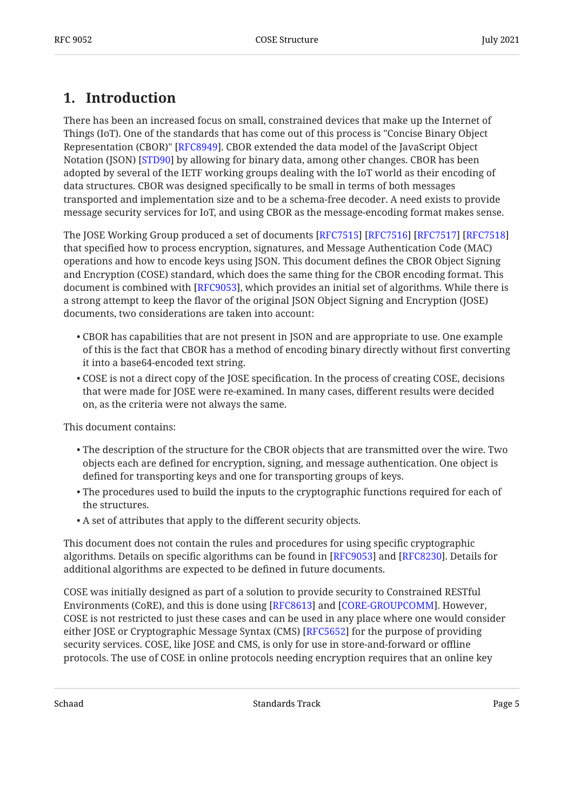# <span id="page-4-0"></span>**[1. Introduction](#page-4-0)**

There has been an increased focus on small, constrained devices that make up the Internet of Things (IoT). One of the standards that has come out of this process is "Concise Binary Object Representation (CBOR)" [[RFC8949\]](#page-42-3). CBOR extended the data model of the JavaScript Object Notation (JSON) [STD90] by allowing for binary data, among other changes. CBOR has been adopted by several of the IETF working groups dealing with the IoT world as their encoding of data structures. CBOR was designed specifically to be small in terms of both messages transported and implementation size and to be a schema-free decoder. A need exists to provide message security services for IoT, and using CBOR as the message-encoding format makes sense.

The JOSE Working Group produced a set of documents [\[RFC7515](#page-44-0)] [[RFC7516\]](#page-44-1) [[RFC7517\]](#page-44-2) [\[RFC7518](#page-44-3)] that specified how to process encryption, signatures, and Message Authentication Code (MAC) operations and how to encode keys using JSON. This document defines the CBOR Object Signing and Encryption (COSE) standard, which does the same thing for the CBOR encoding format. This document is combined with [RFC9053], which provides an initial set of algorithms. While there is a strong attempt to keep the flavor of the original JSON Object Signing and Encryption (JOSE) documents, two considerations are taken into account:

- CBOR has capabilities that are not present in JSON and are appropriate to use. One example of this is the fact that CBOR has a method of encoding binary directly without first converting it into a base64-encoded text string.
- COSE is not a direct copy of the JOSE specification. In the process of creating COSE, decisions that were made for JOSE were re-examined. In many cases, different results were decided on, as the criteria were not always the same.

This document contains:

- $\bullet$  The description of the structure for the CBOR objects that are transmitted over the wire. Two objects each are defined for encryption, signing, and message authentication. One object is defined for transporting keys and one for transporting groups of keys.
- $\bullet$  The procedures used to build the inputs to the cryptographic functions required for each of the structures.
- A set of attributes that apply to the different security objects. •

This document does not contain the rules and procedures for using specific cryptographic algorithms. Details on specific algorithms can be found in [[RFC9053\]](#page-42-4) and [\[RFC8230](#page-45-2)]. Details for additional algorithms are expected to be defined in future documents.

COSE was initially designed as part of a solution to provide security to Constrained RESTful Environments (CoRE), and this is done using [[RFC8613\]](#page-45-3) and [\[CORE-GROUPCOMM](#page-43-0)]. However, COSE is not restricted to just these cases and can be used in any place where one would consider either JOSE or Cryptographic Message Syntax (CMS) [[RFC5652\]](#page-44-4) for the purpose of providing security services. COSE, like JOSE and CMS, is only for use in store-and-forward or offline protocols. The use of COSE in online protocols needing encryption requires that an online key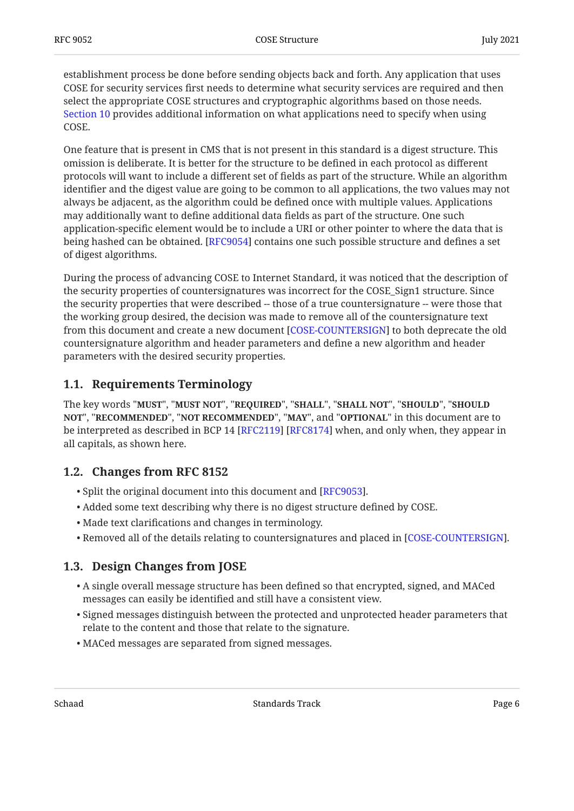establishment process be done before sending objects back and forth. Any application that uses COSE for security services first needs to determine what security services are required and then select the appropriate COSE structures and cryptographic algorithms based on those needs. [Section 10](#page-36-1) provides additional information on what applications need to specify when using COSE.

One feature that is present in CMS that is not present in this standard is a digest structure. This omission is deliberate. It is better for the structure to be defined in each protocol as different protocols will want to include a different set of fields as part of the structure. While an algorithm identifier and the digest value are going to be common to all applications, the two values may not always be adjacent, as the algorithm could be defined once with multiple values. Applications may additionally want to define additional data fields as part of the structure. One such application-specific element would be to include a URI or other pointer to where the data that is being hashed can be obtained. [[RFC9054\]](#page-45-4) contains one such possible structure and defines a set of digest algorithms.

During the process of advancing COSE to Internet Standard, it was noticed that the description of the security properties of countersignatures was incorrect for the COSE\_Sign1 structure. Since the security properties that were described -- those of a true countersignature -- were those that the working group desired, the decision was made to remove all of the countersignature text from this document and create a new document [\[COSE-COUNTERSIGN](#page-43-1)] to both deprecate the old countersignature algorithm and header parameters and define a new algorithm and header parameters with the desired security properties.

## <span id="page-5-0"></span>**[1.1. Requirements Terminology](#page-5-0)**

The key words "MUST", "MUST NOT", "REQUIRED", "SHALL", "SHALL NOT", "SHOULD", "SHOULD <code>NOT",</code> "<code>RECOMMENDED", "NOT RECOMMENDED", "MAY", and "OPTIONAL" in this document are to</code> be interpreted as described in BCP 14 [RFC2119] [RFC8174] when, and only when, they appear in all capitals, as shown here.

## <span id="page-5-1"></span>**[1.2. Changes from RFC 8152](#page-5-1)**

- $\bullet$  Split the original document into this document and [\[RFC9053\]](#page-42-4).
- Added some text describing why there is no digest structure defined by COSE. •
- Made text clarifications and changes in terminology. •
- <span id="page-5-2"></span> $\bullet$  Removed all of the details relating to countersignatures and placed in [[COSE-COUNTERSIGN](#page-43-1)].

## **[1.3. Design Changes from JOSE](#page-5-2)**

- A single overall message structure has been defined so that encrypted, signed, and MACed messages can easily be identified and still have a consistent view.
- $\bullet$  Signed messages distinguish between the protected and unprotected header parameters that relate to the content and those that relate to the signature.
- MACed messages are separated from signed messages. •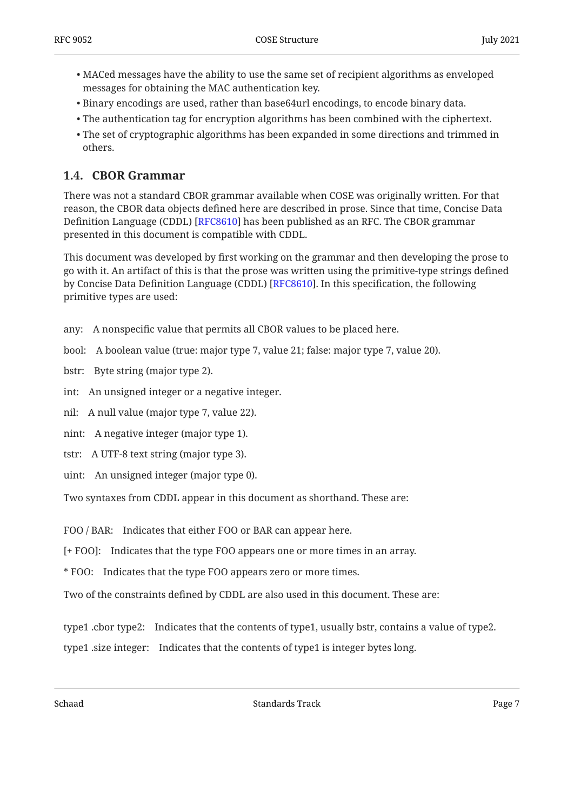- MACed messages have the ability to use the same set of recipient algorithms as enveloped messages for obtaining the MAC authentication key.
- $\bullet$  Binary encodings are used, rather than base $64$ url encodings, to encode binary data.
- The authentication tag for encryption algorithms has been combined with the ciphertext. •
- The set of cryptographic algorithms has been expanded in some directions and trimmed in others.

## <span id="page-6-0"></span>**[1.4. CBOR Grammar](#page-6-0)**

There was not a standard CBOR grammar available when COSE was originally written. For that reason, the CBOR data objects defined here are described in prose. Since that time, Concise Data Definition Language (CDDL) [RFC8610] has been published as an RFC. The CBOR grammar presented in this document is compatible with CDDL.

This document was developed by first working on the grammar and then developing the prose to go with it. An artifact of this is that the prose was written using the primitive-type strings defined by Concise Data Definition Language (CDDL) [RFC8610]. In this specification, the following primitive types are used:

any: A nonspecific value that permits all CBOR values to be placed here.

bool: A boolean value (true: major type 7, value 21; false: major type 7, value 20).

bstr: Byte string (major type 2).

int: An unsigned integer or a negative integer.

nil: A null value (major type 7, value 22).

nint: A negative integer (major type 1).

- tstr: A UTF-8 text string (major type 3).
- uint: An unsigned integer (major type 0).

Two syntaxes from CDDL appear in this document as shorthand. These are:

FOO / BAR: Indicates that either FOO or BAR can appear here.

[+ FOO]: Indicates that the type FOO appears one or more times in an array.

\* FOO: Indicates that the type FOO appears zero or more times.

Two of the constraints defined by CDDL are also used in this document. These are:

type1 .cbor type2: Indicates that the contents of type1, usually bstr, contains a value of type2.

type1 .size integer: Indicates that the contents of type1 is integer bytes long.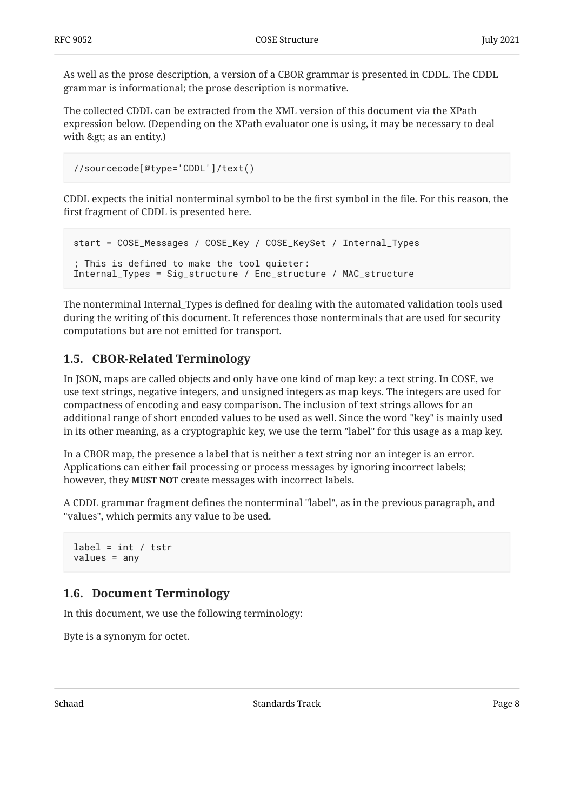As well as the prose description, a version of a CBOR grammar is presented in CDDL. The CDDL grammar is informational; the prose description is normative.

The collected CDDL can be extracted from the XML version of this document via the XPath expression below. (Depending on the XPath evaluator one is using, it may be necessary to deal with  $>g$ ; as an entity.)

```
//sourcecode[@type='CDDL']/text()
```
CDDL expects the initial nonterminal symbol to be the first symbol in the file. For this reason, the first fragment of CDDL is presented here.

```
start = COSE_Messages / COSE_Key / COSE_KeySet / Internal_Types
; This is defined to make the tool quieter:
Internal_Types = Sig_structure / Enc_structure / MAC_structure
```
The nonterminal Internal\_Types is defined for dealing with the automated validation tools used during the writing of this document. It references those nonterminals that are used for security computations but are not emitted for transport.

## <span id="page-7-0"></span>**[1.5. CBOR-Related Terminology](#page-7-0)**

In JSON, maps are called objects and only have one kind of map key: a text string. In COSE, we use text strings, negative integers, and unsigned integers as map keys. The integers are used for compactness of encoding and easy comparison. The inclusion of text strings allows for an additional range of short encoded values to be used as well. Since the word "key" is mainly used in its other meaning, as a cryptographic key, we use the term "label" for this usage as a map key.

In a CBOR map, the presence a label that is neither a text string nor an integer is an error. Applications can either fail processing or process messages by ignoring incorrect labels; however, they **MUST NOT** create messages with incorrect labels.

A CDDL grammar fragment defines the nonterminal "label", as in the previous paragraph, and "values", which permits any value to be used.

```
label = int / tstrvalues = any
```
## <span id="page-7-1"></span>**[1.6. Document Terminology](#page-7-1)**

In this document, we use the following terminology:

Byte is a synonym for octet.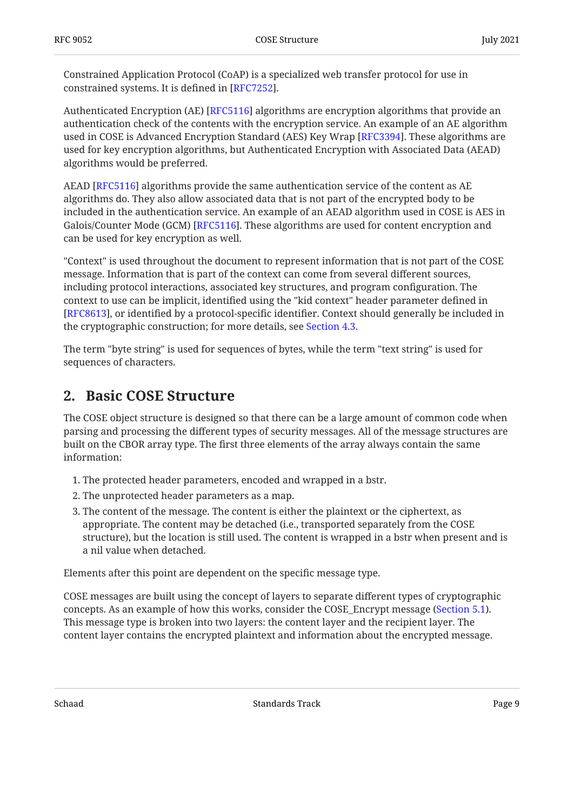Constrained Application Protocol (CoAP) is a specialized web transfer protocol for use in constrained systems. It is defined in [RFC7252].

Authenticated Encryption (AE) [RFC5116] algorithms are encryption algorithms that provide an authentication check of the contents with the encryption service. An example of an AE algorithm used in COSE is Advanced Encryption Standard (AES) Key Wrap [RFC3394]. These algorithms are used for key encryption algorithms, but Authenticated Encryption with Associated Data (AEAD) algorithms would be preferred.

 $\rm AEAD$  [RFC5116] algorithms provide the same authentication service of the content as  $\rm AE$ algorithms do. They also allow associated data that is not part of the encrypted body to be included in the authentication service. An example of an AEAD algorithm used in COSE is AES in Galois/Counter Mode (GCM) [RFC5116]. These algorithms are used for content encryption and can be used for key encryption as well.

"Context" is used throughout the document to represent information that is not part of the COSE message. Information that is part of the context can come from several different sources, including protocol interactions, associated key structures, and program configuration. The context to use can be implicit, identified using the "kid context" header parameter defined in [[RFC8613\]](#page-45-3), or identified by a protocol-specific identifier. Context should generally be included in the cryptographic construction; for more details, see [Section 4.3.](#page-17-0)

<span id="page-8-0"></span>The term "byte string" is used for sequences of bytes, while the term "text string" is used for sequences of characters.

## **[2. Basic COSE Structure](#page-8-0)**

The COSE object structure is designed so that there can be a large amount of common code when parsing and processing the different types of security messages. All of the message structures are built on the CBOR array type. The first three elements of the array always contain the same information:

- The protected header parameters, encoded and wrapped in a bstr. 1.
- 2. The unprotected header parameters as a map.
- 3. The content of the message. The content is either the plaintext or the ciphertext, as appropriate. The content may be detached (i.e., transported separately from the COSE structure), but the location is still used. The content is wrapped in a bstr when present and is a nil value when detached.

Elements after this point are dependent on the specific message type.

COSE messages are built using the concept of layers to separate different types of cryptographic concepts. As an example of how this works, consider the COSE\_Encrypt message ([Section 5.1\)](#page-19-1). This message type is broken into two layers: the content layer and the recipient layer. The content layer contains the encrypted plaintext and information about the encrypted message.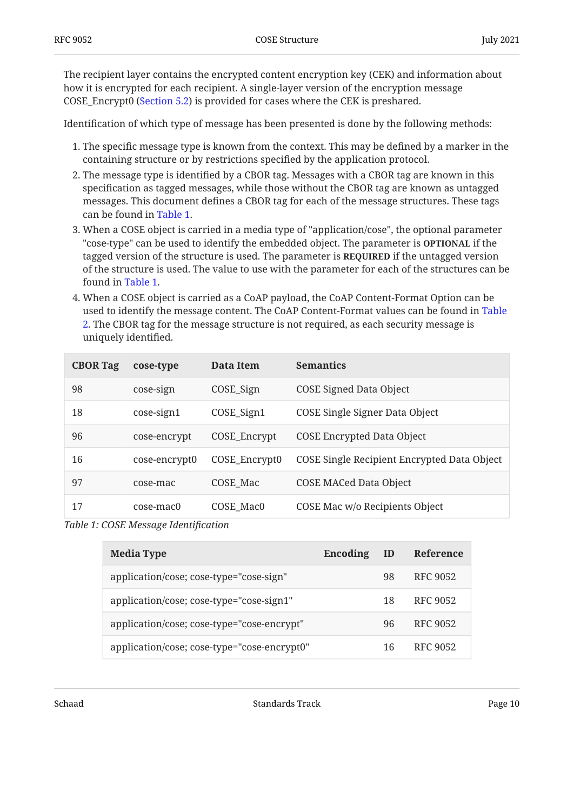The recipient layer contains the encrypted content encryption key (CEK) and information about how it is encrypted for each recipient. A single-layer version of the encryption message COSE\_Encrypt0 ([Section 5.2\)](#page-21-1) is provided for cases where the CEK is preshared.

Identification of which type of message has been presented is done by the following methods:

- 1. The specific message type is known from the context. This may be defined by a marker in the containing structure or by restrictions specified by the application protocol.
- 2. The message type is identified by a CBOR tag. Messages with a CBOR tag are known in this specification as tagged messages, while those without the CBOR tag are known as untagged messages. This document defines a CBOR tag for each of the message structures. These tags can be found in [Table 1](#page-9-0).
- 3. When a COSE object is carried in a media type of "application/cose", the optional parameter "cose-type" can be used to identify the embedded object. The parameter is **OPTIONAL** if the tagged version of the structure is used. The parameter is **REQUIRED** if the untagged version of the structure is used. The value to use with the parameter for each of the structures can be found in [Table 1](#page-9-0).
- 4. When a COSE object is carried as a CoAP payload, the CoAP Content-Format Option can be used to identify the message content. The CoAP Content-Format values can be found in [Table](#page-9-1) [2.](#page-9-1) The CBOR tag for the message structure is not required, as each security message is uniquely identified.

<span id="page-9-0"></span>

| <b>CBOR Tag</b> | cose-type     | Data Item                | <b>Semantics</b>                            |
|-----------------|---------------|--------------------------|---------------------------------------------|
| 98              | cose-sign     | COSE_Sign                | <b>COSE Signed Data Object</b>              |
| 18              | $\cose-sign1$ | $COSE$ <sub>_Sign1</sub> | COSE Single Signer Data Object              |
| 96              | cose-encrypt  | COSE_Encrypt             | <b>COSE Encrypted Data Object</b>           |
| 16              | cose-encrypt0 | COSE_Encrypt0            | COSE Single Recipient Encrypted Data Object |
| 97              | cose-mac      | COSE Mac                 | <b>COSE MACed Data Object</b>               |
| 17              | cose-mac0     | COSE Mac0                | COSE Mac w/o Recipients Object              |

<span id="page-9-1"></span>*[Table 1](#page-9-0): [COSE Message Identi](#page-9-0)fication* 

<span id="page-9-2"></span>

| <b>Media Type</b>                           | Encoding | ID | Reference |
|---------------------------------------------|----------|----|-----------|
| application/cose; cose-type="cose-sign"     |          | 98 | RFC 9052  |
| application/cose; cose-type="cose-sign1"    |          | 18 | RFC 9052  |
| application/cose; cose-type="cose-encrypt"  |          | 96 | RFC 9052  |
| application/cose; cose-type="cose-encrypt0" |          | 16 | RFC 9052  |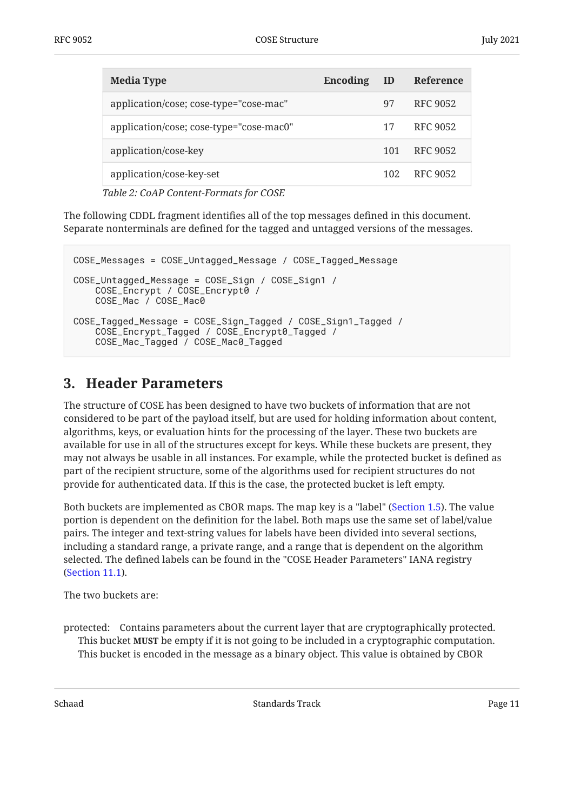| <b>Media Type</b>                       | Encoding | ID  | Reference       |
|-----------------------------------------|----------|-----|-----------------|
| application/cose; cose-type="cose-mac"  |          | 97  | <b>RFC 9052</b> |
| application/cose; cose-type="cose-mac0" |          | 17  | <b>RFC 9052</b> |
| application/cose-key                    |          | 101 | RFC 9052        |
| application/cose-key-set                |          | 102 | RFC 9052        |
|                                         |          |     |                 |

*[Table 2](#page-9-2): [CoAP Content-Formats for COSE](#page-9-1)* 

The following CDDL fragment identifies all of the top messages defined in this document. Separate nonterminals are defined for the tagged and untagged versions of the messages.

```
COSE_Messages = COSE_Untagged_Message / COSE_Tagged_Message
COSE_Untagged_Message = COSE_Sign / COSE_Sign1 /
     COSE_Encrypt / COSE_Encrypt0 /
     COSE_Mac / COSE_Mac0
COSE Tagged Message = COSE Sign Tagged / COSE Sign1 Tagged /
     COSE_Encrypt_Tagged / COSE_Encrypt0_Tagged /
     COSE_Mac_Tagged / COSE_Mac0_Tagged
```
## <span id="page-10-0"></span>**[3. Header Parameters](#page-10-0)**

The structure of COSE has been designed to have two buckets of information that are not considered to be part of the payload itself, but are used for holding information about content, algorithms, keys, or evaluation hints for the processing of the layer. These two buckets are available for use in all of the structures except for keys. While these buckets are present, they may not always be usable in all instances. For example, while the protected bucket is defined as part of the recipient structure, some of the algorithms used for recipient structures do not provide for authenticated data. If this is the case, the protected bucket is left empty.

Both buckets are implemented as CBOR maps. The map key is a "label" ([Section 1.5\)](#page-7-0). The value portion is dependent on the definition for the label. Both maps use the same set of label/value pairs. The integer and text-string values for labels have been divided into several sections, including a standard range, a private range, and a range that is dependent on the algorithm selected. The defined labels can be found in the "COSE Header Parameters" IANA registry [\(Section 11.1\)](#page-37-1).

The two buckets are:

protected: Contains parameters about the current layer that are cryptographically protected. This bucket **MUST** be empty if it is not going to be included in a cryptographic computation. This bucket is encoded in the message as a binary object. This value is obtained by CBOR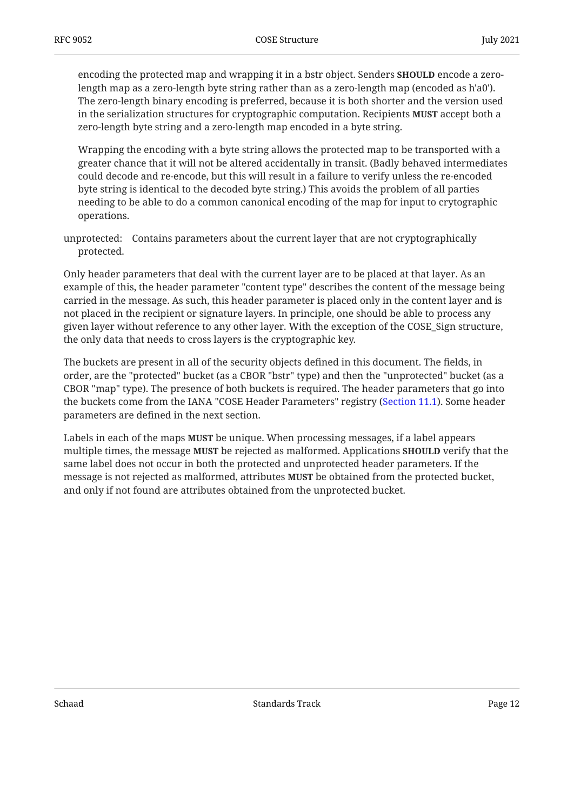encoding the protected map and wrapping it in a bstr object. Senders **SHOULD** encode a zerolength map as a zero-length byte string rather than as a zero-length map (encoded as h'a0'). The zero-length binary encoding is preferred, because it is both shorter and the version used in the serialization structures for cryptographic computation. Recipients **MUST** accept both a zero-length byte string and a zero-length map encoded in a byte string.

Wrapping the encoding with a byte string allows the protected map to be transported with a greater chance that it will not be altered accidentally in transit. (Badly behaved intermediates could decode and re-encode, but this will result in a failure to verify unless the re-encoded byte string is identical to the decoded byte string.) This avoids the problem of all parties needing to be able to do a common canonical encoding of the map for input to crytographic operations.

unprotected: Contains parameters about the current layer that are not cryptographically protected.

Only header parameters that deal with the current layer are to be placed at that layer. As an example of this, the header parameter "content type" describes the content of the message being carried in the message. As such, this header parameter is placed only in the content layer and is not placed in the recipient or signature layers. In principle, one should be able to process any given layer without reference to any other layer. With the exception of the COSE\_Sign structure, the only data that needs to cross layers is the cryptographic key.

The buckets are present in all of the security objects defined in this document. The fields, in order, are the "protected" bucket (as a CBOR "bstr" type) and then the "unprotected" bucket (as a CBOR "map" type). The presence of both buckets is required. The header parameters that go into the buckets come from the IANA "COSE Header Parameters" registry ([Section 11.1\)](#page-37-1). Some header parameters are defined in the next section.

Labels in each of the maps **MUST** be unique. When processing messages, if a label appears  $m$  multiple times, the message MUST be rejected as malformed. Applications SHOULD verify that the same label does not occur in both the protected and unprotected header parameters. If the message is not rejected as malformed, attributes **MUST** be obtained from the protected bucket, and only if not found are attributes obtained from the unprotected bucket.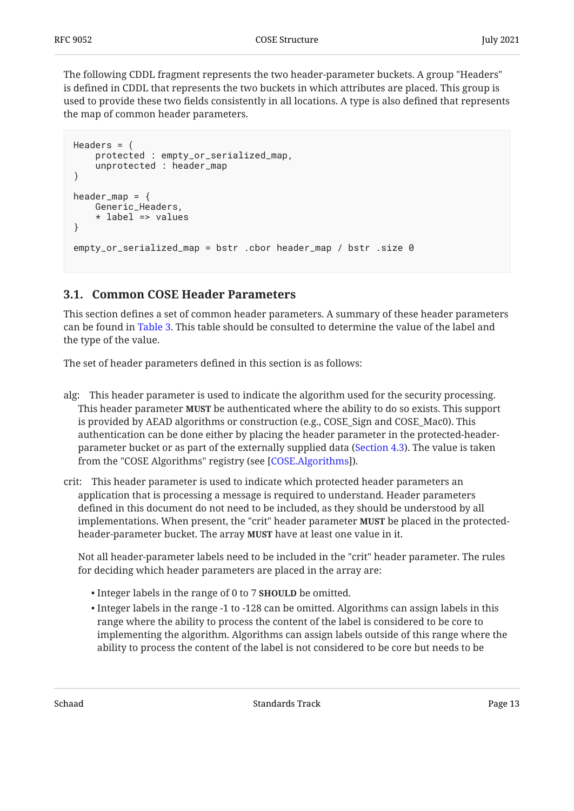The following CDDL fragment represents the two header-parameter buckets. A group "Headers" is defined in CDDL that represents the two buckets in which attributes are placed. This group is used to provide these two fields consistently in all locations. A type is also defined that represents the map of common header parameters.

```
Headers = (
     protected : empty_or_serialized_map,
     unprotected : header_map
)
header_map = \{ Generic_Headers,
     * label => values
}
empty_or_serialized_map = bstr .cbor header_map / bstr .size 0
```
## <span id="page-12-0"></span>**[3.1. Common COSE Header Parameters](#page-12-0)**

This section defines a set of common header parameters. A summary of these header parameters can be found in [Table 3](#page-14-2). This table should be consulted to determine the value of the label and the type of the value.

The set of header parameters defined in this section is as follows:

- alg: This header parameter is used to indicate the algorithm used for the security processing. This header parameter **MUST** be authenticated where the ability to do so exists. This support is provided by AEAD algorithms or construction (e.g., COSE\_Sign and COSE\_Mac0). This authentication can be done either by placing the header parameter in the protected-headerparameter bucket or as part of the externally supplied data [\(Section 4.3](#page-17-0)). The value is taken from the "COSE Algorithms" registry (see [COSE.Algorithms]).
- crit: This header parameter is used to indicate which protected header parameters an application that is processing a message is required to understand. Header parameters defined in this document do not need to be included, as they should be understood by all implementations. When present, the "crit" header parameter **MUST** be placed in the protectedheader-parameter bucket. The array **MUST** have at least one value in it.

Not all header-parameter labels need to be included in the "crit" header parameter. The rules for deciding which header parameters are placed in the array are:

- Integer labels in the range of 0 to 7 **SHOULD** be omitted.
- $\bullet$  Integer labels in the range -1 to -128 can be omitted. Algorithms can assign labels in this range where the ability to process the content of the label is considered to be core to implementing the algorithm. Algorithms can assign labels outside of this range where the ability to process the content of the label is not considered to be core but needs to be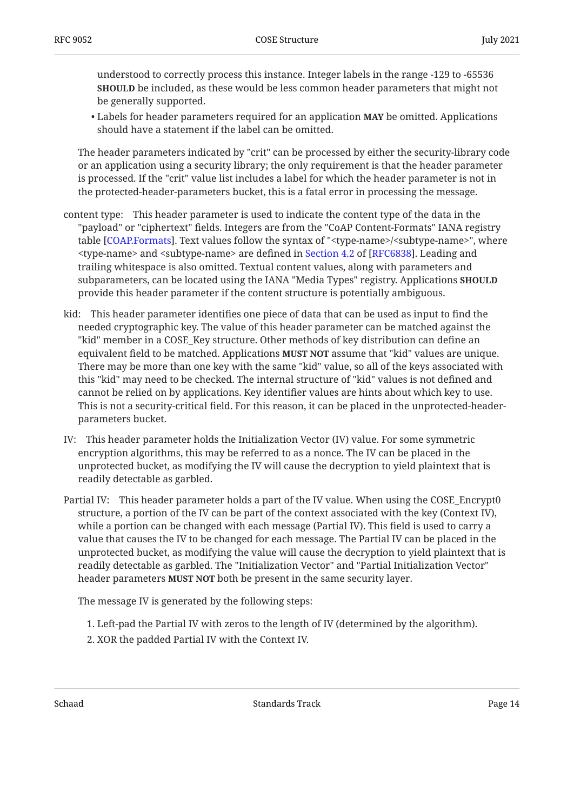understood to correctly process this instance. Integer labels in the range -129 to -65536 **SHOULD** be included, as these would be less common header parameters that might not be generally supported.

• Labels for header parameters required for an application **MAY** be omitted. Applications should have a statement if the label can be omitted.

The header parameters indicated by "crit" can be processed by either the security-library code or an application using a security library; the only requirement is that the header parameter is processed. If the "crit" value list includes a label for which the header parameter is not in the protected-header-parameters bucket, this is a fatal error in processing the message.

- content type: This header parameter is used to indicate the content type of the data in the "payload" or "ciphertext" fields. Integers are from the "CoAP Content-Formats" IANA registry table [COAP.Formats]. Text values follow the syntax of "<type-name>/<subtype-name>", where <type-name> and <subtype-name> are defined in Section 4.2 of [RFC6838]. Leading and trailing whitespace is also omitted. Textual content values, along with parameters and subparameters, can be located using the IANA "Media Types" registry. Applications **SHOULD** provide this header parameter if the content structure is potentially ambiguous.
- kid: This header parameter identifies one piece of data that can be used as input to find the needed cryptographic key. The value of this header parameter can be matched against the "kid" member in a COSE\_Key structure. Other methods of key distribution can define an equivalent field to be matched. Applications **MUST NOT** assume that "kid" values are unique. There may be more than one key with the same "kid" value, so all of the keys associated with this "kid" may need to be checked. The internal structure of "kid" values is not defined and cannot be relied on by applications. Key identifier values are hints about which key to use. This is not a security-critical field. For this reason, it can be placed in the unprotected-headerparameters bucket.
- IV: This header parameter holds the Initialization Vector (IV) value. For some symmetric encryption algorithms, this may be referred to as a nonce. The IV can be placed in the unprotected bucket, as modifying the IV will cause the decryption to yield plaintext that is readily detectable as garbled.
- Partial IV: This header parameter holds a part of the IV value. When using the COSE\_Encrypt0 structure, a portion of the IV can be part of the context associated with the key (Context IV), while a portion can be changed with each message (Partial IV). This field is used to carry a value that causes the IV to be changed for each message. The Partial IV can be placed in the unprotected bucket, as modifying the value will cause the decryption to yield plaintext that is readily detectable as garbled. The "Initialization Vector" and "Partial Initialization Vector" header parameters **MUST NOT** both be present in the same security layer.

The message IV is generated by the following steps:

- Left-pad the Partial IV with zeros to the length of IV (determined by the algorithm). 1.
- 2. XOR the padded Partial IV with the Context IV.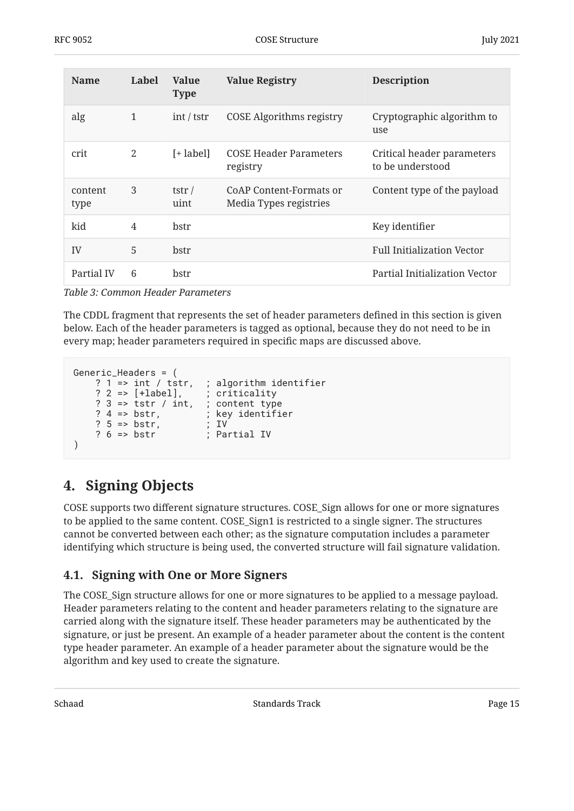<span id="page-14-2"></span>

| <b>Name</b>     | Label          | <b>Value</b><br><b>Type</b> | <b>Value Registry</b>                             | <b>Description</b>                             |
|-----------------|----------------|-----------------------------|---------------------------------------------------|------------------------------------------------|
| alg             | $\mathbf{1}$   | int / tstr                  | <b>COSE Algorithms registry</b>                   | Cryptographic algorithm to<br>use              |
| crit            | $\mathfrak{D}$ | [+ label]                   | <b>COSE Header Parameters</b><br>registry         | Critical header parameters<br>to be understood |
| content<br>type | 3              | tstr $\overline{ }$<br>uint | CoAP Content-Formats or<br>Media Types registries | Content type of the payload                    |
| kid             | 4              | hstr                        |                                                   | Key identifier                                 |
| IV              | 5              | bstr                        |                                                   | <b>Full Initialization Vector</b>              |
| Partial IV      | 6              | bstr                        |                                                   | Partial Initialization Vector                  |

*[Table 3](#page-14-2): [Common Header Parameters](#page-14-2)* 

The CDDL fragment that represents the set of header parameters defined in this section is given below. Each of the header parameters is tagged as optional, because they do not need to be in every map; header parameters required in specific maps are discussed above.

```
Generic_Headers = (
 ? 1 => int / tstr, ; algorithm identifier
 ? 2 => [+label], ; criticality
 ? 3 => tstr / int, ; content type
   ? 4 \Rightarrow \text{bstr}, ; key identifier
    ? 5 => bstr, ; IV
    ? 6 => bstr ; Partial IV
)
```
# <span id="page-14-0"></span>**[4. Signing Objects](#page-14-0)**

COSE supports two different signature structures. COSE\_Sign allows for one or more signatures to be applied to the same content. COSE\_Sign1 is restricted to a single signer. The structures cannot be converted between each other; as the signature computation includes a parameter identifying which structure is being used, the converted structure will fail signature validation.

## <span id="page-14-1"></span>**[4.1. Signing with One or More Signers](#page-14-1)**

The COSE\_Sign structure allows for one or more signatures to be applied to a message payload. Header parameters relating to the content and header parameters relating to the signature are carried along with the signature itself. These header parameters may be authenticated by the signature, or just be present. An example of a header parameter about the content is the content type header parameter. An example of a header parameter about the signature would be the algorithm and key used to create the signature.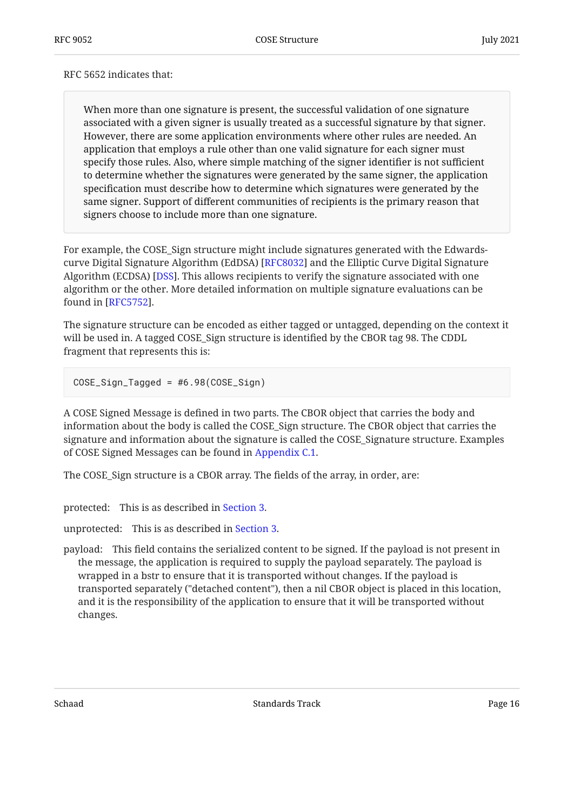#### RFC 5652 indicates that:

When more than one signature is present, the successful validation of one signature associated with a given signer is usually treated as a successful signature by that signer. However, there are some application environments where other rules are needed. An application that employs a rule other than one valid signature for each signer must specify those rules. Also, where simple matching of the signer identifier is not sufficient to determine whether the signatures were generated by the same signer, the application specification must describe how to determine which signatures were generated by the same signer. Support of different communities of recipients is the primary reason that signers choose to include more than one signature.

For example, the COSE\_Sign structure might include signatures generated with the Edwardscurve Digital Signature Algorithm (EdDSA) [RFC8032] and the Elliptic Curve Digital Signature Algorithm (ECDSA) [DSS]. This allows recipients to verify the signature associated with one algorithm or the other. More detailed information on multiple signature evaluations can be found in [RFC5752].

The signature structure can be encoded as either tagged or untagged, depending on the context it will be used in. A tagged COSE\_Sign structure is identified by the CBOR tag 98. The CDDL fragment that represents this is:

COSE\_Sign\_Tagged = #6.98(COSE\_Sign)

A COSE Signed Message is defined in two parts. The CBOR object that carries the body and information about the body is called the COSE\_Sign structure. The CBOR object that carries the signature and information about the signature is called the COSE\_Signature structure. Examples of COSE Signed Messages can be found in [Appendix C.1.](#page-50-0)

The COSE\_Sign structure is a CBOR array. The fields of the array, in order, are:

protected: This is as described in [Section 3](#page-10-0).

unprotected: This is as described in [Section 3.](#page-10-0)

payload: This field contains the serialized content to be signed. If the payload is not present in the message, the application is required to supply the payload separately. The payload is wrapped in a bstr to ensure that it is transported without changes. If the payload is transported separately ("detached content"), then a nil CBOR object is placed in this location, and it is the responsibility of the application to ensure that it will be transported without changes.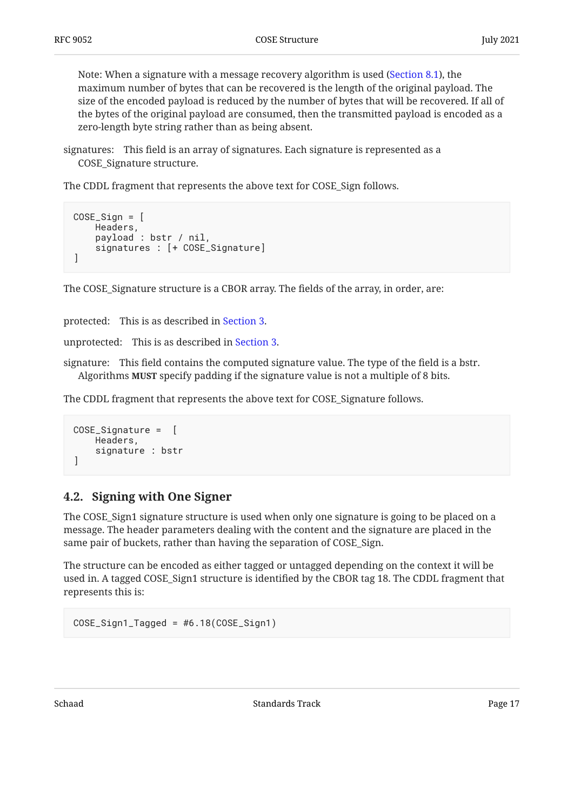Note: When a signature with a message recovery algorithm is used [\(Section 8.1](#page-30-1)), the maximum number of bytes that can be recovered is the length of the original payload. The size of the encoded payload is reduced by the number of bytes that will be recovered. If all of the bytes of the original payload are consumed, then the transmitted payload is encoded as a zero-length byte string rather than as being absent.

signatures: This field is an array of signatures. Each signature is represented as a COSE\_Signature structure.

The CDDL fragment that represents the above text for COSE\_Sign follows.

```
COSE_Sign = [
     Headers,
     payload : bstr / nil,
     signatures : [+ COSE_Signature]
]
```
The COSE\_Signature structure is a CBOR array. The fields of the array, in order, are:

protected: This is as described in [Section 3](#page-10-0).

unprotected: This is as described in [Section 3.](#page-10-0)

signature: This field contains the computed signature value. The type of the field is a bstr. Algorithms **MUST** specify padding if the signature value is not a multiple of 8 bits.

The CDDL fragment that represents the above text for COSE\_Signature follows.

```
COSE_Signature = [
     Headers,
     signature : bstr
]
```
### <span id="page-16-0"></span>**[4.2. Signing with One Signer](#page-16-0)**

The COSE\_Sign1 signature structure is used when only one signature is going to be placed on a message. The header parameters dealing with the content and the signature are placed in the same pair of buckets, rather than having the separation of COSE\_Sign.

The structure can be encoded as either tagged or untagged depending on the context it will be used in. A tagged COSE\_Sign1 structure is identified by the CBOR tag 18. The CDDL fragment that represents this is:

```
COSE_Sign1_Tagged = #6.18(COSE_Sign1)
```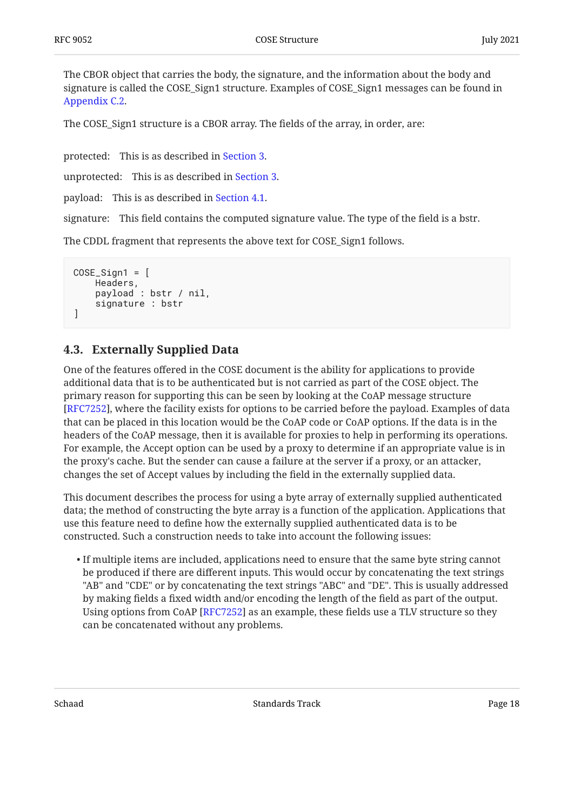The CBOR object that carries the body, the signature, and the information about the body and signature is called the COSE\_Sign1 structure. Examples of COSE\_Sign1 messages can be found in [Appendix C.2.](#page-53-0)

The COSE\_Sign1 structure is a CBOR array. The fields of the array, in order, are:

protected: This is as described in [Section 3](#page-10-0).

unprotected: This is as described in [Section 3.](#page-10-0)

payload: This is as described in [Section 4.1.](#page-14-1)

signature: This field contains the computed signature value. The type of the field is a bstr.

The CDDL fragment that represents the above text for COSE\_Sign1 follows.

```
COSE_Sign1 = Headers,
      payload : bstr / nil,
      signature : bstr
\mathbf{I}
```
## <span id="page-17-0"></span>**[4.3. Externally Supplied Data](#page-17-0)**

One of the features offered in the COSE document is the ability for applications to provide additional data that is to be authenticated but is not carried as part of the COSE object. The primary reason for supporting this can be seen by looking at the CoAP message structure [[RFC7252\]](#page-44-5), where the facility exists for options to be carried before the payload. Examples of data that can be placed in this location would be the CoAP code or CoAP options. If the data is in the headers of the CoAP message, then it is available for proxies to help in performing its operations. For example, the Accept option can be used by a proxy to determine if an appropriate value is in the proxy's cache. But the sender can cause a failure at the server if a proxy, or an attacker, changes the set of Accept values by including the field in the externally supplied data.

This document describes the process for using a byte array of externally supplied authenticated data; the method of constructing the byte array is a function of the application. Applications that use this feature need to define how the externally supplied authenticated data is to be constructed. Such a construction needs to take into account the following issues:

 $\bullet$  If multiple items are included, applications need to ensure that the same byte string cannot be produced if there are different inputs. This would occur by concatenating the text strings "AB" and "CDE" or by concatenating the text strings "ABC" and "DE". This is usually addressed by making fields a fixed width and/or encoding the length of the field as part of the output. Using options from CoAP [RFC7252] as an example, these fields use a TLV structure so they can be concatenated without any problems.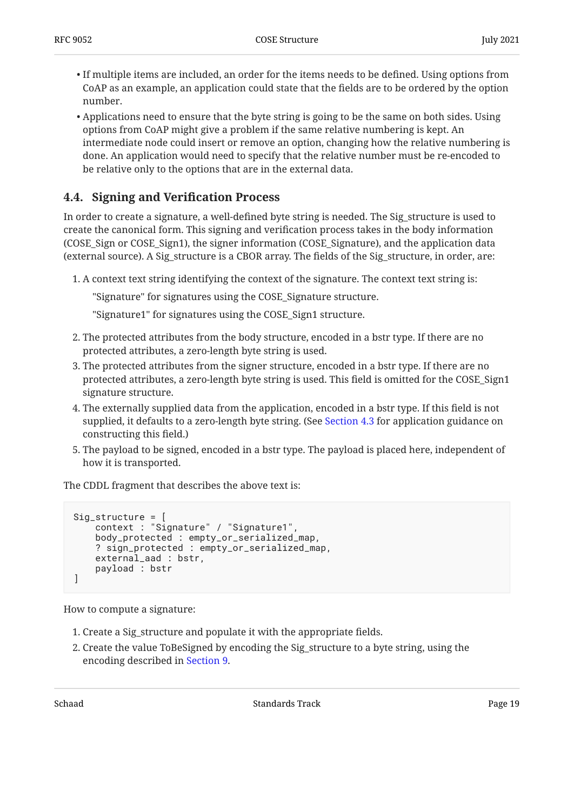- $\bullet$  If multiple items are included, an order for the items needs to be defined. Using options from CoAP as an example, an application could state that the fields are to be ordered by the option number.
- $\bullet$  Applications need to ensure that the byte string is going to be the same on both sides. Using options from CoAP might give a problem if the same relative numbering is kept. An intermediate node could insert or remove an option, changing how the relative numbering is done. An application would need to specify that the relative number must be re-encoded to be relative only to the options that are in the external data.

## <span id="page-18-0"></span>**[4.4. Signing and Veri](#page-18-0)fication Process**

In order to create a signature, a well-defined byte string is needed. The Sig\_structure is used to create the canonical form. This signing and verification process takes in the body information (COSE\_Sign or COSE\_Sign1), the signer information (COSE\_Signature), and the application data (external source). A Sig\_structure is a CBOR array. The fields of the Sig\_structure, in order, are:

A context text string identifying the context of the signature. The context text string is: 1.

"Signature" for signatures using the COSE\_Signature structure.

"Signature1" for signatures using the COSE\_Sign1 structure.

- 2. The protected attributes from the body structure, encoded in a bstr type. If there are no protected attributes, a zero-length byte string is used.
- 3. The protected attributes from the signer structure, encoded in a bstr type. If there are no protected attributes, a zero-length byte string is used. This field is omitted for the COSE\_Sign1 signature structure.
- 4. The externally supplied data from the application, encoded in a bstr type. If this field is not supplied, it defaults to a zero-length byte string. (See [Section 4.3](#page-17-0) for application guidance on constructing this field.)
- 5. The payload to be signed, encoded in a bstr type. The payload is placed here, independent of how it is transported.

The CDDL fragment that describes the above text is:

```
Sig_structure = [
     context : "Signature" / "Signature1",
     body_protected : empty_or_serialized_map,
     ? sign_protected : empty_or_serialized_map,
     external_aad : bstr,
     payload : bstr
]
```
How to compute a signature:

- 1. Create a Sig\_structure and populate it with the appropriate fields.
- 2. Create the value ToBeSigned by encoding the Sig\_structure to a byte string, using the encoding described in [Section 9](#page-36-0).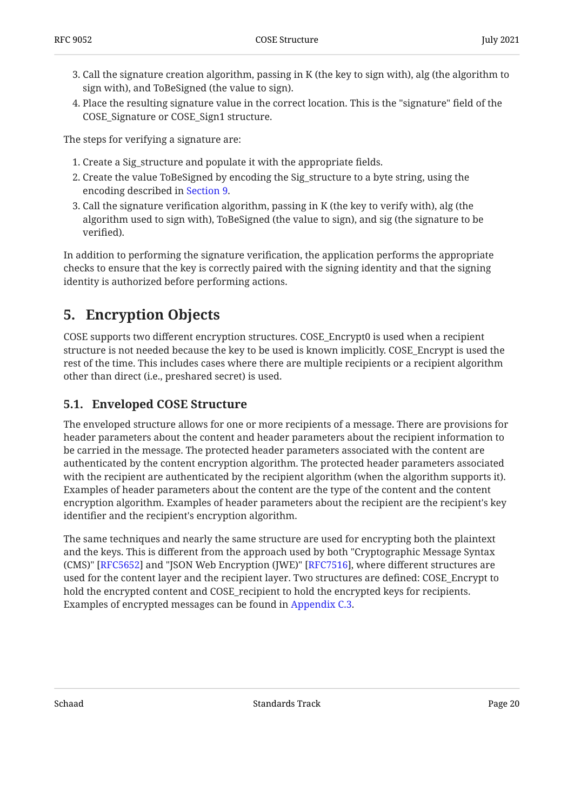- 3. Call the signature creation algorithm, passing in K (the key to sign with), alg (the algorithm to sign with), and ToBeSigned (the value to sign).
- Place the resulting signature value in the correct location. This is the "signature" field of the 4. COSE\_Signature or COSE\_Sign1 structure.

The steps for verifying a signature are:

- 1. Create a Sig\_structure and populate it with the appropriate fields.
- 2. Create the value ToBeSigned by encoding the Sig\_structure to a byte string, using the encoding described in [Section 9](#page-36-0).
- 3. Call the signature verification algorithm, passing in K (the key to verify with), alg (the algorithm used to sign with), ToBeSigned (the value to sign), and sig (the signature to be verified).

In addition to performing the signature verification, the application performs the appropriate checks to ensure that the key is correctly paired with the signing identity and that the signing identity is authorized before performing actions.

# <span id="page-19-0"></span>**[5. Encryption Objects](#page-19-0)**

COSE supports two different encryption structures. COSE\_Encrypt0 is used when a recipient structure is not needed because the key to be used is known implicitly. COSE\_Encrypt is used the rest of the time. This includes cases where there are multiple recipients or a recipient algorithm other than direct (i.e., preshared secret) is used.

## <span id="page-19-1"></span>**[5.1. Enveloped COSE Structure](#page-19-1)**

The enveloped structure allows for one or more recipients of a message. There are provisions for header parameters about the content and header parameters about the recipient information to be carried in the message. The protected header parameters associated with the content are authenticated by the content encryption algorithm. The protected header parameters associated with the recipient are authenticated by the recipient algorithm (when the algorithm supports it). Examples of header parameters about the content are the type of the content and the content encryption algorithm. Examples of header parameters about the recipient are the recipient's key identifier and the recipient's encryption algorithm.

The same techniques and nearly the same structure are used for encrypting both the plaintext and the keys. This is different from the approach used by both "Cryptographic Message Syntax (CMS)" [\[RFC5652](#page-44-4)] and "JSON Web Encryption (JWE)" [RFC7516], where different structures are used for the content layer and the recipient layer. Two structures are defined: COSE\_Encrypt to hold the encrypted content and COSE\_recipient to hold the encrypted keys for recipients. Examples of encrypted messages can be found in [Appendix C.3.](#page-54-0)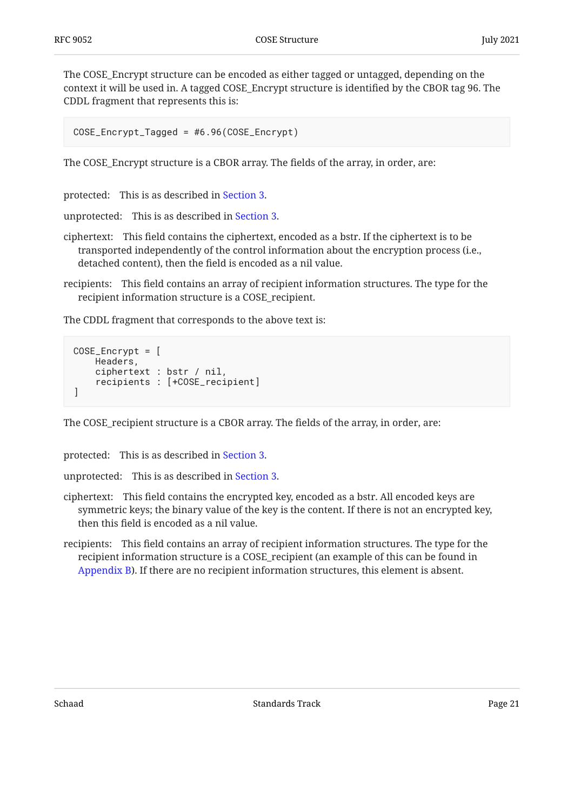The COSE\_Encrypt structure can be encoded as either tagged or untagged, depending on the context it will be used in. A tagged COSE\_Encrypt structure is identified by the CBOR tag 96. The CDDL fragment that represents this is:

COSE\_Encrypt\_Tagged = #6.96(COSE\_Encrypt)

The COSE\_Encrypt structure is a CBOR array. The fields of the array, in order, are:

protected: This is as described in [Section 3](#page-10-0).

unprotected: This is as described in [Section 3.](#page-10-0)

- ciphertext: This field contains the ciphertext, encoded as a bstr. If the ciphertext is to be transported independently of the control information about the encryption process (i.e., detached content), then the field is encoded as a nil value.
- recipients: This field contains an array of recipient information structures. The type for the recipient information structure is a COSE\_recipient.

The CDDL fragment that corresponds to the above text is:

```
COSE_Encrypt = [
     Headers,
     ciphertext : bstr / nil,
     recipients : [+COSE_recipient]
]
```
The COSE\_recipient structure is a CBOR array. The fields of the array, in order, are:

protected: This is as described in [Section 3](#page-10-0).

unprotected: This is as described in [Section 3.](#page-10-0)

- ciphertext: This field contains the encrypted key, encoded as a bstr. All encoded keys are symmetric keys; the binary value of the key is the content. If there is not an encrypted key, then this field is encoded as a nil value.
- recipients: This field contains an array of recipient information structures. The type for the recipient information structure is a COSE\_recipient (an example of this can be found in [Appendix B](#page-48-0)). If there are no recipient information structures, this element is absent.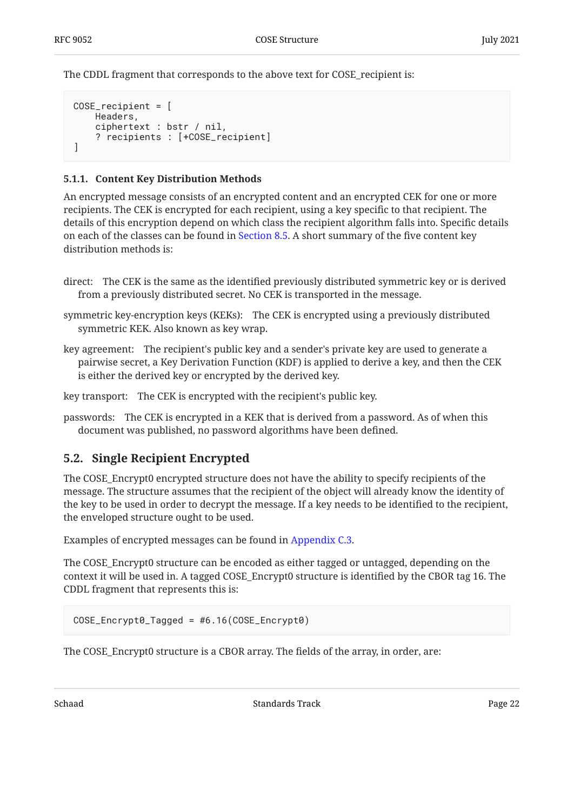The CDDL fragment that corresponds to the above text for COSE\_recipient is:

```
COSE_recipient = [
    Headers,
     ciphertext : bstr / nil,
     ? recipients : [+COSE_recipient]
]
```
#### <span id="page-21-0"></span>**[5.1.1. Content Key Distribution Methods](#page-21-0)**

An encrypted message consists of an encrypted content and an encrypted CEK for one or more recipients. The CEK is encrypted for each recipient, using a key specific to that recipient. The details of this encryption depend on which class the recipient algorithm falls into. Specific details on each of the classes can be found in [Section 8.5.](#page-33-1) A short summary of the five content key distribution methods is:

- direct: The CEK is the same as the identified previously distributed symmetric key or is derived from a previously distributed secret. No CEK is transported in the message.
- symmetric key-encryption keys (KEKs): The CEK is encrypted using a previously distributed symmetric KEK. Also known as key wrap.
- key agreement: The recipient's public key and a sender's private key are used to generate a pairwise secret, a Key Derivation Function (KDF) is applied to derive a key, and then the CEK is either the derived key or encrypted by the derived key.

key transport: The CEK is encrypted with the recipient's public key.

passwords: The CEK is encrypted in a KEK that is derived from a password. As of when this document was published, no password algorithms have been defined.

### <span id="page-21-1"></span>**[5.2. Single Recipient Encrypted](#page-21-1)**

The COSE\_Encrypt0 encrypted structure does not have the ability to specify recipients of the message. The structure assumes that the recipient of the object will already know the identity of the key to be used in order to decrypt the message. If a key needs to be identified to the recipient, the enveloped structure ought to be used.

Examples of encrypted messages can be found in [Appendix C.3.](#page-54-0)

The COSE\_Encrypt0 structure can be encoded as either tagged or untagged, depending on the context it will be used in. A tagged COSE\_Encrypt0 structure is identified by the CBOR tag 16. The CDDL fragment that represents this is:

```
COSE_Encrypt0_Tagged = #6.16(COSE_Encrypt0)
```
The COSE\_Encrypt0 structure is a CBOR array. The fields of the array, in order, are: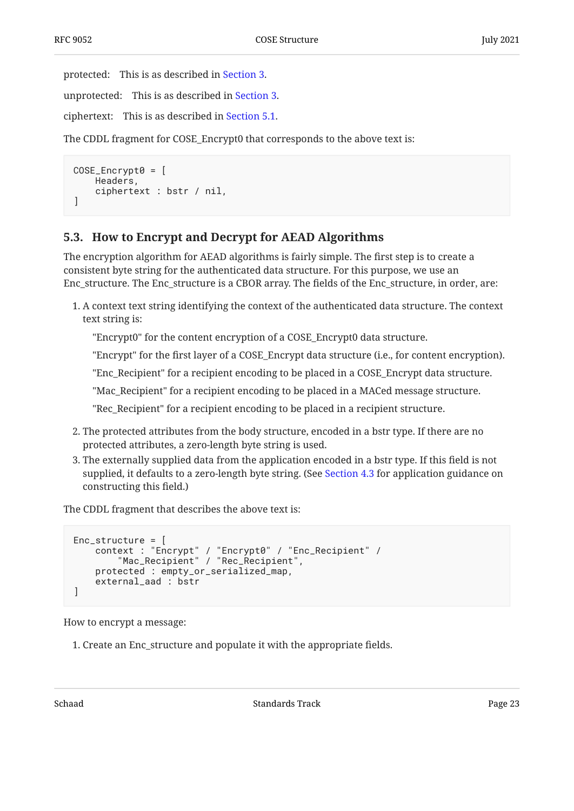protected: This is as described in [Section 3](#page-10-0).

unprotected: This is as described in [Section 3.](#page-10-0)

ciphertext: This is as described in [Section 5.1.](#page-19-1)

The CDDL fragment for COSE\_Encrypt0 that corresponds to the above text is:

```
COSE_{\_Encrypt0} = \lceil Headers,
      ciphertext : bstr / nil,
]
```
## <span id="page-22-0"></span>**[5.3. How to Encrypt and Decrypt for AEAD Algorithms](#page-22-0)**

The encryption algorithm for AEAD algorithms is fairly simple. The first step is to create a consistent byte string for the authenticated data structure. For this purpose, we use an Enc\_structure. The Enc\_structure is a CBOR array. The fields of the Enc\_structure, in order, are:

A context text string identifying the context of the authenticated data structure. The context 1. text string is:

"Encrypt0" for the content encryption of a COSE\_Encrypt0 data structure.

"Encrypt" for the first layer of a COSE\_Encrypt data structure (i.e., for content encryption).

"Enc\_Recipient" for a recipient encoding to be placed in a COSE\_Encrypt data structure.

"Mac\_Recipient" for a recipient encoding to be placed in a MACed message structure.

"Rec\_Recipient" for a recipient encoding to be placed in a recipient structure.

- 2. The protected attributes from the body structure, encoded in a bstr type. If there are no protected attributes, a zero-length byte string is used.
- 3. The externally supplied data from the application encoded in a bstr type. If this field is not supplied, it defaults to a zero-length byte string. (See [Section 4.3](#page-17-0) for application guidance on constructing this field.)

The CDDL fragment that describes the above text is:

```
Enc_structure = [
 context : "Encrypt" / "Encrypt0" / "Enc_Recipient" /
 "Mac_Recipient" / "Rec_Recipient",
     protected : empty_or_serialized_map,
     external_aad : bstr
]
```
How to encrypt a message:

1. Create an Enc\_structure and populate it with the appropriate fields.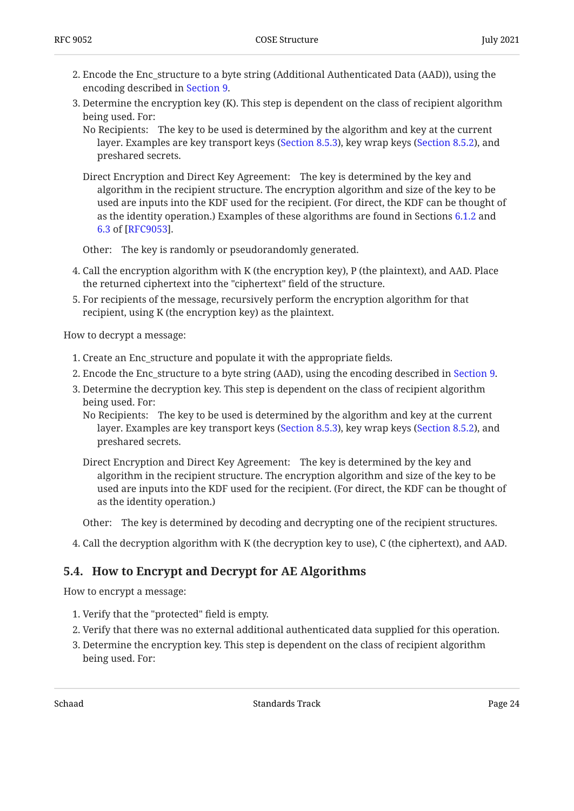- Encode the Enc\_structure to a byte string (Additional Authenticated Data (AAD)), using the 2. encoding described in [Section 9](#page-36-0).
- 3. Determine the encryption key (K). This step is dependent on the class of recipient algorithm being used. For:

No Recipients: The key to be used is determined by the algorithm and key at the current layer. Examples are key transport keys [\(Section 8.5.3](#page-34-1)), key wrap keys ([Section 8.5.2\)](#page-34-0), and preshared secrets.

Direct Encryption and Direct Key Agreement: The key is determined by the key and algorithm in the recipient structure. The encryption algorithm and size of the key to be used are inputs into the KDF used for the recipient. (For direct, the KDF can be thought of as the identity operation.) Examples of these algorithms are found in Sections [6.1.2](https://www.rfc-editor.org/rfc/rfc9053#section-6.1.2) and [6.3](https://www.rfc-editor.org/rfc/rfc9053#section-6.3) of [RFC9053].

Other: The key is randomly or pseudorandomly generated.

- Call the encryption algorithm with K (the encryption key), P (the plaintext), and AAD. Place 4. the returned ciphertext into the "ciphertext" field of the structure.
- For recipients of the message, recursively perform the encryption algorithm for that 5. recipient, using K (the encryption key) as the plaintext.

How to decrypt a message:

- 1. Create an Enc\_structure and populate it with the appropriate fields.
- Encode the Enc\_structure to a byte string (AAD), using the encoding described in [Section 9.](#page-36-0) 2.
- 3. Determine the decryption key. This step is dependent on the class of recipient algorithm being used. For:
	- No Recipients: The key to be used is determined by the algorithm and key at the current layer. Examples are key transport keys [\(Section 8.5.3](#page-34-1)), key wrap keys ([Section 8.5.2\)](#page-34-0), and preshared secrets.
	- Direct Encryption and Direct Key Agreement: The key is determined by the key and algorithm in the recipient structure. The encryption algorithm and size of the key to be used are inputs into the KDF used for the recipient. (For direct, the KDF can be thought of as the identity operation.)
	- Other: The key is determined by decoding and decrypting one of the recipient structures.
- <span id="page-23-0"></span>4. Call the decryption algorithm with K (the decryption key to use), C (the ciphertext), and AAD.  $\,$

### **[5.4. How to Encrypt and Decrypt for AE Algorithms](#page-23-0)**

How to encrypt a message:

- 1. Verify that the "protected" field is empty.
- Verify that there was no external additional authenticated data supplied for this operation. 2.
- 3. Determine the encryption key. This step is dependent on the class of recipient algorithm being used. For: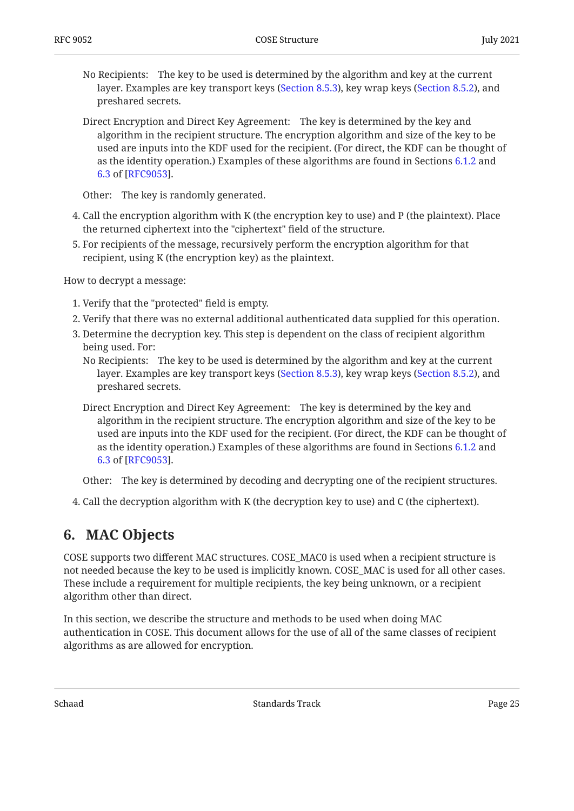- No Recipients: The key to be used is determined by the algorithm and key at the current layer. Examples are key transport keys [\(Section 8.5.3](#page-34-1)), key wrap keys ([Section 8.5.2\)](#page-34-0), and preshared secrets.
- Direct Encryption and Direct Key Agreement: The key is determined by the key and algorithm in the recipient structure. The encryption algorithm and size of the key to be used are inputs into the KDF used for the recipient. (For direct, the KDF can be thought of as the identity operation.) Examples of these algorithms are found in Sections [6.1.2](https://www.rfc-editor.org/rfc/rfc9053#section-6.1.2) and [6.3](https://www.rfc-editor.org/rfc/rfc9053#section-6.3) of [RFC9053].

Other: The key is randomly generated.

- Call the encryption algorithm with K (the encryption key to use) and P (the plaintext). Place 4. the returned ciphertext into the "ciphertext" field of the structure.
- For recipients of the message, recursively perform the encryption algorithm for that 5. recipient, using K (the encryption key) as the plaintext.

How to decrypt a message:

- 1. Verify that the "protected" field is empty.
- Verify that there was no external additional authenticated data supplied for this operation. 2.
- 3. Determine the decryption key. This step is dependent on the class of recipient algorithm being used. For:
	- No Recipients: The key to be used is determined by the algorithm and key at the current layer. Examples are key transport keys [\(Section 8.5.3](#page-34-1)), key wrap keys ([Section 8.5.2\)](#page-34-0), and preshared secrets.
	- Direct Encryption and Direct Key Agreement: The key is determined by the key and algorithm in the recipient structure. The encryption algorithm and size of the key to be used are inputs into the KDF used for the recipient. (For direct, the KDF can be thought of as the identity operation.) Examples of these algorithms are found in Sections [6.1.2](https://www.rfc-editor.org/rfc/rfc9053#section-6.1.2) and [6.3](https://www.rfc-editor.org/rfc/rfc9053#section-6.3) of [[RFC9053\]](#page-42-4).

Other: The key is determined by decoding and decrypting one of the recipient structures.

<span id="page-24-0"></span>4. Call the decryption algorithm with K (the decryption key to use) and C (the ciphertext).  $\,$ 

# **[6. MAC Objects](#page-24-0)**

COSE supports two different MAC structures. COSE\_MAC0 is used when a recipient structure is not needed because the key to be used is implicitly known. COSE\_MAC is used for all other cases. These include a requirement for multiple recipients, the key being unknown, or a recipient algorithm other than direct.

In this section, we describe the structure and methods to be used when doing MAC authentication in COSE. This document allows for the use of all of the same classes of recipient algorithms as are allowed for encryption.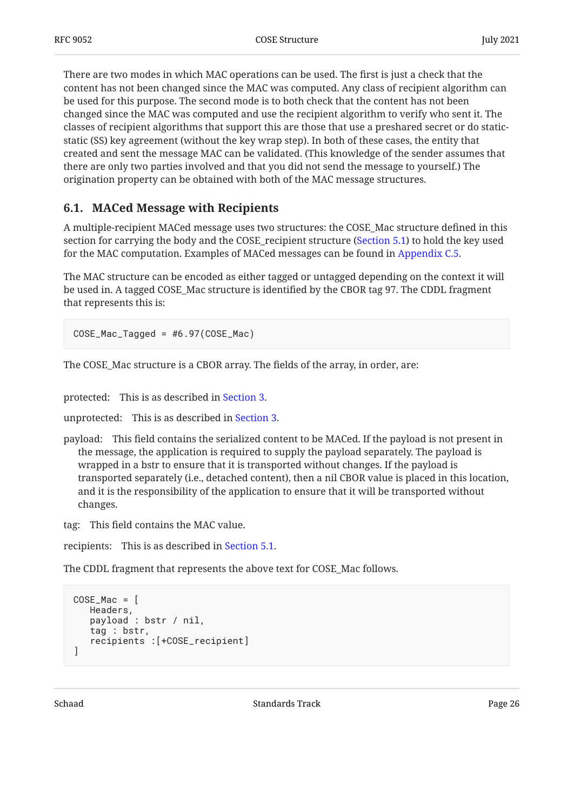There are two modes in which MAC operations can be used. The first is just a check that the content has not been changed since the MAC was computed. Any class of recipient algorithm can be used for this purpose. The second mode is to both check that the content has not been changed since the MAC was computed and use the recipient algorithm to verify who sent it. The classes of recipient algorithms that support this are those that use a preshared secret or do staticstatic (SS) key agreement (without the key wrap step). In both of these cases, the entity that created and sent the message MAC can be validated. (This knowledge of the sender assumes that there are only two parties involved and that you did not send the message to yourself.) The origination property can be obtained with both of the MAC message structures.

## <span id="page-25-0"></span>**[6.1. MACed Message with Recipients](#page-25-0)**

A multiple-recipient MACed message uses two structures: the COSE\_Mac structure defined in this section for carrying the body and the COSE\_recipient structure [\(Section 5.1](#page-19-1)) to hold the key used for the MAC computation. Examples of MACed messages can be found in [Appendix C.5.](#page-57-1)

The MAC structure can be encoded as either tagged or untagged depending on the context it will be used in. A tagged COSE\_Mac structure is identified by the CBOR tag 97. The CDDL fragment that represents this is:

COSE\_Mac\_Tagged = #6.97(COSE\_Mac)

The COSE\_Mac structure is a CBOR array. The fields of the array, in order, are:

protected: This is as described in [Section 3](#page-10-0).

unprotected: This is as described in [Section 3.](#page-10-0)

payload: This field contains the serialized content to be MACed. If the payload is not present in the message, the application is required to supply the payload separately. The payload is wrapped in a bstr to ensure that it is transported without changes. If the payload is transported separately (i.e., detached content), then a nil CBOR value is placed in this location, and it is the responsibility of the application to ensure that it will be transported without changes.

tag: This field contains the MAC value.

recipients: This is as described in [Section 5.1](#page-19-1).

The CDDL fragment that represents the above text for COSE\_Mac follows.

```
COSE_Mac = Headers,
    payload : bstr / nil,
    tag : bstr,
    recipients :[+COSE_recipient]
]
```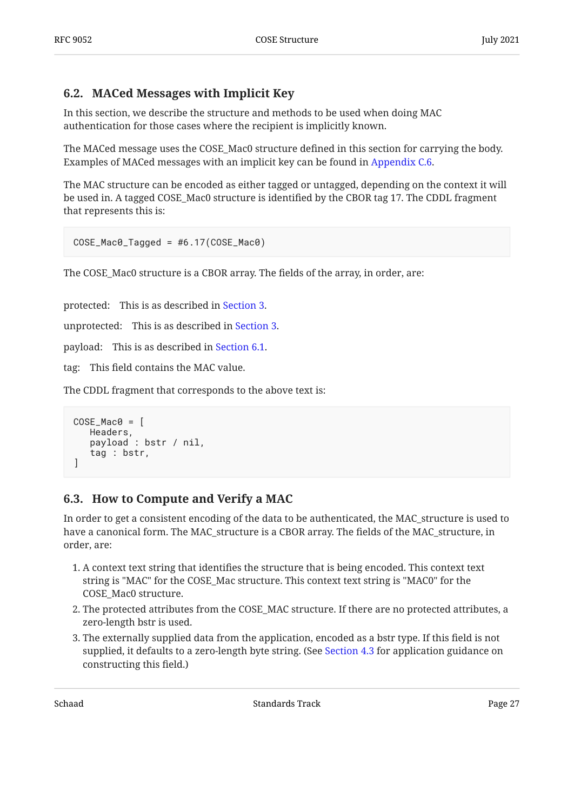## <span id="page-26-0"></span>**[6.2. MACed Messages with Implicit Key](#page-26-0)**

In this section, we describe the structure and methods to be used when doing MAC authentication for those cases where the recipient is implicitly known.

The MACed message uses the COSE\_Mac0 structure defined in this section for carrying the body. Examples of MACed messages with an implicit key can be found in [Appendix C.6](#page-61-0).

The MAC structure can be encoded as either tagged or untagged, depending on the context it will be used in. A tagged COSE\_Mac0 structure is identified by the CBOR tag 17. The CDDL fragment that represents this is:

```
COSE_Mac0_Tagged = #6.17(COSE_Mac0)
```
The COSE\_Mac0 structure is a CBOR array. The fields of the array, in order, are:

protected: This is as described in [Section 3](#page-10-0).

unprotected: This is as described in [Section 3.](#page-10-0)

payload: This is as described in [Section 6.1.](#page-25-0)

tag: This field contains the MAC value.

The CDDL fragment that corresponds to the above text is:

```
COSE_Mac0 = Headers,
    payload : bstr / nil,
    tag : bstr,
]
```
## <span id="page-26-1"></span>**[6.3. How to Compute and Verify a MAC](#page-26-1)**

In order to get a consistent encoding of the data to be authenticated, the MAC\_structure is used to have a canonical form. The MAC\_structure is a CBOR array. The fields of the MAC\_structure, in order, are:

- A context text string that identifies the structure that is being encoded. This context text 1. string is "MAC" for the COSE\_Mac structure. This context text string is "MAC0" for the COSE\_Mac0 structure.
- 2. The protected attributes from the COSE\_MAC structure. If there are no protected attributes, a zero-length bstr is used.
- 3. The externally supplied data from the application, encoded as a bstr type. If this field is not supplied, it defaults to a zero-length byte string. (See [Section 4.3](#page-17-0) for application guidance on constructing this field.)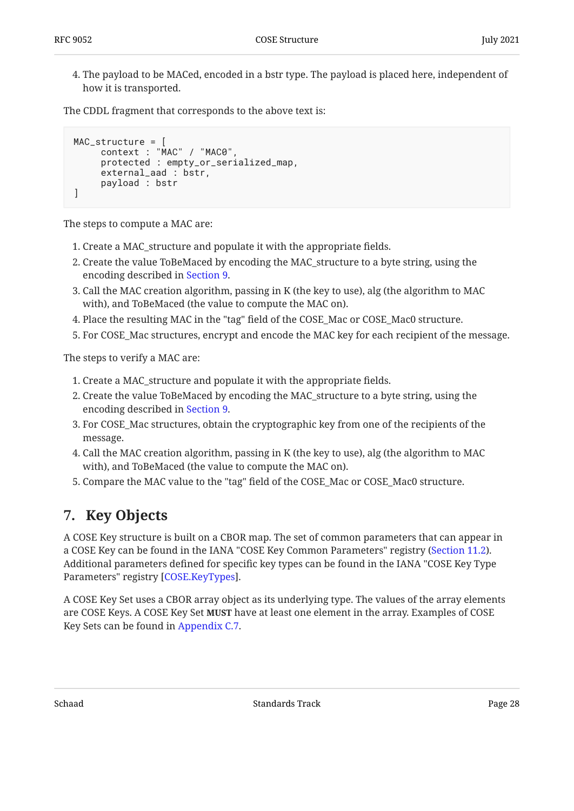4. The payload to be MACed, encoded in a bstr type. The payload is placed here, independent of how it is transported.

The CDDL fragment that corresponds to the above text is:

```
MAC_structure = [
      context : "MAC" / "MAC0",
      protected : empty_or_serialized_map,
     external aad : bstr,
      payload : bstr
]
```
The steps to compute a MAC are:

- 1. Create a MAC\_structure and populate it with the appropriate fields.
- 2. Create the value ToBeMaced by encoding the MAC\_structure to a byte string, using the encoding described in [Section 9](#page-36-0).
- 3. Call the MAC creation algorithm, passing in K (the key to use), alg (the algorithm to MAC  $\,$ with), and ToBeMaced (the value to compute the MAC on).
- Place the resulting MAC in the "tag" field of the COSE\_Mac or COSE\_Mac0 structure. 4.
- For COSE\_Mac structures, encrypt and encode the MAC key for each recipient of the message. 5.

The steps to verify a MAC are:

- 1. Create a MAC\_structure and populate it with the appropriate fields.
- 2. Create the value ToBeMaced by encoding the MAC\_structure to a byte string, using the encoding described in [Section 9](#page-36-0).
- 3. For COSE\_Mac structures, obtain the cryptographic key from one of the recipients of the message.
- 4. Call the MAC creation algorithm, passing in K (the key to use), alg (the algorithm to MAC with), and ToBeMaced (the value to compute the MAC on).
- <span id="page-27-0"></span>5. Compare the MAC value to the "tag" field of the COSE\_Mac or COSE\_Mac0 structure.

# **[7. Key Objects](#page-27-0)**

A COSE Key structure is built on a CBOR map. The set of common parameters that can appear in a COSE Key can be found in the IANA "COSE Key Common Parameters" registry ([Section 11.2\)](#page-37-2). Additional parameters defined for specific key types can be found in the IANA "COSE Key Type Parameters" registry [COSE.KeyTypes].

A COSE Key Set uses a CBOR array object as its underlying type. The values of the array elements are COSE Keys. A COSE Key Set **MUST** have at least one element in the array. Examples of COSE Key Sets can be found in [Appendix C.7.](#page-62-0)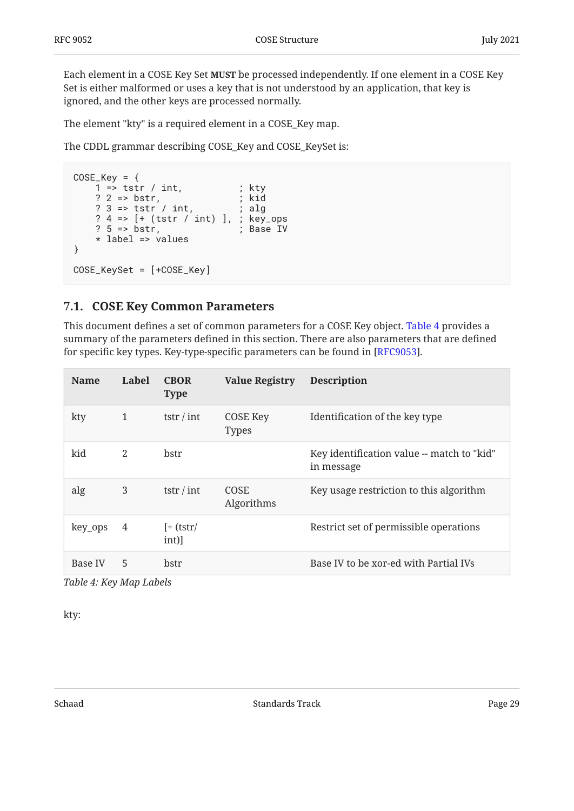Each element in a COSE Key Set **MUST** be processed independently. If one element in a COSE Key Set is either malformed or uses a key that is not understood by an application, that key is ignored, and the other keys are processed normally.

The element "kty" is a required element in a COSE\_Key map.

The CDDL grammar describing COSE\_Key and COSE\_KeySet is:

```
COSE_Key = \{1 \Rightarrow \text{tstr} / \text{int}, ; kty
 ? 2 => bstr, ; kid
 ? 3 => tstr / int, ; alg
    ? 4 => [+ (tstr / int) ], ; key_ops
   ? 5 => bstr, ; Base IV
    * label => values
}
COSE_KeySet = [+COSE_Key]
```
### <span id="page-28-0"></span>**[7.1. COSE Key Common Parameters](#page-28-0)**

This document defines a set of common parameters for a COSE Key object. [Table 4](#page-28-1) provides a summary of the parameters defined in this section. There are also parameters that are defined for specific key types. Key-type-specific parameters can be found in [\[RFC9053](#page-42-4)].

<span id="page-28-1"></span>

| <b>Name</b> | Label | <b>CBOR</b><br><b>Type</b> | <b>Value Registry</b>           | <b>Description</b>                                       |
|-------------|-------|----------------------------|---------------------------------|----------------------------------------------------------|
| kty         | 1     | tstr / int                 | <b>COSE Key</b><br><b>Types</b> | Identification of the key type                           |
| kid         | 2     | bstr                       |                                 | Key identification value -- match to "kid"<br>in message |
| alg         | 3     | tstr / int                 | <b>COSE</b><br>Algorithms       | Key usage restriction to this algorithm                  |
| key_ops     | 4     | $[+$ (tstr/<br>int)]       |                                 | Restrict set of permissible operations                   |
| Base IV     | 5     | bstr                       |                                 | Base IV to be xor-ed with Partial IVs                    |

*[Table 4](#page-28-1): [Key Map Labels](#page-28-1)* 

kty: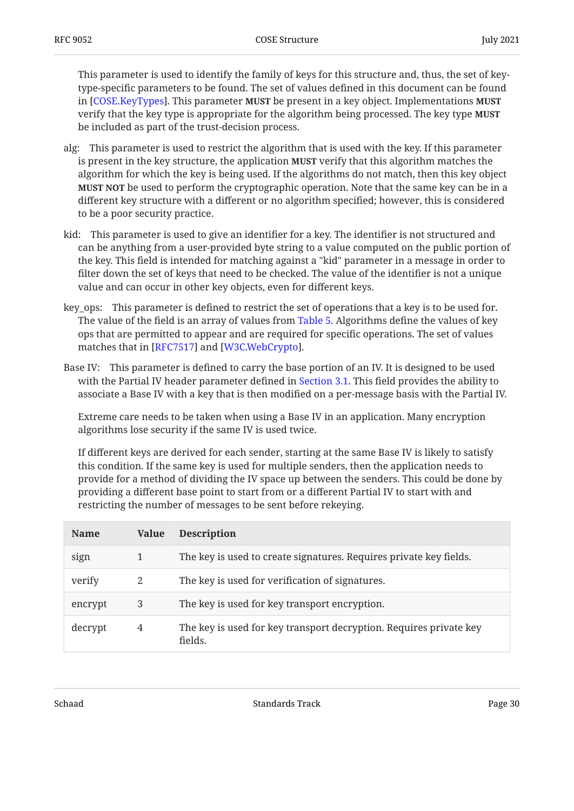This parameter is used to identify the family of keys for this structure and, thus, the set of keytype-specific parameters to be found. The set of values defined in this document can be found in [COSE.KeyTypes]. This parameter **MUST** be present in a key object. Implementations **MUST** verify that the key type is appropriate for the algorithm being processed. The key type **MUST** be included as part of the trust-decision process.

- alg: This parameter is used to restrict the algorithm that is used with the key. If this parameter is present in the key structure, the application **MUST** verify that this algorithm matches the algorithm for which the key is being used. If the algorithms do not match, then this key object **MUST NOT** be used to perform the cryptographic operation. Note that the same key can be in a different key structure with a different or no algorithm specified; however, this is considered to be a poor security practice.
- kid: This parameter is used to give an identifier for a key. The identifier is not structured and can be anything from a user-provided byte string to a value computed on the public portion of the key. This field is intended for matching against a "kid" parameter in a message in order to filter down the set of keys that need to be checked. The value of the identifier is not a unique value and can occur in other key objects, even for different keys.
- key\_ops: This parameter is defined to restrict the set of operations that a key is to be used for. The value of the field is an array of values from [Table 5](#page-29-0). Algorithms define the values of key ops that are permitted to appear and are required for specific operations. The set of values matches that in  $[RFC7517]$  and  $[W3C.WebCrypto]$ .
- Base IV: This parameter is defined to carry the base portion of an IV. It is designed to be used with the Partial IV header parameter defined in [Section 3.1](#page-12-0). This field provides the ability to associate a Base IV with a key that is then modified on a per-message basis with the Partial IV.

Extreme care needs to be taken when using a Base IV in an application. Many encryption algorithms lose security if the same IV is used twice.

If different keys are derived for each sender, starting at the same Base IV is likely to satisfy this condition. If the same key is used for multiple senders, then the application needs to provide for a method of dividing the IV space up between the senders. This could be done by providing a different base point to start from or a different Partial IV to start with and restricting the number of messages to be sent before rekeying.

<span id="page-29-0"></span>

| <b>Name</b> | Value | <b>Description</b>                                                            |
|-------------|-------|-------------------------------------------------------------------------------|
| sign        |       | The key is used to create signatures. Requires private key fields.            |
| verify      | 2     | The key is used for verification of signatures.                               |
| encrypt     | 3     | The key is used for key transport encryption.                                 |
| decrypt     | 4     | The key is used for key transport decryption. Requires private key<br>fields. |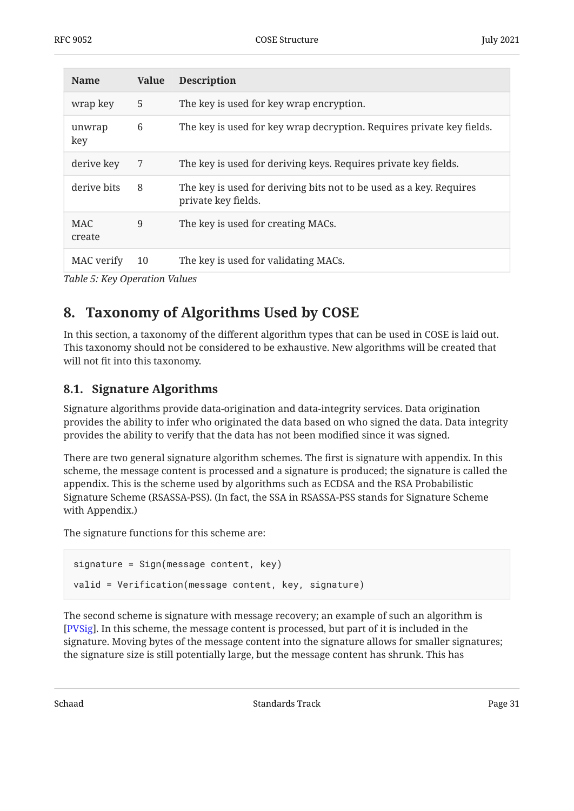| <b>Name</b>          | <b>Value</b> | <b>Description</b>                                                                         |
|----------------------|--------------|--------------------------------------------------------------------------------------------|
| wrap key             | 5            | The key is used for key wrap encryption.                                                   |
| unwrap<br>key        | 6            | The key is used for key wrap decryption. Requires private key fields.                      |
| derive key           | 7            | The key is used for deriving keys. Requires private key fields.                            |
| derive bits          | 8            | The key is used for deriving bits not to be used as a key. Requires<br>private key fields. |
| <b>MAC</b><br>create | 9            | The key is used for creating MACs.                                                         |
| MAC verify           | 10           | The key is used for validating MACs.                                                       |

<span id="page-30-0"></span>*[Table 5](#page-29-0): [Key Operation Values](#page-29-0)* 

# **[8. Taxonomy of Algorithms Used by COSE](#page-30-0)**

In this section, a taxonomy of the different algorithm types that can be used in COSE is laid out. This taxonomy should not be considered to be exhaustive. New algorithms will be created that will not fit into this taxonomy.

## <span id="page-30-1"></span>**[8.1. Signature Algorithms](#page-30-1)**

Signature algorithms provide data-origination and data-integrity services. Data origination provides the ability to infer who originated the data based on who signed the data. Data integrity provides the ability to verify that the data has not been modified since it was signed.

There are two general signature algorithm schemes. The first is signature with appendix. In this scheme, the message content is processed and a signature is produced; the signature is called the appendix. This is the scheme used by algorithms such as ECDSA and the RSA Probabilistic Signature Scheme (RSASSA-PSS). (In fact, the SSA in RSASSA-PSS stands for Signature Scheme with Appendix.)

The signature functions for this scheme are:

```
signature = Sign(message content, key)
valid = Verification(message content, key, signature)
```
The second scheme is signature with message recovery; an example of such an algorithm is . In this scheme, the message content is processed, but part of it is included in the [[PVSig\]](#page-43-7) signature. Moving bytes of the message content into the signature allows for smaller signatures; the signature size is still potentially large, but the message content has shrunk. This has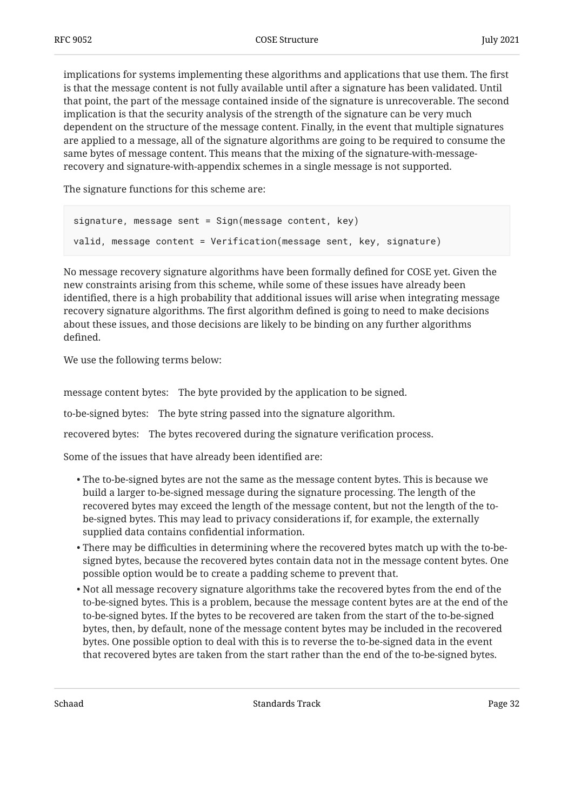implications for systems implementing these algorithms and applications that use them. The first is that the message content is not fully available until after a signature has been validated. Until that point, the part of the message contained inside of the signature is unrecoverable. The second implication is that the security analysis of the strength of the signature can be very much dependent on the structure of the message content. Finally, in the event that multiple signatures are applied to a message, all of the signature algorithms are going to be required to consume the same bytes of message content. This means that the mixing of the signature-with-messagerecovery and signature-with-appendix schemes in a single message is not supported.

The signature functions for this scheme are:

```
signature, message sent = Sign(message content, key)
valid, message content = Verification(message sent, key, signature)
```
No message recovery signature algorithms have been formally defined for COSE yet. Given the new constraints arising from this scheme, while some of these issues have already been identified, there is a high probability that additional issues will arise when integrating message recovery signature algorithms. The first algorithm defined is going to need to make decisions about these issues, and those decisions are likely to be binding on any further algorithms defined.

We use the following terms below:

message content bytes: The byte provided by the application to be signed.

to-be-signed bytes: The byte string passed into the signature algorithm.

recovered bytes: The bytes recovered during the signature verification process.

Some of the issues that have already been identified are:

- The to-be-signed bytes are not the same as the message content bytes. This is because we build a larger to-be-signed message during the signature processing. The length of the recovered bytes may exceed the length of the message content, but not the length of the tobe-signed bytes. This may lead to privacy considerations if, for example, the externally supplied data contains confidential information.
- $\bullet$  There may be difficulties in determining where the recovered bytes match up with the to-besigned bytes, because the recovered bytes contain data not in the message content bytes. One possible option would be to create a padding scheme to prevent that.
- $\bullet$  Not all message recovery signature algorithms take the recovered bytes from the end of the to-be-signed bytes. This is a problem, because the message content bytes are at the end of the to-be-signed bytes. If the bytes to be recovered are taken from the start of the to-be-signed bytes, then, by default, none of the message content bytes may be included in the recovered bytes. One possible option to deal with this is to reverse the to-be-signed data in the event that recovered bytes are taken from the start rather than the end of the to-be-signed bytes.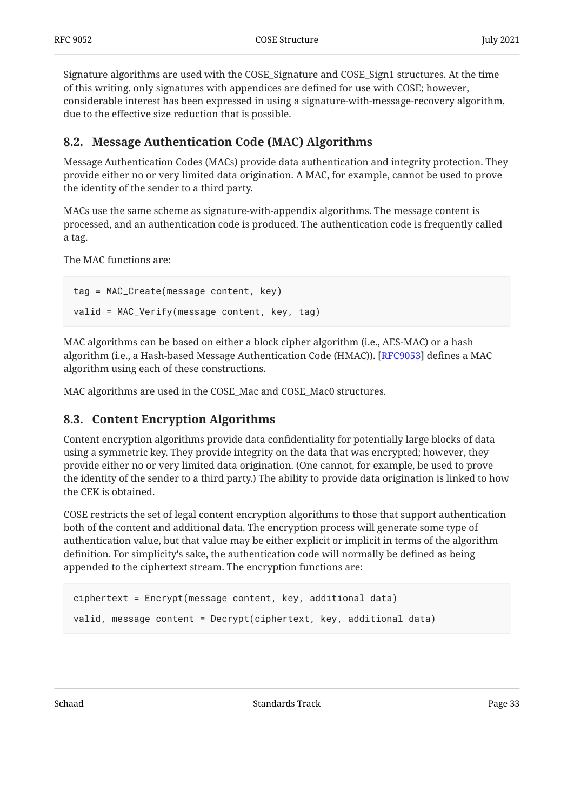Signature algorithms are used with the COSE\_Signature and COSE\_Sign1 structures. At the time of this writing, only signatures with appendices are defined for use with COSE; however, considerable interest has been expressed in using a signature-with-message-recovery algorithm, due to the effective size reduction that is possible.

## <span id="page-32-0"></span>**[8.2. Message Authentication Code \(MAC\) Algorithms](#page-32-0)**

Message Authentication Codes (MACs) provide data authentication and integrity protection. They provide either no or very limited data origination. A MAC, for example, cannot be used to prove the identity of the sender to a third party.

MACs use the same scheme as signature-with-appendix algorithms. The message content is processed, and an authentication code is produced. The authentication code is frequently called a tag.

The MAC functions are:

```
tag = MAC_Create(message content, key)
valid = MAC_Verify(message content, key, tag)
```
MAC algorithms can be based on either a block cipher algorithm (i.e., AES-MAC) or a hash algorithm (i.e., a Hash-based Message Authentication Code (HMAC)). [RFC9053] defines a MAC algorithm using each of these constructions.

<span id="page-32-1"></span>MAC algorithms are used in the COSE\_Mac and COSE\_Mac0 structures.

## **[8.3. Content Encryption Algorithms](#page-32-1)**

Content encryption algorithms provide data confidentiality for potentially large blocks of data using a symmetric key. They provide integrity on the data that was encrypted; however, they provide either no or very limited data origination. (One cannot, for example, be used to prove the identity of the sender to a third party.) The ability to provide data origination is linked to how the CEK is obtained.

COSE restricts the set of legal content encryption algorithms to those that support authentication both of the content and additional data. The encryption process will generate some type of authentication value, but that value may be either explicit or implicit in terms of the algorithm definition. For simplicity's sake, the authentication code will normally be defined as being appended to the ciphertext stream. The encryption functions are:

```
ciphertext = Encrypt(message content, key, additional data)
valid, message content = Decrypt(ciphertext, key, additional data)
```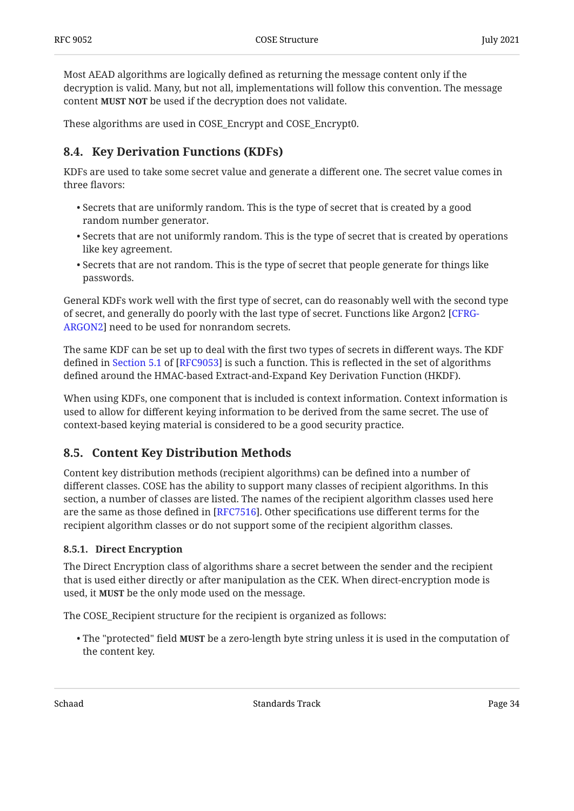Most AEAD algorithms are logically defined as returning the message content only if the decryption is valid. Many, but not all, implementations will follow this convention. The message content **MUST NOT** be used if the decryption does not validate.

<span id="page-33-0"></span>These algorithms are used in COSE\_Encrypt and COSE\_Encrypt0.

## **[8.4. Key Derivation Functions \(KDFs\)](#page-33-0)**

KDFs are used to take some secret value and generate a different one. The secret value comes in three flavors:

- $\bullet$  Secrets that are uniformly random. This is the type of secret that is created by a good random number generator.
- $\bullet$  Secrets that are not uniformly random. This is the type of secret that is created by operations like key agreement.
- $\bullet$  Secrets that are not random. This is the type of secret that people generate for things like passwords.

General KDFs work well with the first type of secret, can do reasonably well with the second type of secret, and generally do poorly with the last type of secret. Functions like Argon2 [[CFRG-](#page-43-8)[ARGON2](#page-43-8)] need to be used for nonrandom secrets.

The same KDF can be set up to deal with the first two types of secrets in different ways. The KDF defined in Section 5.1 of [RFC9053] is such a function. This is reflected in the set of algorithms defined around the HMAC-based Extract-and-Expand Key Derivation Function (HKDF).

When using KDFs, one component that is included is context information. Context information is used to allow for different keying information to be derived from the same secret. The use of context-based keying material is considered to be a good security practice.

### <span id="page-33-1"></span>**[8.5. Content Key Distribution Methods](#page-33-1)**

Content key distribution methods (recipient algorithms) can be defined into a number of different classes. COSE has the ability to support many classes of recipient algorithms. In this section, a number of classes are listed. The names of the recipient algorithm classes used here are the same as those defined in [[RFC7516\]](#page-44-1). Other specifications use different terms for the recipient algorithm classes or do not support some of the recipient algorithm classes.

### <span id="page-33-2"></span>**[8.5.1. Direct Encryption](#page-33-2)**

The Direct Encryption class of algorithms share a secret between the sender and the recipient that is used either directly or after manipulation as the CEK. When direct-encryption mode is used, it **MUST** be the only mode used on the message.

The COSE\_Recipient structure for the recipient is organized as follows:

 $\bullet$  The "protected" field MUST be a zero-length byte string unless it is used in the computation of the content key.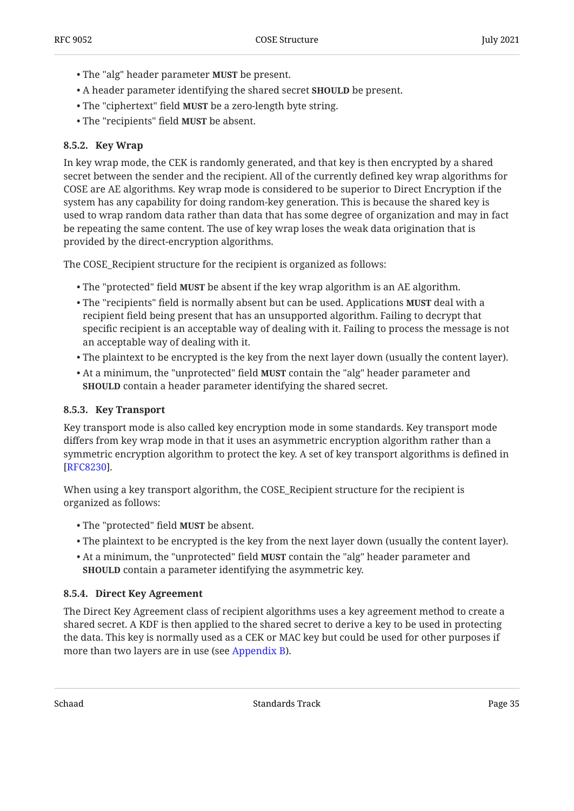- The "alg" header parameter **MUST** be present.
- A header parameter identifying the shared secret **SHOULD** be present.
- The "ciphertext" field **MUST** be a zero-length byte string.
- The "recipients" field **MUST** be absent.

#### <span id="page-34-0"></span>**[8.5.2. Key Wrap](#page-34-0)**

In key wrap mode, the CEK is randomly generated, and that key is then encrypted by a shared secret between the sender and the recipient. All of the currently defined key wrap algorithms for COSE are AE algorithms. Key wrap mode is considered to be superior to Direct Encryption if the system has any capability for doing random-key generation. This is because the shared key is used to wrap random data rather than data that has some degree of organization and may in fact be repeating the same content. The use of key wrap loses the weak data origination that is provided by the direct-encryption algorithms.

The COSE\_Recipient structure for the recipient is organized as follows:

- The "protected" field **MUST** be absent if the key wrap algorithm is an AE algorithm.
- The "recipients" field is normally absent but can be used. Applications **MUST** deal with a recipient field being present that has an unsupported algorithm. Failing to decrypt that specific recipient is an acceptable way of dealing with it. Failing to process the message is not an acceptable way of dealing with it.
- $\bullet$  The plaintext to be encrypted is the key from the next layer down (usually the content layer).
- At a minimum, the "unprotected" field **MUST** contain the "alg" header parameter and **SHOULD** contain a header parameter identifying the shared secret.

#### <span id="page-34-1"></span>**[8.5.3. Key Transport](#page-34-1)**

Key transport mode is also called key encryption mode in some standards. Key transport mode differs from key wrap mode in that it uses an asymmetric encryption algorithm rather than a symmetric encryption algorithm to protect the key. A set of key transport algorithms is defined in . [[RFC8230\]](#page-45-2)

When using a key transport algorithm, the COSE\_Recipient structure for the recipient is organized as follows:

- The "protected" field **MUST** be absent.
- The plaintext to be encrypted is the key from the next layer down (usually the content layer). •
- At a minimum, the "unprotected" field **MUST** contain the "alg" header parameter and **SHOULD** contain a parameter identifying the asymmetric key.

#### <span id="page-34-2"></span>**[8.5.4. Direct Key Agreement](#page-34-2)**

The Direct Key Agreement class of recipient algorithms uses a key agreement method to create a shared secret. A KDF is then applied to the shared secret to derive a key to be used in protecting the data. This key is normally used as a CEK or MAC key but could be used for other purposes if more than two layers are in use (see [Appendix B](#page-48-0)).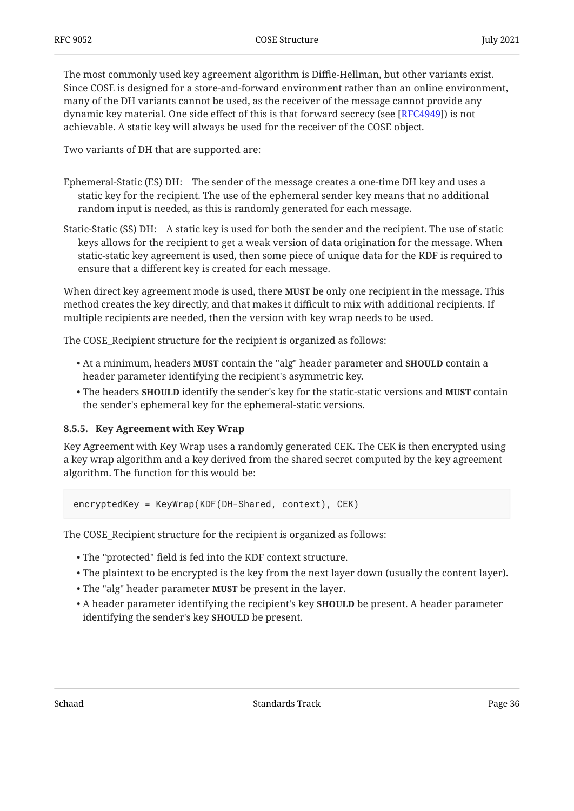The most commonly used key agreement algorithm is Diffie-Hellman, but other variants exist. Since COSE is designed for a store-and-forward environment rather than an online environment, many of the DH variants cannot be used, as the receiver of the message cannot provide any dynamic key material. One side effect of this is that forward secrecy (see [\[RFC4949](#page-44-10)]) is not achievable. A static key will always be used for the receiver of the COSE object.

Two variants of DH that are supported are:

- Ephemeral-Static (ES) DH: The sender of the message creates a one-time DH key and uses a static key for the recipient. The use of the ephemeral sender key means that no additional random input is needed, as this is randomly generated for each message.
- Static-Static (SS) DH: A static key is used for both the sender and the recipient. The use of static keys allows for the recipient to get a weak version of data origination for the message. When static-static key agreement is used, then some piece of unique data for the KDF is required to ensure that a different key is created for each message.

When direct key agreement mode is used, there **MUST** be only one recipient in the message. This method creates the key directly, and that makes it difficult to mix with additional recipients. If multiple recipients are needed, then the version with key wrap needs to be used.

The COSE\_Recipient structure for the recipient is organized as follows:

- At a minimum, headers **MUST** contain the "alg" header parameter and <code>SHOULD</code> contain a header parameter identifying the recipient's asymmetric key.
- $\bullet$  The headers SHOULD identify the sender's key for the static-static versions and MUST contain the sender's ephemeral key for the ephemeral-static versions.

#### <span id="page-35-0"></span>**[8.5.5. Key Agreement with Key Wrap](#page-35-0)**

Key Agreement with Key Wrap uses a randomly generated CEK. The CEK is then encrypted using a key wrap algorithm and a key derived from the shared secret computed by the key agreement algorithm. The function for this would be:

encryptedKey = KeyWrap(KDF(DH-Shared, context), CEK)

The COSE\_Recipient structure for the recipient is organized as follows:

- The "protected" field is fed into the KDF context structure. •
- The plaintext to be encrypted is the key from the next layer down (usually the content layer). •
- The "alg" header parameter **MUST** be present in the layer.
- $\bullet$  A header parameter identifying the recipient's key  $\textbf{SHOULD}$  be present. A header parameter identifying the sender's key **SHOULD** be present.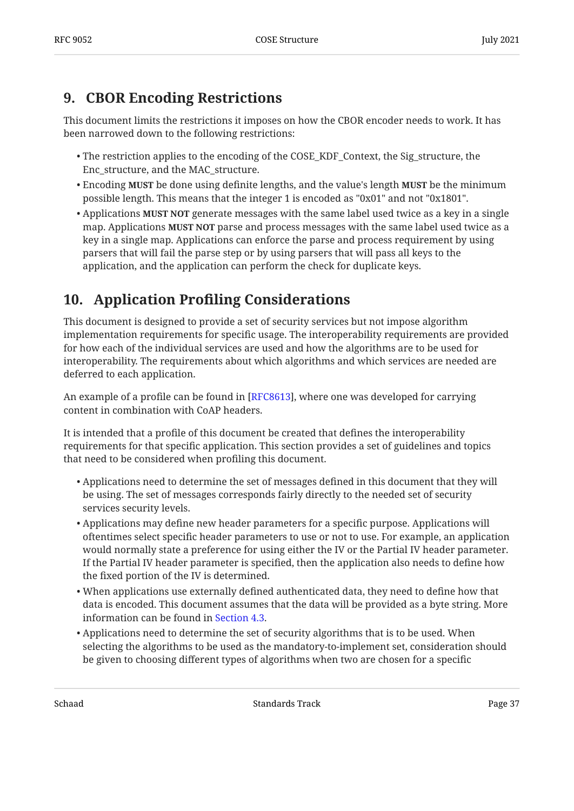# <span id="page-36-0"></span>**[9. CBOR Encoding Restrictions](#page-36-0)**

This document limits the restrictions it imposes on how the CBOR encoder needs to work. It has been narrowed down to the following restrictions:

- The restriction applies to the encoding of the COSE\_KDF\_Context, the Sig\_structure, the Enc\_structure, and the MAC\_structure.
- Encoding **MUST** be done using definite lengths, and the value's length **MUST** be the minimum possible length. This means that the integer 1 is encoded as "0x01" and not "0x1801".
- $\bullet$  Applications **MUST NOT** generate messages with the same label used twice as a key in a single map. Applications **MUST NOT** parse and process messages with the same label used twice as a key in a single map. Applications can enforce the parse and process requirement by using parsers that will fail the parse step or by using parsers that will pass all keys to the application, and the application can perform the check for duplicate keys.

# <span id="page-36-1"></span>**[10.](#page-36-1) Application Profi[ling Considerations](#page-36-1)**

This document is designed to provide a set of security services but not impose algorithm implementation requirements for specific usage. The interoperability requirements are provided for how each of the individual services are used and how the algorithms are to be used for interoperability. The requirements about which algorithms and which services are needed are deferred to each application.

An example of a profile can be found in [[RFC8613\]](#page-45-3), where one was developed for carrying content in combination with CoAP headers.

It is intended that a profile of this document be created that defines the interoperability requirements for that specific application. This section provides a set of guidelines and topics that need to be considered when profiling this document.

- $\bullet$  Applications need to determine the set of messages defined in this document that they will be using. The set of messages corresponds fairly directly to the needed set of security services security levels.
- $\bullet$  Applications may define new header parameters for a specific purpose. Applications will oftentimes select specific header parameters to use or not to use. For example, an application would normally state a preference for using either the IV or the Partial IV header parameter. If the Partial IV header parameter is specified, then the application also needs to define how the fixed portion of the IV is determined.
- When applications use externally defined authenticated data, they need to define how that data is encoded. This document assumes that the data will be provided as a byte string. More information can be found in [Section 4.3](#page-17-0).
- $\bullet$  Applications need to determine the set of security algorithms that is to be used. When selecting the algorithms to be used as the mandatory-to-implement set, consideration should be given to choosing different types of algorithms when two are chosen for a specific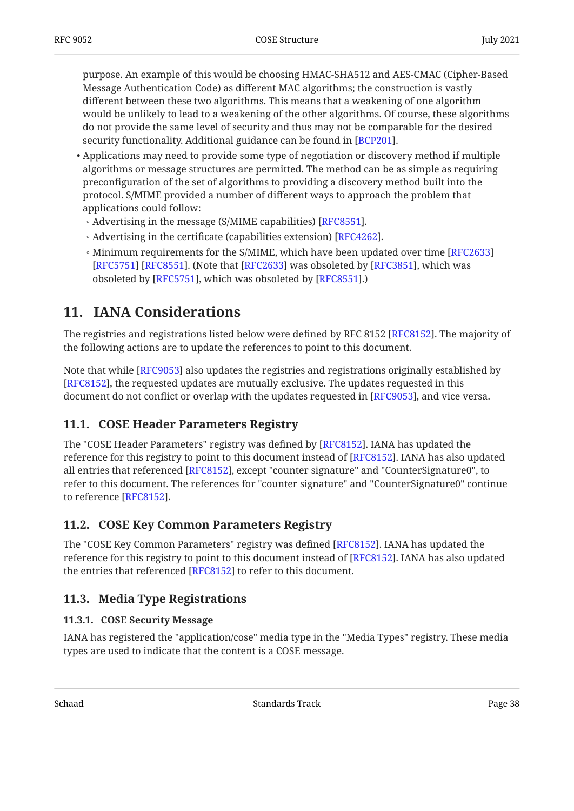purpose. An example of this would be choosing HMAC-SHA512 and AES-CMAC (Cipher-Based Message Authentication Code) as different MAC algorithms; the construction is vastly different between these two algorithms. This means that a weakening of one algorithm would be unlikely to lead to a weakening of the other algorithms. Of course, these algorithms do not provide the same level of security and thus may not be comparable for the desired security functionality. Additional guidance can be found in [[BCP201](#page-43-9)].

- $\bullet$  Applications may need to provide some type of negotiation or discovery method if multiple algorithms or message structures are permitted. The method can be as simple as requiring preconfiguration of the set of algorithms to providing a discovery method built into the protocol. S/MIME provided a number of different ways to approach the problem that applications could follow:
	- Advertising in the message (S/MIME capabilities) [RFC8551].
	- $\,\circ$  Advertising in the certificate (capabilities extension) [RFC4262].
	- Minimum requirements for the S/MIME, which have been updated over time [[RFC2633\]](#page-43-10) [[RFC5751\]](#page-44-12) [RFC8551]. (Note that [RFC2633] was obsoleted by [RFC3851], which was obsoleted by [RFC5751], which was obsoleted by [RFC8551].)

# <span id="page-37-0"></span>**[11. IANA Considerations](#page-37-0)**

The registries and registrations listed below were defined by RFC 8152 [RFC8152]. The majority of the following actions are to update the references to point to this document.

Note that while [RFC9053] also updates the registries and registrations originally established by [[RFC8152\]](#page-45-8), the requested updates are mutually exclusive. The updates requested in this document do not conflict or overlap with the updates requested in [RFC9053], and vice versa.

## <span id="page-37-1"></span>**[11.1. COSE Header Parameters Registry](#page-37-1)**

The "COSE Header Parameters" registry was defined by [[RFC8152\]](#page-45-8). IANA has updated the reference for this registry to point to this document instead of [RFC8152]. IANA has also updated all entries that referenced [[RFC8152\]](#page-45-8), except "counter signature" and "CounterSignature0", to refer to this document. The references for "counter signature" and "CounterSignature0" continue to reference [[RFC8152\]](#page-45-8).

### <span id="page-37-2"></span>**[11.2. COSE Key Common Parameters Registry](#page-37-2)**

The "COSE Key Common Parameters" registry was defined [RFC8152]. IANA has updated the reference for this registry to point to this document instead of [RFC8152]. IANA has also updated the entries that referenced [RFC8152] to refer to this document.

## <span id="page-37-4"></span><span id="page-37-3"></span>**[11.3. Media Type Registrations](#page-37-3)**

### **[11.3.1. COSE Security Message](#page-37-4)**

IANA has registered the "application/cose" media type in the "Media Types" registry. These media types are used to indicate that the content is a COSE message.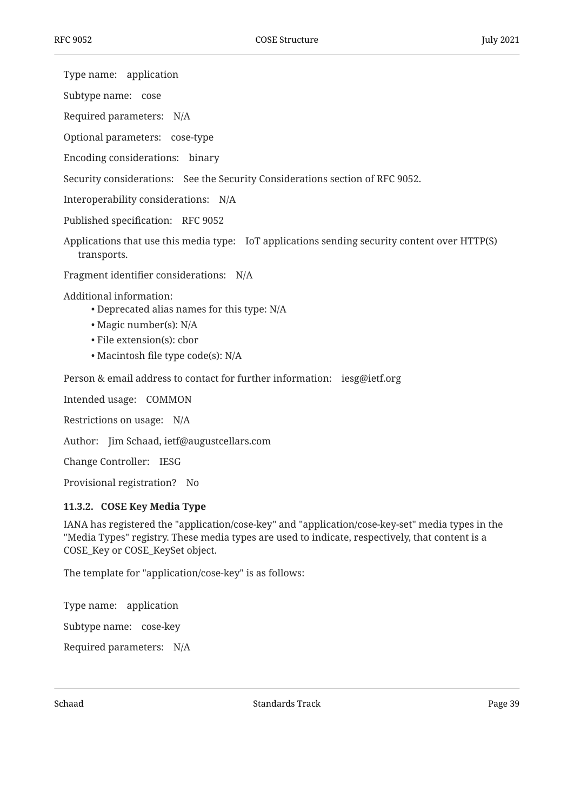Type name: application

Subtype name: cose

Required parameters: N/A

Optional parameters: cose-type

Encoding considerations: binary

Security considerations: See the Security Considerations section of RFC 9052.

Interoperability considerations: N/A

Published specification: RFC 9052

Applications that use this media type: IoT applications sending security content over HTTP(S) transports.

Fragment identifier considerations: N/A

Additional information:

- Deprecated alias names for this type: N/A •
- $\bullet$  Magic number(s): N/A
- File extension(s): cbor
- Macintosh file type code(s): N/A

Person & email address to contact for further information: iesg@ietf.org

Intended usage: COMMON

Restrictions on usage: N/A

Author: Jim Schaad, ietf@augustcellars.com

Change Controller: IESG

<span id="page-38-0"></span>Provisional registration? No

#### **[11.3.2. COSE Key Media Type](#page-38-0)**

IANA has registered the "application/cose-key" and "application/cose-key-set" media types in the "Media Types" registry. These media types are used to indicate, respectively, that content is a COSE\_Key or COSE\_KeySet object.

The template for "application/cose-key" is as follows:

Type name: application

Subtype name: cose-key

Required parameters: N/A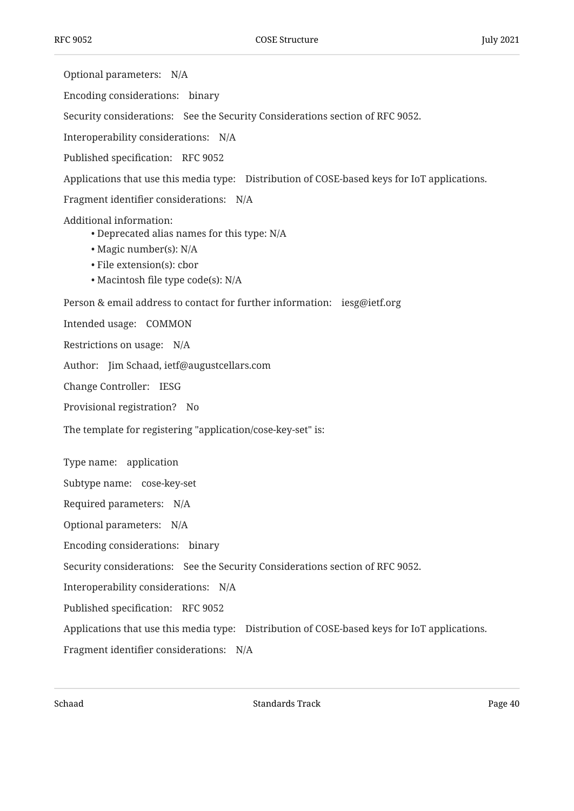Optional parameters: N/A Encoding considerations: binary Security considerations: See the Security Considerations section of RFC 9052. Interoperability considerations: N/A Published specification: RFC 9052 Applications that use this media type: Distribution of COSE-based keys for IoT applications. Fragment identifier considerations: N/A Additional information: Person & email address to contact for further information: iesg@ietf.org Intended usage: COMMON Restrictions on usage: N/A Author: Jim Schaad, ietf@augustcellars.com Change Controller: IESG Provisional registration? No Type name: application Subtype name: cose-key-set Required parameters: N/A Optional parameters: N/A Encoding considerations: binary Security considerations: See the Security Considerations section of RFC 9052. Interoperability considerations: N/A Published specification: RFC 9052 Applications that use this media type: Distribution of COSE-based keys for IoT applications. Fragment identifier considerations: N/A Deprecated alias names for this type: N/A •  $\bullet$  Magic number(s): N/A • File extension(s): cbor • Macintosh file type code(s): N/A The template for registering "application/cose-key-set" is: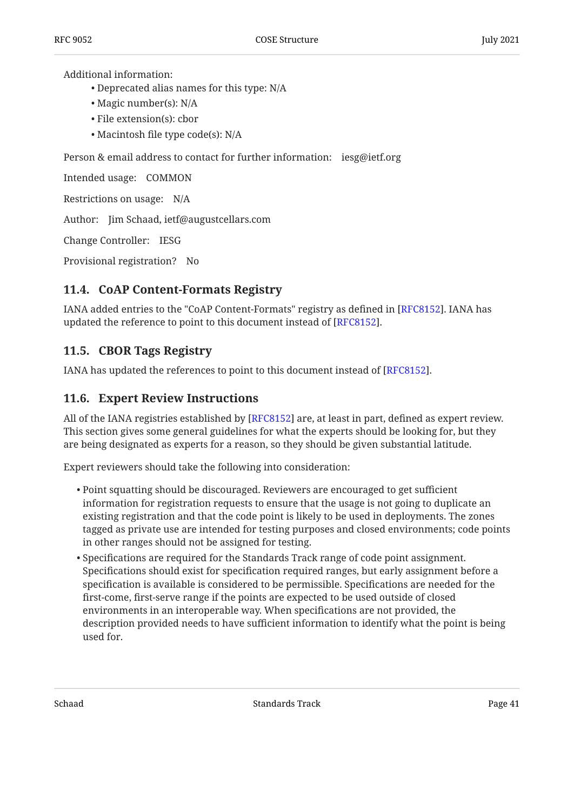Additional information:

- Deprecated alias names for this type: N/A •
- Magic number(s): N/A
- File extension(s): cbor
- Macintosh file type code(s): N/A

Person & email address to contact for further information: iesg@ietf.org

Intended usage: COMMON

Restrictions on usage: N/A

Author: Jim Schaad, ietf@augustcellars.com

Change Controller: IESG

<span id="page-40-0"></span>Provisional registration? No

### **[11.4. CoAP Content-Formats Registry](#page-40-0)**

IANA added entries to the "CoAP Content-Formats" registry as defined in [RFC8152]. IANA has updated the reference to point to this document instead of [RFC8152].

### <span id="page-40-1"></span>**[11.5. CBOR Tags Registry](#page-40-1)**

<span id="page-40-2"></span>IANA has updated the references to point to this document instead of [[RFC8152\]](#page-45-8).  $\,$ 

### **[11.6. Expert Review Instructions](#page-40-2)**

All of the IANA registries established by [[RFC8152\]](#page-45-8) are, at least in part, defined as expert review. This section gives some general guidelines for what the experts should be looking for, but they are being designated as experts for a reason, so they should be given substantial latitude.

Expert reviewers should take the following into consideration:

- Point squatting should be discouraged. Reviewers are encouraged to get sufficient information for registration requests to ensure that the usage is not going to duplicate an existing registration and that the code point is likely to be used in deployments. The zones tagged as private use are intended for testing purposes and closed environments; code points in other ranges should not be assigned for testing.
- $\bullet$  Specifications are required for the Standards Track range of code point assignment. Specifications should exist for specification required ranges, but early assignment before a specification is available is considered to be permissible. Specifications are needed for the first-come, first-serve range if the points are expected to be used outside of closed environments in an interoperable way. When specifications are not provided, the description provided needs to have sufficient information to identify what the point is being used for.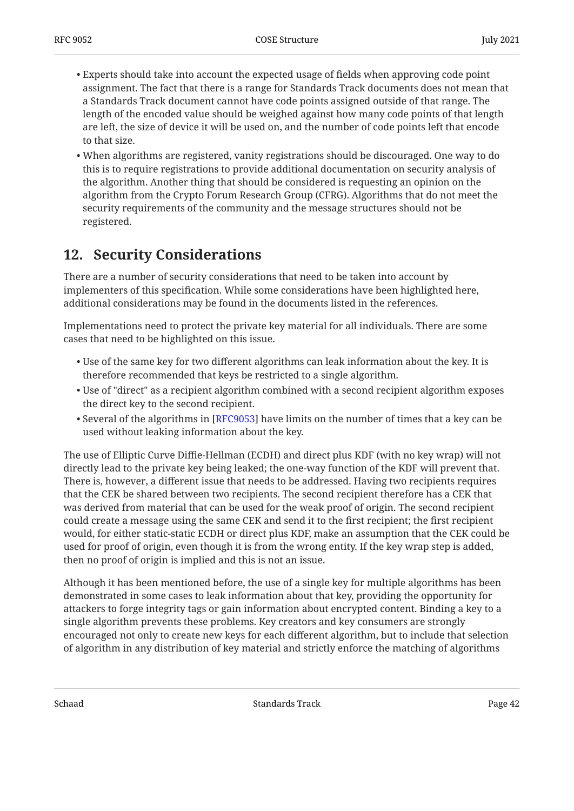- Experts should take into account the expected usage of fields when approving code point assignment. The fact that there is a range for Standards Track documents does not mean that a Standards Track document cannot have code points assigned outside of that range. The length of the encoded value should be weighed against how many code points of that length are left, the size of device it will be used on, and the number of code points left that encode to that size.
- When algorithms are registered, vanity registrations should be discouraged. One way to do this is to require registrations to provide additional documentation on security analysis of the algorithm. Another thing that should be considered is requesting an opinion on the algorithm from the Crypto Forum Research Group (CFRG). Algorithms that do not meet the security requirements of the community and the message structures should not be registered.

# <span id="page-41-0"></span>**[12. Security Considerations](#page-41-0)**

There are a number of security considerations that need to be taken into account by implementers of this specification. While some considerations have been highlighted here, additional considerations may be found in the documents listed in the references.

Implementations need to protect the private key material for all individuals. There are some cases that need to be highlighted on this issue.

- $\bullet$  Use of the same key for two different algorithms can leak information about the key. It is therefore recommended that keys be restricted to a single algorithm.
- $\bullet$  Use of "direct" as a recipient algorithm combined with a second recipient algorithm exposes the direct key to the second recipient.
- $\bullet$  Several of the algorithms in [[RFC9053\]](#page-42-4) have limits on the number of times that a key can be used without leaking information about the key.

The use of Elliptic Curve Diffie-Hellman (ECDH) and direct plus KDF (with no key wrap) will not directly lead to the private key being leaked; the one-way function of the KDF will prevent that. There is, however, a different issue that needs to be addressed. Having two recipients requires that the CEK be shared between two recipients. The second recipient therefore has a CEK that was derived from material that can be used for the weak proof of origin. The second recipient could create a message using the same CEK and send it to the first recipient; the first recipient would, for either static-static ECDH or direct plus KDF, make an assumption that the CEK could be used for proof of origin, even though it is from the wrong entity. If the key wrap step is added, then no proof of origin is implied and this is not an issue.

Although it has been mentioned before, the use of a single key for multiple algorithms has been demonstrated in some cases to leak information about that key, providing the opportunity for attackers to forge integrity tags or gain information about encrypted content. Binding a key to a single algorithm prevents these problems. Key creators and key consumers are strongly encouraged not only to create new keys for each different algorithm, but to include that selection of algorithm in any distribution of key material and strictly enforce the matching of algorithms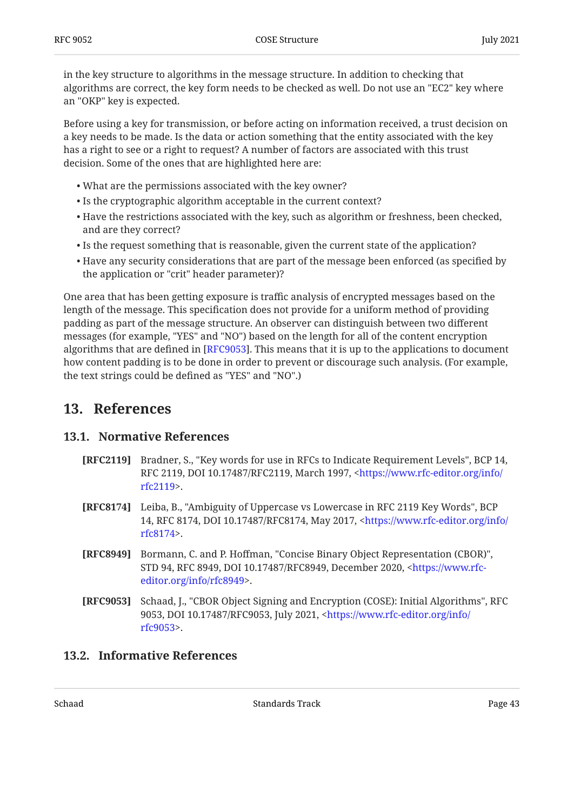in the key structure to algorithms in the message structure. In addition to checking that algorithms are correct, the key form needs to be checked as well. Do not use an "EC2" key where an "OKP" key is expected.

Before using a key for transmission, or before acting on information received, a trust decision on a key needs to be made. Is the data or action something that the entity associated with the key has a right to see or a right to request? A number of factors are associated with this trust decision. Some of the ones that are highlighted here are:

- What are the permissions associated with the key owner? •
- Is the cryptographic algorithm acceptable in the current context?
- $\bullet$  Have the restrictions associated with the key, such as algorithm or freshness, been checked, and are they correct?
- Is the request something that is reasonable, given the current state of the application?
- $\bullet$  Have any security considerations that are part of the message been enforced (as specified by the application or "crit" header parameter)?

One area that has been getting exposure is traffic analysis of encrypted messages based on the length of the message. This specification does not provide for a uniform method of providing padding as part of the message structure. An observer can distinguish between two different messages (for example, "YES" and "NO") based on the length for all of the content encryption algorithms that are defined in [[RFC9053\]](#page-42-4). This means that it is up to the applications to document how content padding is to be done in order to prevent or discourage such analysis. (For example, the text strings could be defined as "YES" and "NO".)

## <span id="page-42-1"></span><span id="page-42-0"></span>**[13. References](#page-42-0)**

## **[13.1. Normative References](#page-42-1)**

- <span id="page-42-5"></span>**[RFC2119]** Bradner, S., "Key words for use in RFCs to Indicate Requirement Levels", BCP 14, RFC 2119, DOI 10.17487/RFC2119, March 1997, <[https://www.rfc-editor.org/info/](https://www.rfc-editor.org/info/rfc2119) . [rfc2119>](https://www.rfc-editor.org/info/rfc2119)
- <span id="page-42-6"></span>**[RFC8174]** Leiba, B., "Ambiguity of Uppercase vs Lowercase in RFC 2119 Key Words", BCP 14, RFC 8174, DOI 10.17487/RFC8174, May 2017, [<https://www.rfc-editor.org/info/](https://www.rfc-editor.org/info/rfc8174) . [rfc8174>](https://www.rfc-editor.org/info/rfc8174)
- <span id="page-42-3"></span>**[RFC8949]** Bormann, C. and P. Hoffman, "Concise Binary Object Representation (CBOR)", STD 94, RFC 8949, DOI 10.17487/RFC8949, December 2020, <[https://www.rfc-](https://www.rfc-editor.org/info/rfc8949). [editor.org/info/rfc8949>](https://www.rfc-editor.org/info/rfc8949)
- <span id="page-42-4"></span>**[RFC9053]** Schaad, J., "CBOR Object Signing and Encryption (COSE): Initial Algorithms", RFC 9053, DOI 10.17487/RFC9053, July 2021, [<https://www.rfc-editor.org/info/](https://www.rfc-editor.org/info/rfc9053) . [rfc9053>](https://www.rfc-editor.org/info/rfc9053)

## <span id="page-42-2"></span>**[13.2. Informative References](#page-42-2)**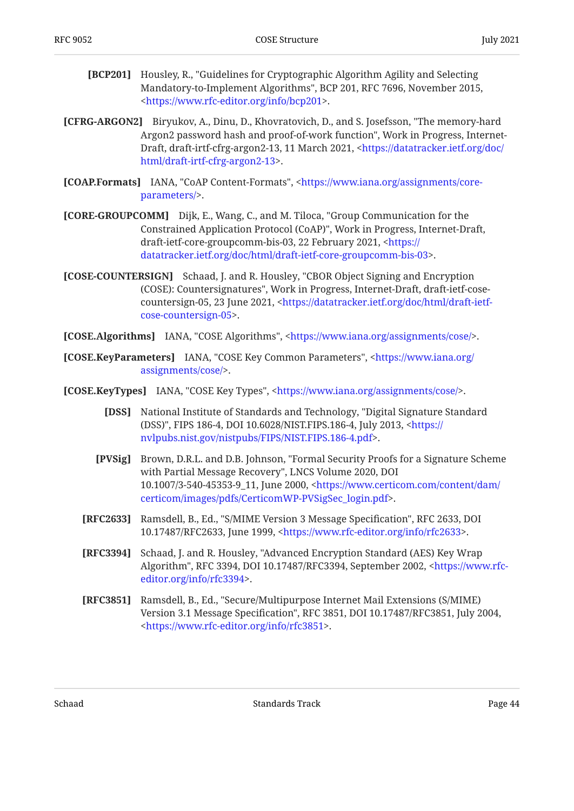- <span id="page-43-9"></span>**[BCP201]** Housley, R., "Guidelines for Cryptographic Algorithm Agility and Selecting Mandatory-to-Implement Algorithms", BCP 201, RFC 7696, November 2015, . [<https://www.rfc-editor.org/info/bcp201](https://www.rfc-editor.org/info/bcp201)>
- <span id="page-43-8"></span>**[CFRG-ARGON2]** Biryukov, A., Dinu, D., Khovratovich, D., and S. Josefsson, "The memory-hard Argon2 password hash and proof-of-work function", Work in Progress, InternetDraft, draft-irtf-cfrg-argon2-13, 11 March 2021, <[https://datatracker.ietf.org/doc/](https://datatracker.ietf.org/doc/html/draft-irtf-cfrg-argon2-13) . [html/draft-irtf-cfrg-argon2-13>](https://datatracker.ietf.org/doc/html/draft-irtf-cfrg-argon2-13)
- <span id="page-43-4"></span>**[COAP.Formats]** IANA, "CoAP Content-Formats", [<https://www.iana.org/assignments/core-](https://www.iana.org/assignments/core-parameters/). [parameters/>](https://www.iana.org/assignments/core-parameters/)
- <span id="page-43-0"></span>**[CORE-GROUPCOMM]** Dijk, E., Wang, C., and M. Tiloca, "Group Communication for the Constrained Application Protocol (CoAP)", Work in Progress, Internet-Draft, draft-ietf-core-groupcomm-bis-03, 22 February 2021, <[https://](https://datatracker.ietf.org/doc/html/draft-ietf-core-groupcomm-bis-03) . [datatracker.ietf.org/doc/html/draft-ietf-core-groupcomm-bis-03](https://datatracker.ietf.org/doc/html/draft-ietf-core-groupcomm-bis-03)>
- <span id="page-43-1"></span>**[COSE-COUNTERSIGN]** Schaad, J. and R. Housley, "CBOR Object Signing and Encryption (COSE): Countersignatures", Work in Progress, Internet-Draft, draft-ietf-cose-countersign-05, 23 June 2021, [<https://datatracker.ietf.org/doc/html/draft-ietf-](https://datatracker.ietf.org/doc/html/draft-ietf-cose-countersign-05). [cose-countersign-05>](https://datatracker.ietf.org/doc/html/draft-ietf-cose-countersign-05)

<span id="page-43-3"></span>**[COSE.Algorithms]** IANA, "COSE Algorithms", <https://www.iana.org/assignments/cose/>.

- **[COSE.KeyParameters]** IANA, "COSE Key Common Parameters", [<https://www.iana.org/](https://www.iana.org/assignments/cose/) . [assignments/cose/](https://www.iana.org/assignments/cose/)>
- <span id="page-43-11"></span><span id="page-43-10"></span><span id="page-43-7"></span><span id="page-43-6"></span><span id="page-43-5"></span><span id="page-43-2"></span>**[COSE.KeyTypes]** IANA, "COSE Key Types", <https://www.iana.org/assignments/cose/>.
	- **[DSS]** , National Institute of Standards and Technology "Digital Signature Standard (DSS)", FIPS 186-4, DOI 10.6028/NIST.FIPS.186-4, July 2013, <[https://](https://nvlpubs.nist.gov/nistpubs/FIPS/NIST.FIPS.186-4.pdf) . [nvlpubs.nist.gov/nistpubs/FIPS/NIST.FIPS.186-4.pdf](https://nvlpubs.nist.gov/nistpubs/FIPS/NIST.FIPS.186-4.pdf)>
	- **[PVSig]** Brown, D.R.L. and D.B. Johnson, "Formal Security Proofs for a Signature Scheme with Partial Message Recovery", LNCS Volume 2020, DOI 10.1007/3-540-45353-9\_11, June 2000, [<https://www.certicom.com/content/dam/](https://www.certicom.com/content/dam/certicom/images/pdfs/CerticomWP-PVSigSec_login.pdf) . [certicom/images/pdfs/CerticomWP-PVSigSec\\_login.pdf>](https://www.certicom.com/content/dam/certicom/images/pdfs/CerticomWP-PVSigSec_login.pdf)
	- **[RFC2633]** Ramsdell, B., Ed., "S/MIME Version 3 Message Specification", RFC 2633, DOI 10.17487/RFC2633, June 1999, <https://www.rfc-editor.org/info/rfc2633>.
	- **[RFC3394]** Schaad, J. and R. Housley, "Advanced Encryption Standard (AES) Key Wrap Algorithm", RFC 3394, DOI 10.17487/RFC3394, September 2002, [<https://www.rfc-](https://www.rfc-editor.org/info/rfc3394). [editor.org/info/rfc3394>](https://www.rfc-editor.org/info/rfc3394)
	- **[RFC3851]** , Ramsdell, B., Ed. "Secure/Multipurpose Internet Mail Extensions (S/MIME) Version 3.1 Message Specification", RFC 3851, DOI 10.17487/RFC3851, July 2004, . [<https://www.rfc-editor.org/info/rfc3851](https://www.rfc-editor.org/info/rfc3851)>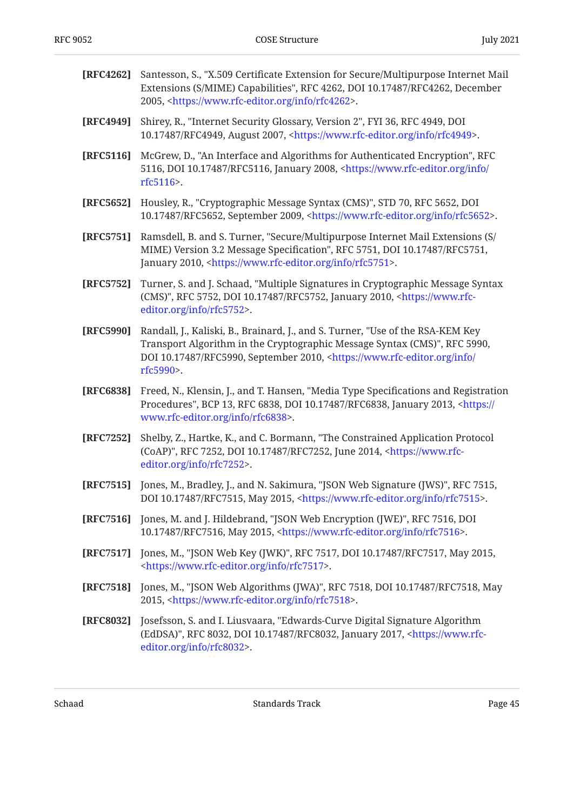<span id="page-44-11"></span>**[RFC4262]** , Santesson, S. "X.509 Certificate Extension for Secure/Multipurpose Internet Mail

<span id="page-44-13"></span><span id="page-44-12"></span><span id="page-44-10"></span><span id="page-44-9"></span><span id="page-44-8"></span><span id="page-44-7"></span><span id="page-44-6"></span><span id="page-44-5"></span><span id="page-44-4"></span><span id="page-44-3"></span><span id="page-44-2"></span><span id="page-44-1"></span><span id="page-44-0"></span>

|           | Extensions (S/MIME) Capabilities", RFC 4262, DOI 10.17487/RFC4262, December<br>2005, <https: info="" rfc4262="" www.rfc-editor.org="">.</https:>                                                                                                                        |
|-----------|-------------------------------------------------------------------------------------------------------------------------------------------------------------------------------------------------------------------------------------------------------------------------|
| [RFC4949] | Shirey, R., "Internet Security Glossary, Version 2", FYI 36, RFC 4949, DOI<br>10.17487/RFC4949, August 2007, <https: info="" rfc4949="" www.rfc-editor.org="">.</https:>                                                                                                |
| [RFC5116] | McGrew, D., "An Interface and Algorithms for Authenticated Encryption", RFC<br>5116, DOI 10.17487/RFC5116, January 2008, <https: <br="" info="" www.rfc-editor.org="">rfc5116&gt;.</https:>                                                                             |
| [RFC5652] | Housley, R., "Cryptographic Message Syntax (CMS)", STD 70, RFC 5652, DOI<br>10.17487/RFC5652, September 2009, <https: info="" rfc5652="" www.rfc-editor.org="">.</https:>                                                                                               |
| [RFC5751] | Ramsdell, B. and S. Turner, "Secure/Multipurpose Internet Mail Extensions (S/<br>MIME) Version 3.2 Message Specification", RFC 5751, DOI 10.17487/RFC5751,<br>January 2010, <https: info="" rfc5751="" www.rfc-editor.org="">.</https:>                                 |
| [RFC5752] | Turner, S. and J. Schaad, "Multiple Signatures in Cryptographic Message Syntax<br>(CMS)", RFC 5752, DOI 10.17487/RFC5752, January 2010, <https: www.rfc-<br="">editor.org/info/rfc5752&gt;.</https:>                                                                    |
| [RFC5990] | Randall, J., Kaliski, B., Brainard, J., and S. Turner, "Use of the RSA-KEM Key<br>Transport Algorithm in the Cryptographic Message Syntax (CMS)", RFC 5990,<br>DOI 10.17487/RFC5990, September 2010, <https: <br="" info="" www.rfc-editor.org="">rfc5990&gt;.</https:> |
| [RFC6838] | Freed, N., Klensin, J., and T. Hansen, "Media Type Specifications and Registration<br>Procedures", BCP 13, RFC 6838, DOI 10.17487/RFC6838, January 2013, <https: <br="">www.rfc-editor.org/info/rfc6838&gt;.</https:>                                                   |
| [RFC7252] | Shelby, Z., Hartke, K., and C. Bormann, "The Constrained Application Protocol<br>(CoAP)", RFC 7252, DOI 10.17487/RFC7252, June 2014, <https: www.rfc-<br="">editor.org/info/rfc7252&gt;.</https:>                                                                       |
| [RFC7515] | Jones, M., Bradley, J., and N. Sakimura, "JSON Web Signature (JWS)", RFC 7515,<br>DOI 10.17487/RFC7515, May 2015, <https: info="" rfc7515="" www.rfc-editor.org="">.</https:>                                                                                           |
|           | [RFC7516] Jones, M. and J. Hildebrand, "JSON Web Encryption (JWE)", RFC 7516, DOI<br>10.17487/RFC7516, May 2015, <https: info="" rfc7516="" www.rfc-editor.org="">.</https:>                                                                                            |
| [RFC7517] | Jones, M., "JSON Web Key (JWK)", RFC 7517, DOI 10.17487/RFC7517, May 2015,<br><https: info="" rfc7517="" www.rfc-editor.org="">.</https:>                                                                                                                               |
| [RFC7518] | Jones, M., "JSON Web Algorithms (JWA)", RFC 7518, DOI 10.17487/RFC7518, May<br>2015, <https: info="" rfc7518="" www.rfc-editor.org="">.</https:>                                                                                                                        |
| [RFC8032] | Josefsson, S. and I. Liusvaara, "Edwards-Curve Digital Signature Algorithm<br>(EdDSA)", RFC 8032, DOI 10.17487/RFC8032, January 2017, <https: www.rfc-<br="">editor.org/info/rfc8032&gt;.</https:>                                                                      |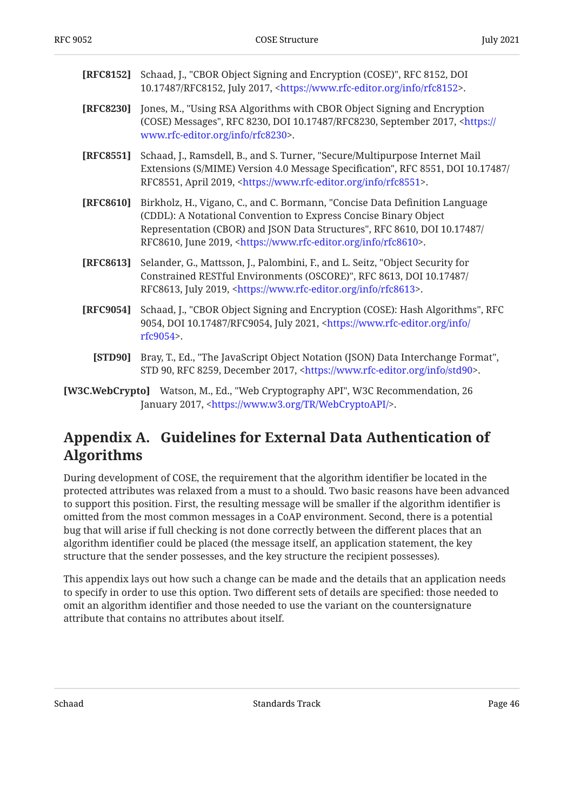<span id="page-45-8"></span><span id="page-45-7"></span><span id="page-45-5"></span><span id="page-45-2"></span>

| [RFC8152] | Schaad, J., "CBOR Object Signing and Encryption (COSE)", RFC 8152, DOI<br>10.17487/RFC8152, July 2017, <https: info="" rfc8152="" www.rfc-editor.org="">.</https:>                                                                                                                                             |
|-----------|----------------------------------------------------------------------------------------------------------------------------------------------------------------------------------------------------------------------------------------------------------------------------------------------------------------|
| [RFC8230] | Jones, M., "Using RSA Algorithms with CBOR Object Signing and Encryption<br>(COSE) Messages", RFC 8230, DOI 10.17487/RFC8230, September 2017, <https: <br="">www.rfc-editor.org/info/rfc8230&gt;.</https:>                                                                                                     |
| [RFC8551] | Schaad, J., Ramsdell, B., and S. Turner, "Secure/Multipurpose Internet Mail<br>Extensions (S/MIME) Version 4.0 Message Specification", RFC 8551, DOI 10.17487/<br>RFC8551, April 2019, <https: info="" rfc8551="" www.rfc-editor.org="">.</https:>                                                             |
| [RFC8610] | Birkholz, H., Vigano, C., and C. Bormann, "Concise Data Definition Language<br>(CDDL): A Notational Convention to Express Concise Binary Object<br>Representation (CBOR) and JSON Data Structures", RFC 8610, DOI 10.17487/<br>RFC8610, June 2019, <https: info="" rfc8610="" www.rfc-editor.org="">.</https:> |
| [RFC8613] | Selander, G., Mattsson, J., Palombini, F., and L. Seitz, "Object Security for<br>Constrained RESTful Environments (OSCORE)", RFC 8613, DOI 10.17487/<br>RFC8613, July 2019, <https: info="" rfc8613="" www.rfc-editor.org="">.</https:>                                                                        |
| [RFC9054] | Schaad, J., "CBOR Object Signing and Encryption (COSE): Hash Algorithms", RFC<br>9054, DOI 10.17487/RFC9054, July 2021, <https: <br="" info="" www.rfc-editor.org="">rfc9054&gt;.</https:>                                                                                                                     |
| [STD90]   | Bray, T., Ed., "The JavaScript Object Notation (JSON) Data Interchange Format",<br>STD 90, RFC 8259, December 2017, <https: info="" std90="" www.rfc-editor.org="">.</https:>                                                                                                                                  |
|           | [W3C.WebCrypto] Watson, M., Ed., "Web Cryptography API", W3C Recommendation, 26<br>January 2017, <https: tr="" webcryptoapi="" www.w3.org=""></https:> .                                                                                                                                                       |

# <span id="page-45-6"></span><span id="page-45-4"></span><span id="page-45-3"></span><span id="page-45-1"></span><span id="page-45-0"></span>**[Appendix A. Guidelines for External Data Authentication of](#page-45-0) [Algorithms](#page-45-0)**

During development of COSE, the requirement that the algorithm identifier be located in the protected attributes was relaxed from a must to a should. Two basic reasons have been advanced to support this position. First, the resulting message will be smaller if the algorithm identifier is omitted from the most common messages in a CoAP environment. Second, there is a potential bug that will arise if full checking is not done correctly between the different places that an algorithm identifier could be placed (the message itself, an application statement, the key structure that the sender possesses, and the key structure the recipient possesses).

This appendix lays out how such a change can be made and the details that an application needs to specify in order to use this option. Two different sets of details are specified: those needed to omit an algorithm identifier and those needed to use the variant on the countersignature attribute that contains no attributes about itself.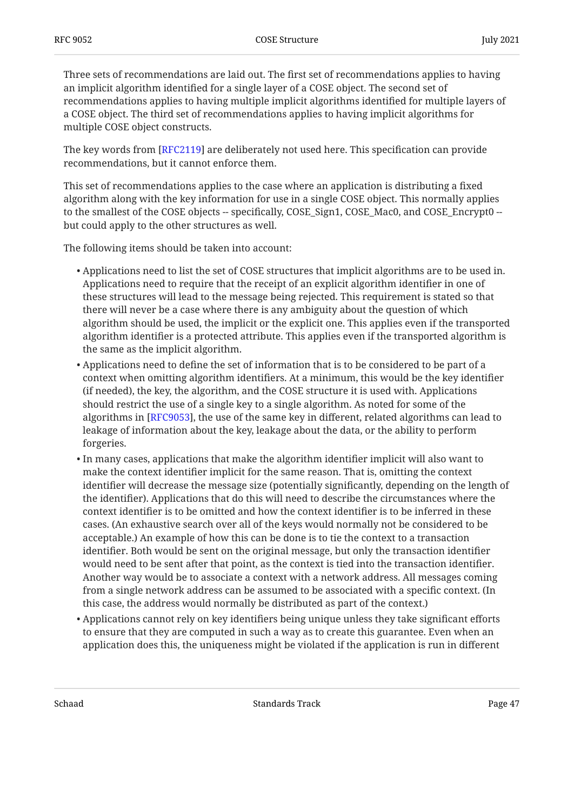Three sets of recommendations are laid out. The first set of recommendations applies to having an implicit algorithm identified for a single layer of a COSE object. The second set of recommendations applies to having multiple implicit algorithms identified for multiple layers of a COSE object. The third set of recommendations applies to having implicit algorithms for multiple COSE object constructs.

The key words from [[RFC2119\]](#page-42-5) are deliberately not used here. This specification can provide recommendations, but it cannot enforce them.

This set of recommendations applies to the case where an application is distributing a fixed algorithm along with the key information for use in a single COSE object. This normally applies to the smallest of the COSE objects -- specifically, COSE\_Sign1, COSE\_Mac0, and COSE\_Encrypt0 -but could apply to the other structures as well.

The following items should be taken into account:

- $\bullet$  Applications need to list the set of COSE structures that implicit algorithms are to be used in. Applications need to require that the receipt of an explicit algorithm identifier in one of these structures will lead to the message being rejected. This requirement is stated so that there will never be a case where there is any ambiguity about the question of which algorithm should be used, the implicit or the explicit one. This applies even if the transported algorithm identifier is a protected attribute. This applies even if the transported algorithm is the same as the implicit algorithm.
- $\bullet$  Applications need to define the set of information that is to be considered to be part of a context when omitting algorithm identifiers. At a minimum, this would be the key identifier (if needed), the key, the algorithm, and the COSE structure it is used with. Applications should restrict the use of a single key to a single algorithm. As noted for some of the algorithms in [RFC9053], the use of the same key in different, related algorithms can lead to leakage of information about the key, leakage about the data, or the ability to perform forgeries.
- $\bullet$  In many cases, applications that make the algorithm identifier implicit will also want to make the context identifier implicit for the same reason. That is, omitting the context identifier will decrease the message size (potentially significantly, depending on the length of the identifier). Applications that do this will need to describe the circumstances where the context identifier is to be omitted and how the context identifier is to be inferred in these cases. (An exhaustive search over all of the keys would normally not be considered to be acceptable.) An example of how this can be done is to tie the context to a transaction identifier. Both would be sent on the original message, but only the transaction identifier would need to be sent after that point, as the context is tied into the transaction identifier. Another way would be to associate a context with a network address. All messages coming from a single network address can be assumed to be associated with a specific context. (In this case, the address would normally be distributed as part of the context.)
- $\bullet$  Applications cannot rely on key identifiers being unique unless they take significant efforts to ensure that they are computed in such a way as to create this guarantee. Even when an application does this, the uniqueness might be violated if the application is run in different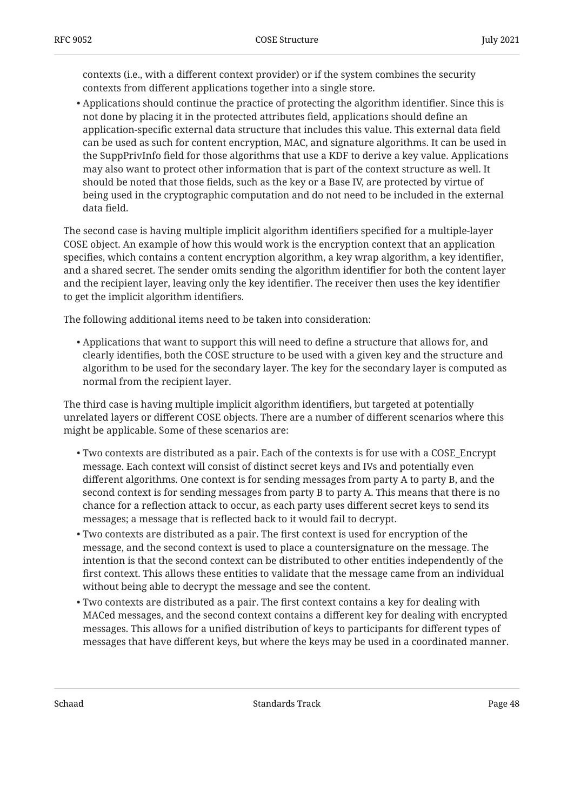contexts (i.e., with a different context provider) or if the system combines the security contexts from different applications together into a single store.

 $\bullet$  Applications should continue the practice of protecting the algorithm identifier. Since this is not done by placing it in the protected attributes field, applications should define an application-specific external data structure that includes this value. This external data field can be used as such for content encryption, MAC, and signature algorithms. It can be used in the SuppPrivInfo field for those algorithms that use a KDF to derive a key value. Applications may also want to protect other information that is part of the context structure as well. It should be noted that those fields, such as the key or a Base IV, are protected by virtue of being used in the cryptographic computation and do not need to be included in the external data field.

The second case is having multiple implicit algorithm identifiers specified for a multiple-layer COSE object. An example of how this would work is the encryption context that an application specifies, which contains a content encryption algorithm, a key wrap algorithm, a key identifier, and a shared secret. The sender omits sending the algorithm identifier for both the content layer and the recipient layer, leaving only the key identifier. The receiver then uses the key identifier to get the implicit algorithm identifiers.

The following additional items need to be taken into consideration:

 $\bullet$  Applications that want to support this will need to define a structure that allows for, and clearly identifies, both the COSE structure to be used with a given key and the structure and algorithm to be used for the secondary layer. The key for the secondary layer is computed as normal from the recipient layer.

The third case is having multiple implicit algorithm identifiers, but targeted at potentially unrelated layers or different COSE objects. There are a number of different scenarios where this might be applicable. Some of these scenarios are:

- Two contexts are distributed as a pair. Each of the contexts is for use with a COSE\_Encrypt message. Each context will consist of distinct secret keys and IVs and potentially even different algorithms. One context is for sending messages from party A to party B, and the second context is for sending messages from party B to party A. This means that there is no chance for a reflection attack to occur, as each party uses different secret keys to send its messages; a message that is reflected back to it would fail to decrypt.
- Two contexts are distributed as a pair. The first context is used for encryption of the message, and the second context is used to place a countersignature on the message. The intention is that the second context can be distributed to other entities independently of the first context. This allows these entities to validate that the message came from an individual without being able to decrypt the message and see the content.
- Two contexts are distributed as a pair. The first context contains a key for dealing with MACed messages, and the second context contains a different key for dealing with encrypted messages. This allows for a unified distribution of keys to participants for different types of messages that have different keys, but where the keys may be used in a coordinated manner.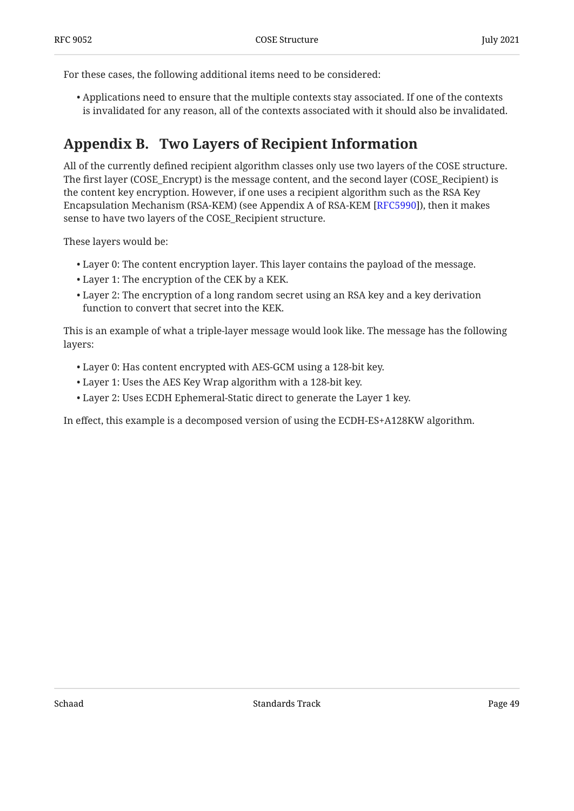For these cases, the following additional items need to be considered:

 $\bullet$  Applications need to ensure that the multiple contexts stay associated. If one of the contexts is invalidated for any reason, all of the contexts associated with it should also be invalidated.

# <span id="page-48-0"></span>**[Appendix B. Two Layers of Recipient Information](#page-48-0)**

All of the currently defined recipient algorithm classes only use two layers of the COSE structure. The first layer (COSE\_Encrypt) is the message content, and the second layer (COSE\_Recipient) is the content key encryption. However, if one uses a recipient algorithm such as the RSA Key Encapsulation Mechanism (RSA-KEM) (see Appendix A of RSA-KEM [RFC5990]), then it makes sense to have two layers of the COSE\_Recipient structure.

These layers would be:

- Layer 0: The content encryption layer. This layer contains the payload of the message. •
- Layer 1: The encryption of the CEK by a KEK. •
- Layer 2: The encryption of a long random secret using an RSA key and a key derivation function to convert that secret into the KEK.

This is an example of what a triple-layer message would look like. The message has the following layers:

- Layer 0: Has content encrypted with AES-GCM using a 128-bit key. •
- Layer 1: Uses the AES Key Wrap algorithm with a 128-bit key. •
- Layer 2: Uses ECDH Ephemeral-Static direct to generate the Layer 1 key. •

In effect, this example is a decomposed version of using the ECDH-ES+A128KW algorithm.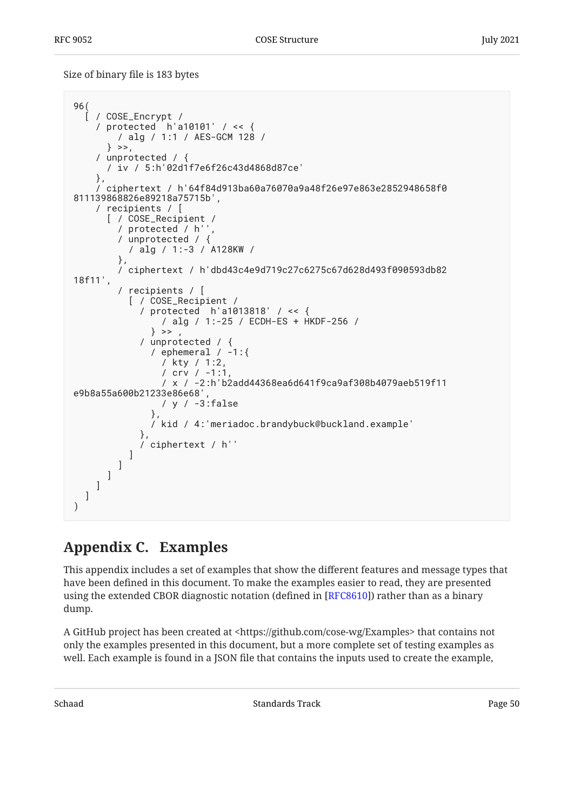Size of binary file is 183 bytes

```
96(
   [ / COSE_Encrypt /
     / protected h'a10101' / << {
         / alg / 1:1 / AES-GCM 128 /
       } >>,
     / unprotected / {
       / iv / 5:h'02d1f7e6f26c43d4868d87ce'
     },
     / ciphertext / h'64f84d913ba60a76070a9a48f26e97e863e2852948658f0
811139868826e89218a75715b',
     / recipients / [
       [ / COSE_Recipient /
         / protected / h'',
         / unprotected / {
           / alg / 1:-3 / A128KW /
         },
         / ciphertext / h'dbd43c4e9d719c27c6275c67d628d493f090593db82
18f11',
         / recipients / [
           [ / COSE_Recipient /
             / protected h'a1013818' / << {
                  / alg / 1:-25 / ECDH-ES + HKDF-256 /
               \} >>
             / unprotected / {
                / ephemeral / -1:{
                  / kty / 1:2,
                  / crv / -1:1,
                  / x / -2:h'b2add44368ea6d641f9ca9af308b4079aeb519f11
e9b8a55a600b21233e86e68',
                  / y / -3:false
\},
                / kid / 4:'meriadoc.brandybuck@buckland.example'
\},
             / ciphertext / h''
           ]
         ]
       ]
     ]
   ]
)
```
# <span id="page-49-0"></span>**[Appendix C. Examples](#page-49-0)**

This appendix includes a set of examples that show the different features and message types that have been defined in this document. To make the examples easier to read, they are presented using the extended CBOR diagnostic notation (defined in [\[RFC8610](#page-45-5)]) rather than as a binary dump.

A GitHub project has been created at <https://github.com/cose-wg/Examples> that contains not only the examples presented in this document, but a more complete set of testing examples as well. Each example is found in a JSON file that contains the inputs used to create the example,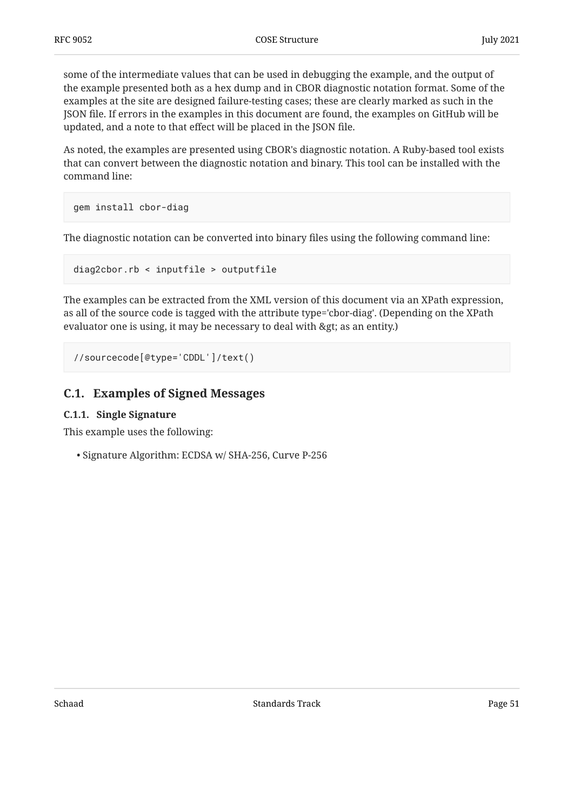some of the intermediate values that can be used in debugging the example, and the output of the example presented both as a hex dump and in CBOR diagnostic notation format. Some of the examples at the site are designed failure-testing cases; these are clearly marked as such in the JSON file. If errors in the examples in this document are found, the examples on GitHub will be updated, and a note to that effect will be placed in the JSON file.

As noted, the examples are presented using CBOR's diagnostic notation. A Ruby-based tool exists that can convert between the diagnostic notation and binary. This tool can be installed with the command line:

```
gem install cbor-diag
```
The diagnostic notation can be converted into binary files using the following command line:

```
diag2cbor.rb < inputfile > outputfile
```
The examples can be extracted from the XML version of this document via an XPath expression, as all of the source code is tagged with the attribute type='cbor-diag'. (Depending on the XPath evaluator one is using, it may be necessary to deal with > as an entity.)

```
//sourcecode[@type='CDDL']/text()
```
### <span id="page-50-1"></span>**[C.1. Examples of Signed Messages](#page-50-0)**

#### **[C.1.1. Single Signature](#page-50-1)**

This example uses the following:

• Signature Algorithm: ECDSA w/ SHA-256, Curve P-256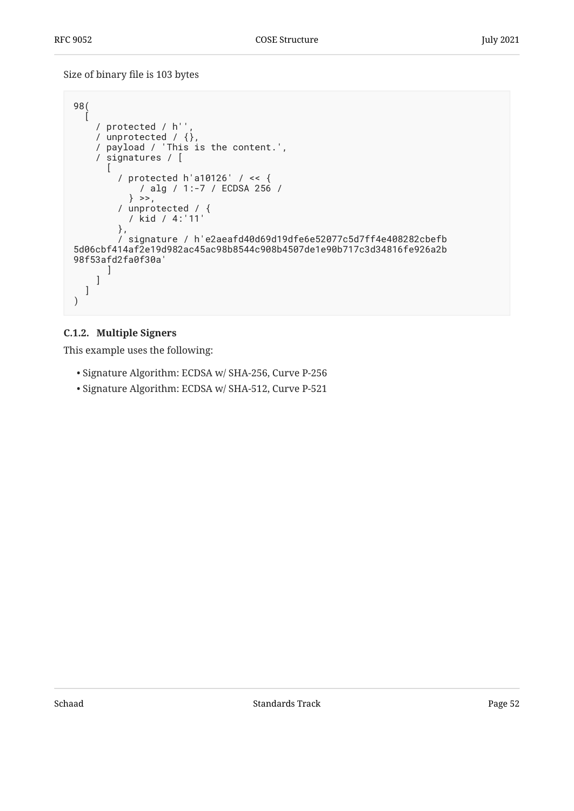Size of binary file is 103 bytes

```
98(
\Box / protected / h'',
    / unprotected / \{ \},
     / payload / 'This is the content.',
     / signatures / [
\blacksquare / protected h'a10126' / << {
             / alg / 1:-7 / ECDSA 256 /
          \} >>,
 / unprotected / {
 / kid / 4:'11'
         },
         / signature / h'e2aeafd40d69d19dfe6e52077c5d7ff4e408282cbefb
5d06cbf414af2e19d982ac45ac98b8544c908b4507de1e90b717c3d34816fe926a2b
98f53afd2fa0f30a'
       ]
     ]
   ]
)
```
### <span id="page-51-0"></span>**[C.1.2. Multiple Signers](#page-51-0)**

- Signature Algorithm: ECDSA w/ SHA-256, Curve P-256
- Signature Algorithm: ECDSA w/ SHA-512, Curve P-521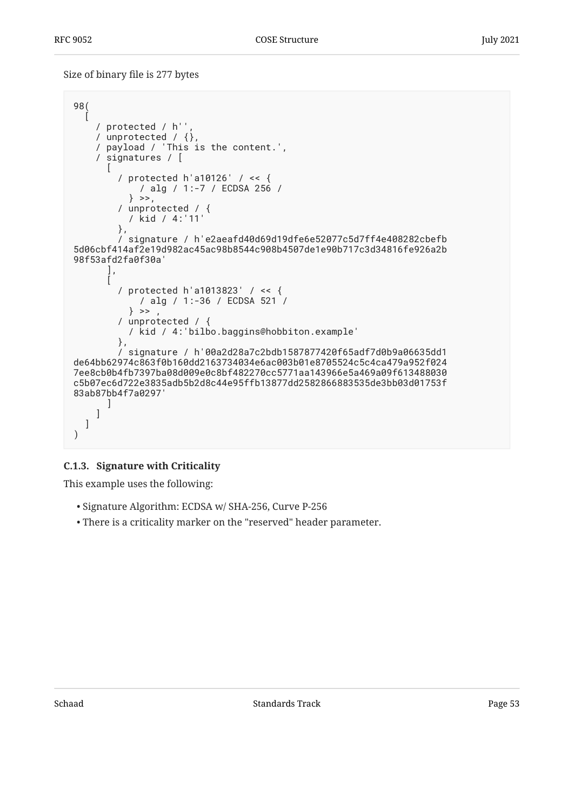Size of binary file is 277 bytes

```
98(
\Box / protected / h'',
    / unprotected / \{ \},
     / payload / 'This is the content.',
     / signatures / [
\blacksquare / protected h'a10126' / << {
             / alg / 1:-7 / ECDSA 256 /
           } >>,
 / unprotected / {
 / kid / 4:'11'
         },
         / signature / h'e2aeafd40d69d19dfe6e52077c5d7ff4e408282cbefb
5d06cbf414af2e19d982ac45ac98b8544c908b4507de1e90b717c3d34816fe926a2b
98f53afd2fa0f30a'
       ],
      \lceil / protected h'a1013823' / << {
            / alg / 1:-36 / ECDSA 521 /
          \} >>
         / unprotected / {
           / kid / 4:'bilbo.baggins@hobbiton.example'
         },
         / signature / h'00a2d28a7c2bdb1587877420f65adf7d0b9a06635dd1
de64bb62974c863f0b160dd2163734034e6ac003b01e8705524c5c4ca479a952f024
7ee8cb0b4fb7397ba08d009e0c8bf482270cc5771aa143966e5a469a09f613488030
c5b07ec6d722e3835adb5b2d8c44e95ffb13877dd2582866883535de3bb03d01753f
83ab87bb4f7a0297'
 ]
     ]
   ]
)
```
#### <span id="page-52-0"></span>**[C.1.3. Signature with Criticality](#page-52-0)**

- Signature Algorithm: ECDSA w/ SHA-256, Curve P-256
- There is a criticality marker on the "reserved" header parameter. •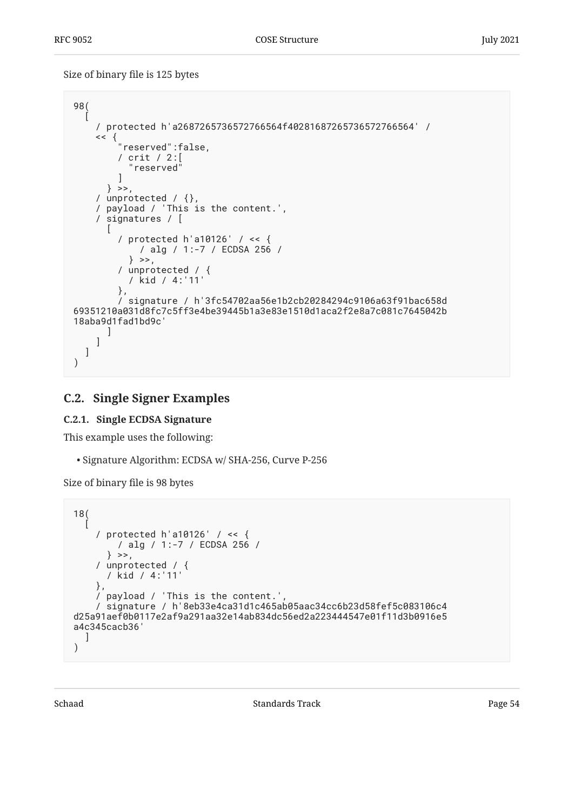Size of binary file is 125 bytes

```
98(
\Box / protected h'a2687265736572766564f40281687265736572766564' /
\langle \, \cdot \, \rangle "reserved":false,
 / crit / 2:[
            "reserved"
 ]
       } >>,
     / unprotected / {},
     / payload / 'This is the content.',
     / signatures / [
      \sqrt{2} / protected h'a10126' / << {
              / alg / 1:-7 / ECDSA 256 /
            } >>,
          / unprotected / {
           / kid / 4:'11'
         },
          / signature / h'3fc54702aa56e1b2cb20284294c9106a63f91bac658d
69351210a031d8fc7c5ff3e4be39445b1a3e83e1510d1aca2f2e8a7c081c7645042b
18aba9d1fad1bd9c'
       ]
     ]
   ]
)
```
### <span id="page-53-1"></span><span id="page-53-0"></span>**[C.2. Single Signer Examples](#page-53-0)**

### **[C.2.1. Single ECDSA Signature](#page-53-1)**

This example uses the following:

• Signature Algorithm: ECDSA w/ SHA-256, Curve P-256

Size of binary file is 98 bytes

```
18(
\Box / protected h'a10126' / << {
         / alg / 1:-7 / ECDSA 256 /
      \} >>,
 / unprotected / {
 / kid / 4:'11'
     },
     / payload / 'This is the content.',
     / signature / h'8eb33e4ca31d1c465ab05aac34cc6b23d58fef5c083106c4
d25a91aef0b0117e2af9a291aa32e14ab834dc56ed2a223444547e01f11d3b0916e5
a4c345cacb36'
  \lceil)
```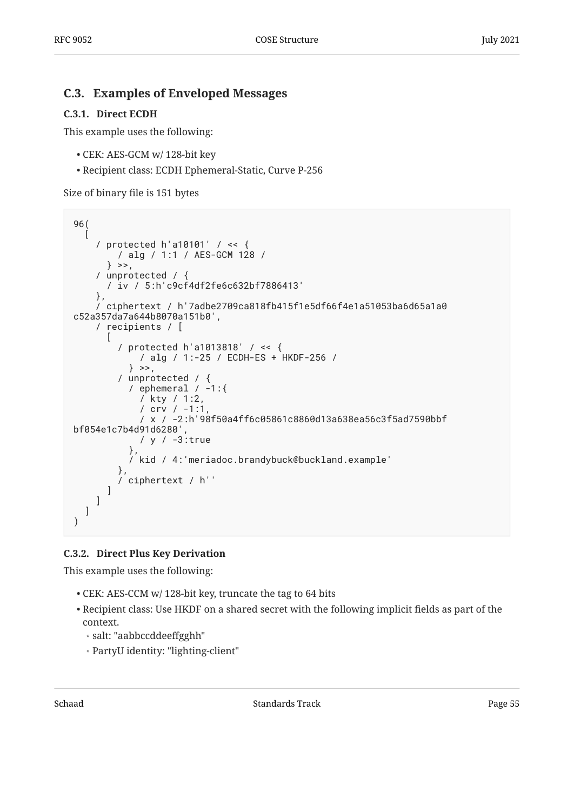### <span id="page-54-1"></span><span id="page-54-0"></span>**[C.3. Examples of Enveloped Messages](#page-54-0)**

#### **[C.3.1. Direct ECDH](#page-54-1)**

This example uses the following:

- CEK: AES-GCM w/ 128-bit key •
- Recipient class: ECDH Ephemeral-Static, Curve P-256 •

Size of binary file is 151 bytes

```
96(
\Box / protected h'a10101' / << {
         / alg / 1:1 / AES-GCM 128 /
      \} >>,
     / unprotected / {
       / iv / 5:h'c9cf4df2fe6c632bf7886413'
     },
     / ciphertext / h'7adbe2709ca818fb415f1e5df66f4e1a51053ba6d65a1a0
c52a357da7a644b8070a151b0',
     / recipients / [
      \lceil / protected h'a1013818' / << {
              / alg / 1:-25 / ECDH-ES + HKDF-256 /
            } >>,
          / unprotected / {
           / ephemeral / -1:\{ / kty / 1:2,
              / crv / -1:1,
              / x / -2:h'98f50a4ff6c05861c8860d13a638ea56c3f5ad7590bbf
bf054e1c7b4d91d6280',
              / y / -3:true
            },
            / kid / 4:'meriadoc.brandybuck@buckland.example'
\},
          / ciphertext / h''
       ]
     ]
   ]
)
```
### <span id="page-54-2"></span>**[C.3.2. Direct Plus Key Derivation](#page-54-2)**

- CEK: AES-CCM w/ 128-bit key, truncate the tag to 64 bits •
- $\bullet$  Recipient class: Use HKDF on a shared secret with the following implicit fields as part of the context.
	- salt: "aabbccddeeffgghh" ◦
	- PartyU identity: "lighting-client" ◦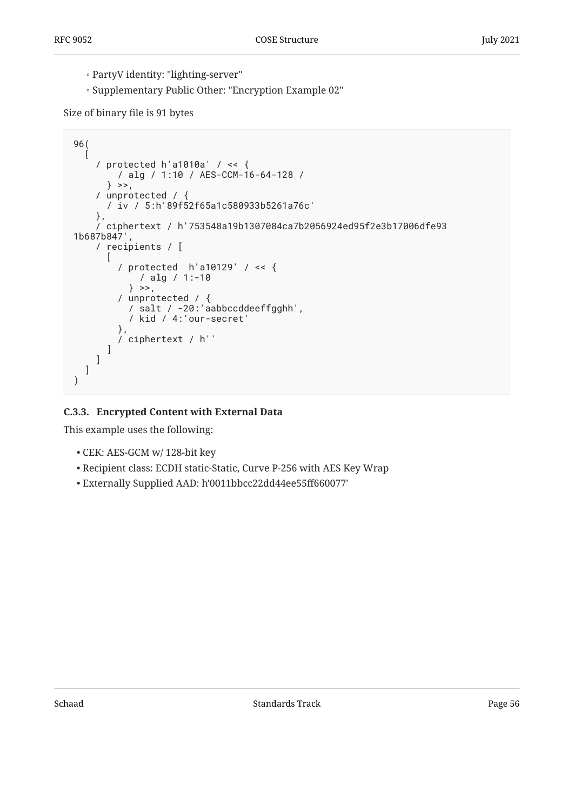- PartyV identity: "lighting-server" ◦
- Supplementary Public Other: "Encryption Example 02"

Size of binary file is 91 bytes

```
96(
\Box / protected h'a1010a' / << {
        / alg / 1:10 / AES-CCM-16-64-128 /
      \} >>,
     / unprotected / {
       / iv / 5:h'89f52f65a1c580933b5261a76c'
     },
     / ciphertext / h'753548a19b1307084ca7b2056924ed95f2e3b17006dfe93
1b687b847',
     / recipients / [
      \lceil / protected h'a10129' / << {
            / alg / 1:-10
          \} >>,
 / unprotected / {
 / salt / -20:'aabbccddeeffgghh',
           / kid / 4:'our-secret'
\},
         / ciphertext / h''
       ]
     ]
   ]
)
```
### <span id="page-55-0"></span>**[C.3.3. Encrypted Content with External Data](#page-55-0)**

- CEK: AES-GCM w/ 128-bit key •
- Recipient class: ECDH static-Static, Curve P-256 with AES Key Wrap •
- Externally Supplied AAD: h'0011bbcc22dd44ee55ff660077' •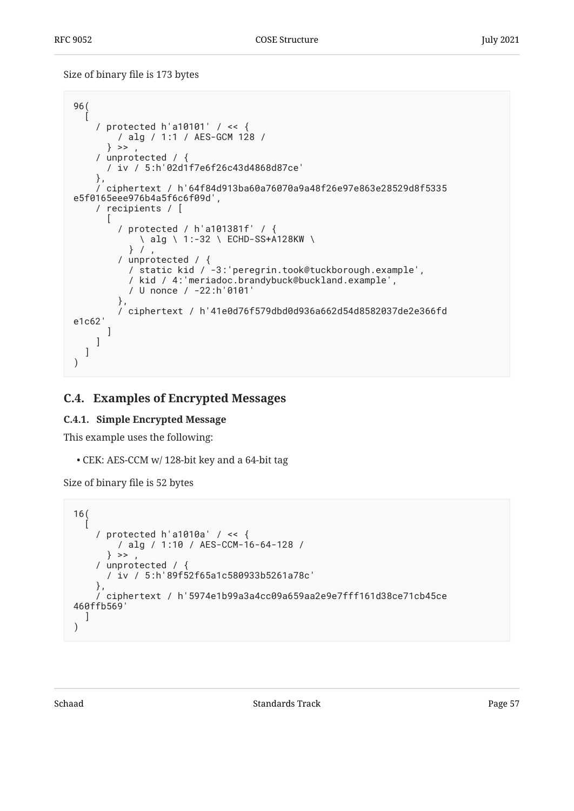Size of binary file is 173 bytes

```
96(
\Box / protected h'a10101' / << {
         / alg / 1:1 / AES-GCM 128 /
      \} >> ,
     / unprotected / {
       / iv / 5:h'02d1f7e6f26c43d4868d87ce'
     },
     / ciphertext / h'64f84d913ba60a76070a9a48f26e97e863e28529d8f5335
e5f0165eee976b4a5f6c6f09d',
     / recipients / [
 [
         / protected / h'a101381f' / {
             \ alg \ 1:-32 \ ECHD-SS+A128KW \
          } / / unprotected / {
           / static kid / -3:'peregrin.took@tuckborough.example',
           / kid / 4:'meriadoc.brandybuck@buckland.example',
           / U nonce / -22:h'0101'
         },
         / ciphertext / h'41e0d76f579dbd0d936a662d54d8582037de2e366fd
e1c62'
 ]
     ]
   ]
)
```
## <span id="page-56-1"></span><span id="page-56-0"></span>**[C.4. Examples of Encrypted Messages](#page-56-0)**

### **[C.4.1. Simple Encrypted Message](#page-56-1)**

This example uses the following:

CEK: AES-CCM w/ 128-bit key and a 64-bit tag •

Size of binary file is 52 bytes

```
16(
\Box / protected h'a1010a' / << {
         / alg / 1:10 / AES-CCM-16-64-128 /
      \} >> ,
     / unprotected / {
       / iv / 5:h'89f52f65a1c580933b5261a78c'
     },
     / ciphertext / h'5974e1b99a3a4cc09a659aa2e9e7fff161d38ce71cb45ce
460ffb569'
   ]
)
```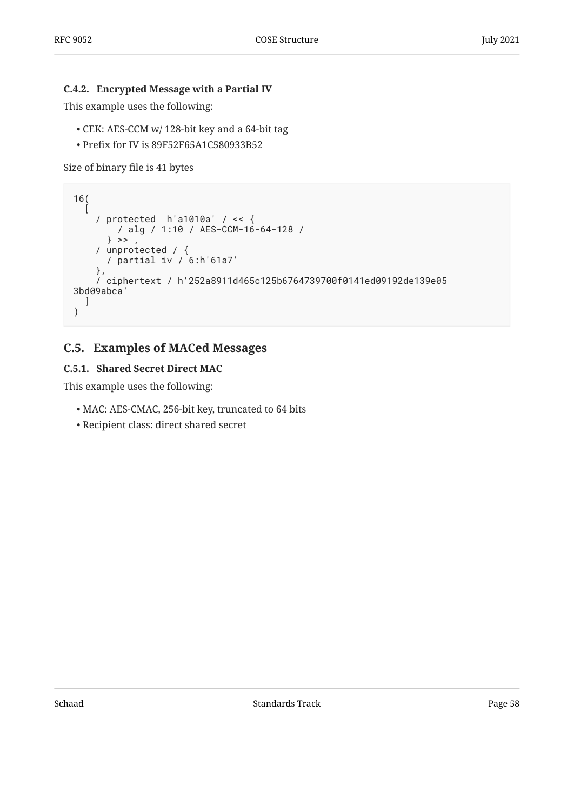#### <span id="page-57-0"></span>**[C.4.2. Encrypted Message with a Partial IV](#page-57-0)**

This example uses the following:

- CEK: AES-CCM w/ 128-bit key and a 64-bit tag •
- Prefix for IV is 89F52F65A1C580933B52 •

Size of binary file is 41 bytes

```
16(
\Box / protected h'a1010a' / << {
        / alg / 1:10 / AES-CCM-16-64-128 /
      \} >> ,
     / unprotected / {
       / partial iv / 6:h'61a7'
     },
     / ciphertext / h'252a8911d465c125b6764739700f0141ed09192de139e05
3bd09abca'
  \lceil)
```
### <span id="page-57-2"></span><span id="page-57-1"></span>**[C.5. Examples of MACed Messages](#page-57-1)**

#### **[C.5.1. Shared Secret Direct MAC](#page-57-2)**

- MAC: AES-CMAC, 256-bit key, truncated to 64 bits •
- Recipient class: direct shared secret •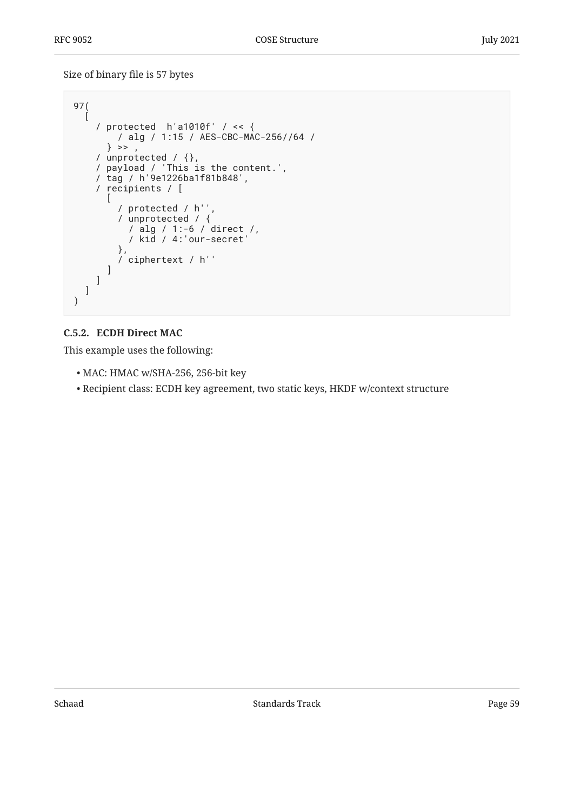Size of binary file is 57 bytes

```
97(
\Box / protected h'a1010f' / << {
        / alg / 1:15 / AES-CBC-MAC-256//64 /
      \} >> ,
 / unprotected / {},
 / payload / 'This is the content.',
     / tag / h'9e1226ba1f81b848',
     / recipients / [
      \mathbf{I} / protected / h'',
 / unprotected / {
           / alg / 1:-6 / direct /,
           / kid / 4:'our-secret'
         },
         / ciphertext / h''
       ]
     ]
   ]
)
```
### <span id="page-58-0"></span>**[C.5.2. ECDH Direct MAC](#page-58-0)**

- MAC: HMAC w/SHA-256, 256-bit key •
- Recipient class: ECDH key agreement, two static keys, HKDF w/context structure •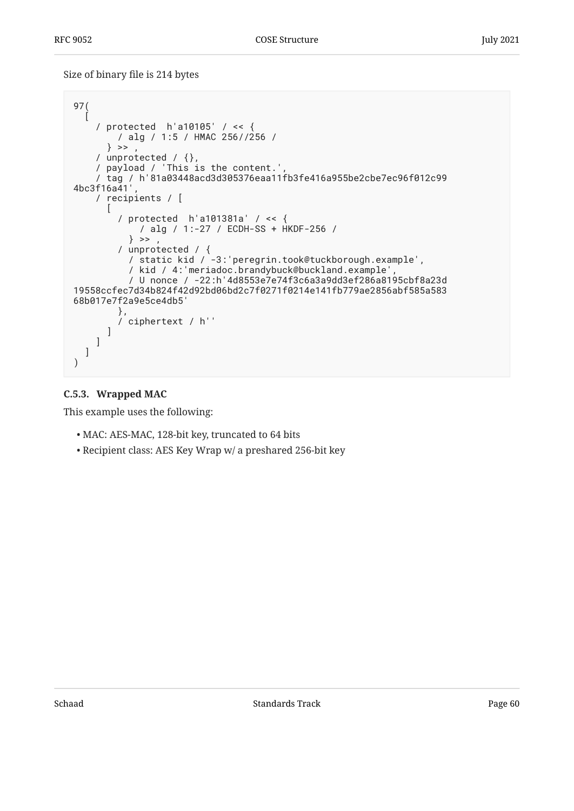Size of binary file is 214 bytes

```
97(
\Box / protected h'a10105' / << {
         / alg / 1:5 / HMAC 256//256 /
      \} >> ,
 / unprotected / {},
 / payload / 'This is the content.',
 / tag / h'81a03448acd3d305376eaa11fb3fe416a955be2cbe7ec96f012c99
4bc3f16a41',
     / recipients / [
      \lceil / protected h'a101381a' / << {
             / alg / 1:-27 / ECDH-SS + HKDF-256 /
          \} >>
         / unprotected / {
           / static kid / -3:'peregrin.took@tuckborough.example',
           / kid / 4:'meriadoc.brandybuck@buckland.example',
           / U nonce / -22:h'4d8553e7e74f3c6a3a9dd3ef286a8195cbf8a23d
19558ccfec7d34b824f42d92bd06bd2c7f0271f0214e141fb779ae2856abf585a583
68b017e7f2a9e5ce4db5'
         },
         / ciphertext / h''
       ]
    \lceil ]
)
```
#### <span id="page-59-0"></span>**[C.5.3. Wrapped MAC](#page-59-0)**

- MAC: AES-MAC, 128-bit key, truncated to 64 bits •
- Recipient class: AES Key Wrap w/ a preshared 256-bit key •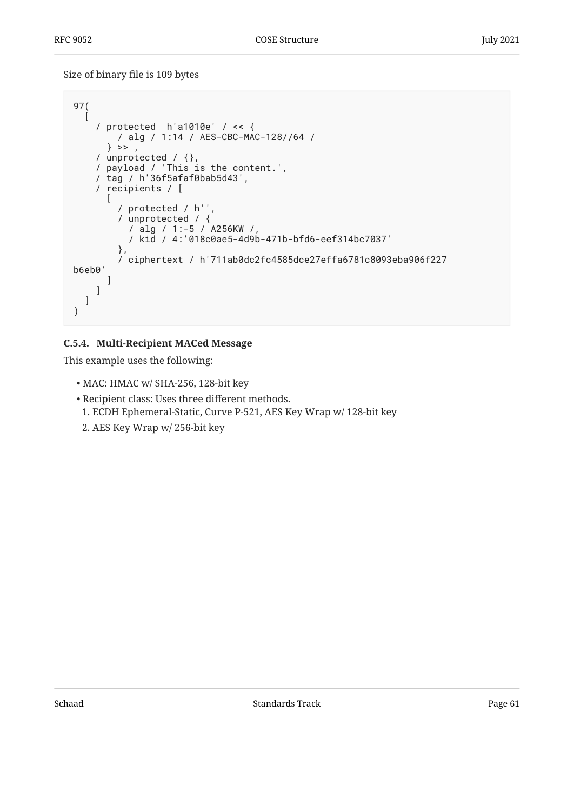Size of binary file is 109 bytes

```
97(
\Box / protected h'a1010e' / << {
         / alg / 1:14 / AES-CBC-MAC-128//64 /
      \} >> ,
 / unprotected / {},
 / payload / 'This is the content.',
     / tag / h'36f5afaf0bab5d43',
     / recipients / [
\blacksquare / protected / h'',
         / unprotected / {
           / alg / 1:-5 / A256KW /,
           / kid / 4:'018c0ae5-4d9b-471b-bfd6-eef314bc7037'
         },
         / ciphertext / h'711ab0dc2fc4585dce27effa6781c8093eba906f227
b6eb0'
       ]
     ]
   ]
)
```
### <span id="page-60-0"></span>**[C.5.4. Multi-Recipient MACed Message](#page-60-0)**

- MAC: HMAC w/ SHA-256, 128-bit key •
- Recipient class: Uses three different methods. •
- ECDH Ephemeral-Static, Curve P-521, AES Key Wrap w/ 128-bit key 1.
- AES Key Wrap w/ 256-bit key 2.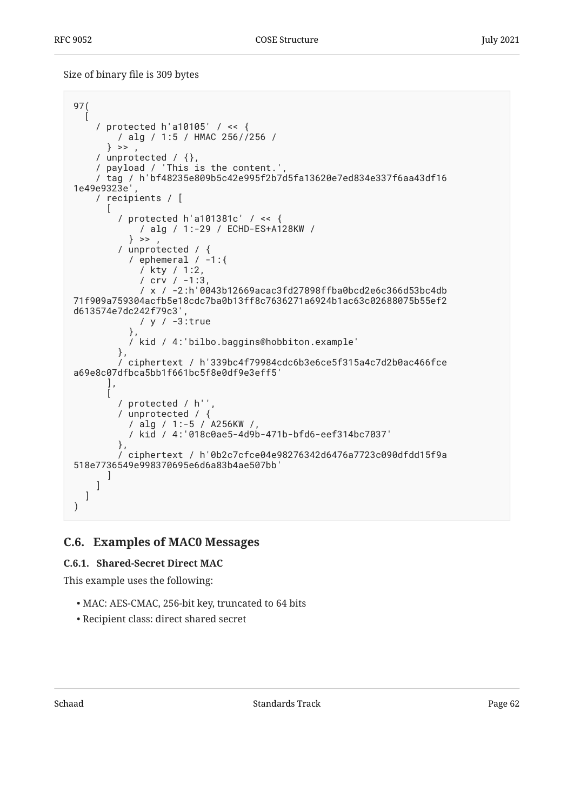Size of binary file is 309 bytes

```
97(
\Box / protected h'a10105' / << {
         / alg / 1:5 / HMAC 256//256 /
      \} >> ,
 / unprotected / {},
 / payload / 'This is the content.',
     / tag / h'bf48235e809b5c42e995f2b7d5fa13620e7ed834e337f6aa43df16
1e49e9323e',
     / recipients / [
 [
         / protected h'a101381c' / << {
             / alg / 1:-29 / ECHD-ES+A128KW /
          \} >>
         / unprotected / {
          / ephemeral / -1:\{ / kty / 1:2,
 / crv / -1:3,
 / x / -2:h'0043b12669acac3fd27898ffba0bcd2e6c366d53bc4db
71f909a759304acfb5e18cdc7ba0b13ff8c7636271a6924b1ac63c02688075b55ef2
d613574e7dc242f79c3',
             / y / -3:true
           },
           / kid / 4:'bilbo.baggins@hobbiton.example'
         },
         / ciphertext / h'339bc4f79984cdc6b3e6ce5f315a4c7d2b0ac466fce
a69e8c07dfbca5bb1f661bc5f8e0df9e3eff5'
       ],
 [
         / protected / h'',
        / protected / h ,<br>/ unprotected / {
           / alg / 1:-5 / A256KW /,
           / kid / 4:'018c0ae5-4d9b-471b-bfd6-eef314bc7037'
         },
         / ciphertext / h'0b2c7cfce04e98276342d6476a7723c090dfdd15f9a
518e7736549e998370695e6d6a83b4ae507bb'
       ]
     ]
   ]
)
```
### <span id="page-61-1"></span><span id="page-61-0"></span>**[C.6. Examples of MAC0 Messages](#page-61-0)**

### **[C.6.1. Shared-Secret Direct MAC](#page-61-1)**

- MAC: AES-CMAC, 256-bit key, truncated to 64 bits •
- Recipient class: direct shared secret •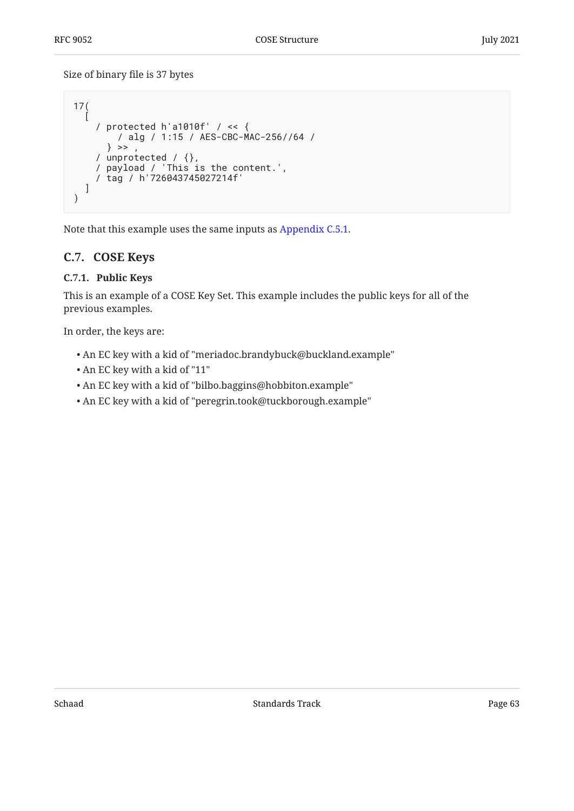Size of binary file is 37 bytes

```
17(
\Box / protected h'a1010f' / << {
         / alg / 1:15 / AES-CBC-MAC-256//64 /
      \} >> ,
 / unprotected / {},
 / payload / 'This is the content.',
     / tag / h'726043745027214f'
   ]
)
```
<span id="page-62-0"></span>Note that this example uses the same inputs as [Appendix C.5.1](#page-57-2).

## <span id="page-62-1"></span>**[C.7. COSE Keys](#page-62-0)**

### **[C.7.1. Public Keys](#page-62-1)**

This is an example of a COSE Key Set. This example includes the public keys for all of the previous examples.

In order, the keys are:

- An EC key with a kid of "meriadoc.brandybuck@buckland.example" •
- An EC key with a kid of "11"
- An EC key with a kid of "bilbo.baggins@hobbiton.example" •
- An EC key with a kid of "peregrin.took@tuckborough.example" •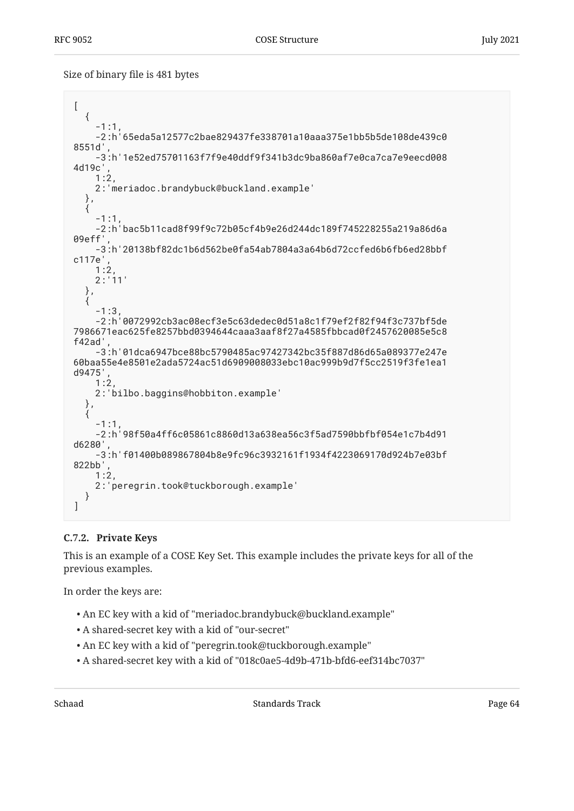Size of binary file is 481 bytes

```
[
   {
    -1:1,
     -2:h'65eda5a12577c2bae829437fe338701a10aaa375e1bb5b5de108de439c0
8551d',
     -3:h'1e52ed75701163f7f9e40ddf9f341b3dc9ba860af7e0ca7ca7e9eecd008
4d19c',
     1:2,
     2:'meriadoc.brandybuck@buckland.example'
   },
\{-1:1,
     -2:h'bac5b11cad8f99f9c72b05cf4b9e26d244dc189f745228255a219a86d6a
09eff',
     -3:h'20138bf82dc1b6d562be0fa54ab7804a3a64b6d72ccfed6b6fb6ed28bbf
c117e',
    1:2 2:'11'
   },
\{-1:3,
     -2:h'0072992cb3ac08ecf3e5c63dedec0d51a8c1f79ef2f82f94f3c737bf5de
7986671eac625fe8257bbd0394644caaa3aaf8f27a4585fbbcad0f2457620085e5c8
f42ad',
     -3:h'01dca6947bce88bc5790485ac97427342bc35f887d86d65a089377e247e
60baa55e4e8501e2ada5724ac51d6909008033ebc10ac999b9d7f5cc2519f3fe1ea1
d9475',
     1:2,
     2:'bilbo.baggins@hobbiton.example'
   },
\{-1:1.
     -2:h'98f50a4ff6c05861c8860d13a638ea56c3f5ad7590bbfbf054e1c7b4d91
d6280',
     -3:h'f01400b089867804b8e9fc96c3932161f1934f4223069170d924b7e03bf
822bb',
     1:2,
     2:'peregrin.took@tuckborough.example'
   }
]
```
#### <span id="page-63-0"></span>**[C.7.2. Private Keys](#page-63-0)**

This is an example of a COSE Key Set. This example includes the private keys for all of the previous examples.

In order the keys are:

- An EC key with a kid of "meriadoc.brandybuck@buckland.example" •
- A shared-secret key with a kid of "our-secret" •
- An EC key with a kid of "peregrin.took@tuckborough.example" •
- A shared-secret key with a kid of "018c0ae5-4d9b-471b-bfd6-eef314bc7037" •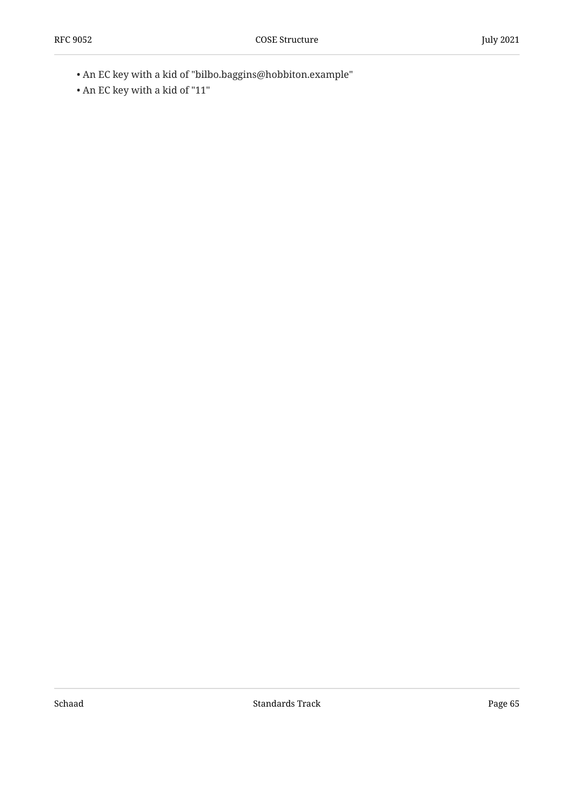- An EC key with a kid of "bilbo.baggins@hobbiton.example" •
- An EC key with a kid of "11"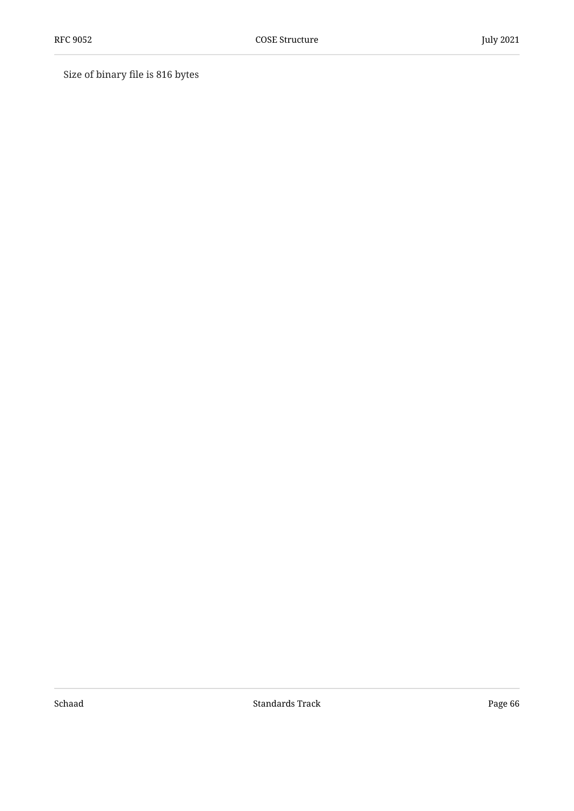Size of binary file is 816 bytes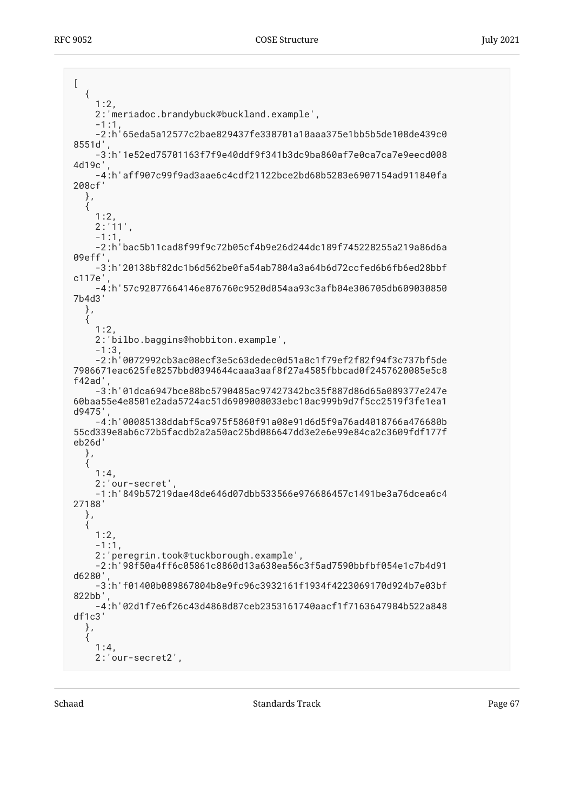$\left[ \right]$  { 1:2, 2:'meriadoc.brandybuck@buckland.example',  $-1:1$  -2:h'65eda5a12577c2bae829437fe338701a10aaa375e1bb5b5de108de439c0 8551d', -3:h'1e52ed75701163f7f9e40ddf9f341b3dc9ba860af7e0ca7ca7e9eecd008 4d19c', -4:h'aff907c99f9ad3aae6c4cdf21122bce2bd68b5283e6907154ad911840fa 208cf' },  $\acute{i}$  1:2,  $2:11'$ .  $-1:1$  -2:h'bac5b11cad8f99f9c72b05cf4b9e26d244dc189f745228255a219a86d6a 09eff', -3:h'20138bf82dc1b6d562be0fa54ab7804a3a64b6d72ccfed6b6fb6ed28bbf c117e', -4:h'57c92077664146e876760c9520d054aa93c3afb04e306705db609030850 7b4d3' }, { 1:2, 2:'bilbo.baggins@hobbiton.example', -1:3, -2:h'0072992cb3ac08ecf3e5c63dedec0d51a8c1f79ef2f82f94f3c737bf5de 7986671eac625fe8257bbd0394644caaa3aaf8f27a4585fbbcad0f2457620085e5c8 f42ad', -3:h'01dca6947bce88bc5790485ac97427342bc35f887d86d65a089377e247e 60baa55e4e8501e2ada5724ac51d6909008033ebc10ac999b9d7f5cc2519f3fe1ea1 d9475', -4:h'00085138ddabf5ca975f5860f91a08e91d6d5f9a76ad4018766a476680b 55cd339e8ab6c72b5facdb2a2a50ac25bd086647dd3e2e6e99e84ca2c3609fdf177f eb26d' }, { 1:4, 2:'our-secret', -1:h'849b57219dae48de646d07dbb533566e976686457c1491be3a76dcea6c4 27188' }, { 1:2,  $-1:1$ , 2:'peregrin.took@tuckborough.example', -2:h'98f50a4ff6c05861c8860d13a638ea56c3f5ad7590bbfbf054e1c7b4d91 d6280', -3:h'f01400b089867804b8e9fc96c3932161f1934f4223069170d924b7e03bf 822bb', -4:h'02d1f7e6f26c43d4868d87ceb2353161740aacf1f7163647984b522a848 df1c3' }, {  $1:4,$ 2:'our-secret2',